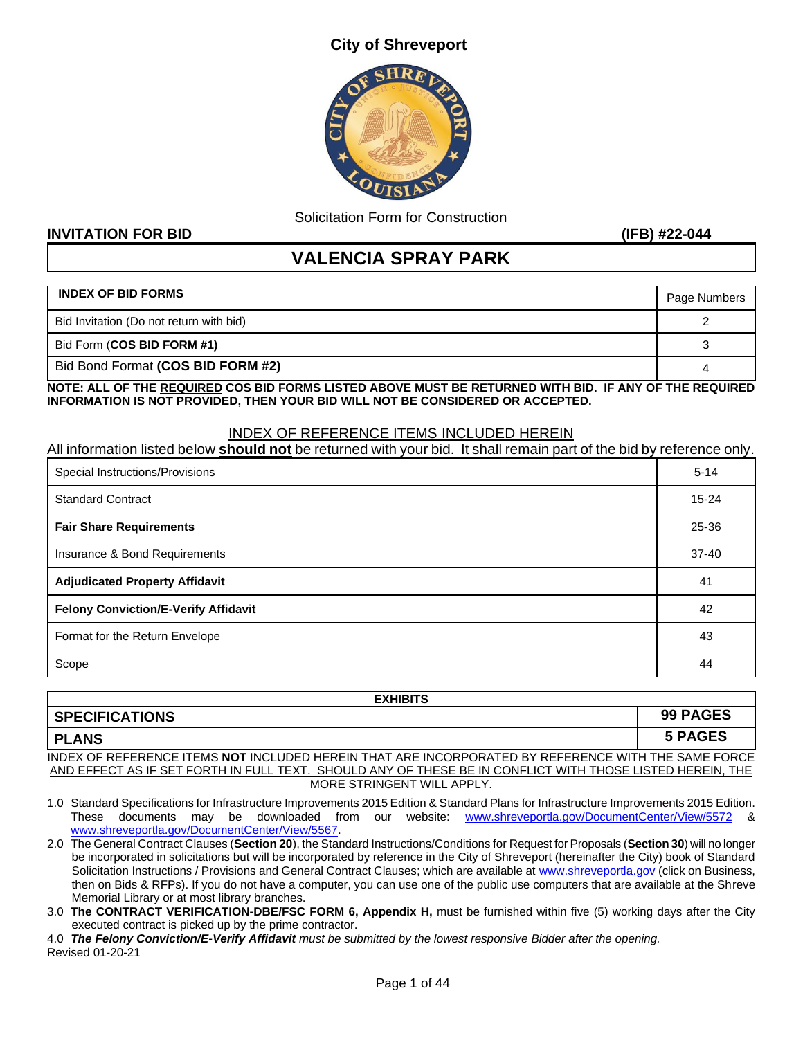#### **City of Shreveport**



Solicitation Form for Construction

#### **INVITATION FOR BID (IFB) #22-044**

## **VALENCIA SPRAY PARK**

| <b>INDEX OF BID FORMS</b>               | Page Numbers |
|-----------------------------------------|--------------|
| Bid Invitation (Do not return with bid) |              |
| Bid Form (COS BID FORM #1)              |              |
| Bid Bond Format (COS BID FORM #2)       |              |

**NOTE: ALL OF THE REQUIRED COS BID FORMS LISTED ABOVE MUST BE RETURNED WITH BID. IF ANY OF THE REQUIRED INFORMATION IS NOT PROVIDED, THEN YOUR BID WILL NOT BE CONSIDERED OR ACCEPTED.** 

#### INDEX OF REFERENCE ITEMS INCLUDED HEREIN

| All information listed below <b>should not</b> be returned with your bid. It shall remain part of the bid by reference only. |           |
|------------------------------------------------------------------------------------------------------------------------------|-----------|
| Special Instructions/Provisions                                                                                              | $5 - 14$  |
| <b>Standard Contract</b>                                                                                                     | $15 - 24$ |
| <b>Fair Share Requirements</b>                                                                                               | 25-36     |
| Insurance & Bond Requirements                                                                                                | $37 - 40$ |
| <b>Adjudicated Property Affidavit</b>                                                                                        | 41        |
| <b>Felony Conviction/E-Verify Affidavit</b>                                                                                  | 42        |
| Format for the Return Envelope                                                                                               | 43        |
| Scope                                                                                                                        | 44        |

| <b>EXHIBITS</b>                                                                                           |                 |
|-----------------------------------------------------------------------------------------------------------|-----------------|
| <b>SPECIFICATIONS</b>                                                                                     | <b>99 PAGES</b> |
| <b>PLANS</b>                                                                                              | 5 PAGES         |
| INDEX OF REFERENCE ITEMS NOT INCLUDED HEREIN THAT ARE INCORPORATED BY REFERENCE WITH THE SAME FORCE       |                 |
| AND EFFECT AS IF SET FORTH IN FULL TEXT. SHOULD ANY OF THESE BE IN CONFLICT WITH THOSE LISTED HEREIN. THE |                 |
| MORE STRINGENT WILL APPLY.                                                                                |                 |

- 1.0 Standard Specifications for Infrastructure Improvements 2015 Edition & Standard Plans for Infrastructure Improvements 2015 Edition. These documents may be downloaded from our website: [www.shreveportla.gov/DocumentCenter/View/5572](http://www.shreveportla.gov/DocumentCenter/View/5572) & [www.shreveportla.gov/DocumentCenter/View/5567.](http://www.shreveportla.gov/DocumentCenter/View/5567)
- 2.0 The General Contract Clauses (**Section 20**), the Standard Instructions/Conditions for Request for Proposals (**Section 30**) will no longer be incorporated in solicitations but will be incorporated by reference in the City of Shreveport (hereinafter the City) book of Standard Solicitation Instructions / Provisions and General Contract Clauses; which are available at [www.shreveportla.gov](http://www.shreveportla.gov/) (click on Business, then on Bids & RFPs). If you do not have a computer, you can use one of the public use computers that are available at the Shreve Memorial Library or at most library branches.
- 3.0 **The CONTRACT VERIFICATION-DBE/FSC FORM 6, Appendix H,** must be furnished within five (5) working days after the City executed contract is picked up by the prime contractor.

4.0 *The Felony Conviction/E-Verify Affidavit must be submitted by the lowest responsive Bidder after the opening.* Revised 01-20-21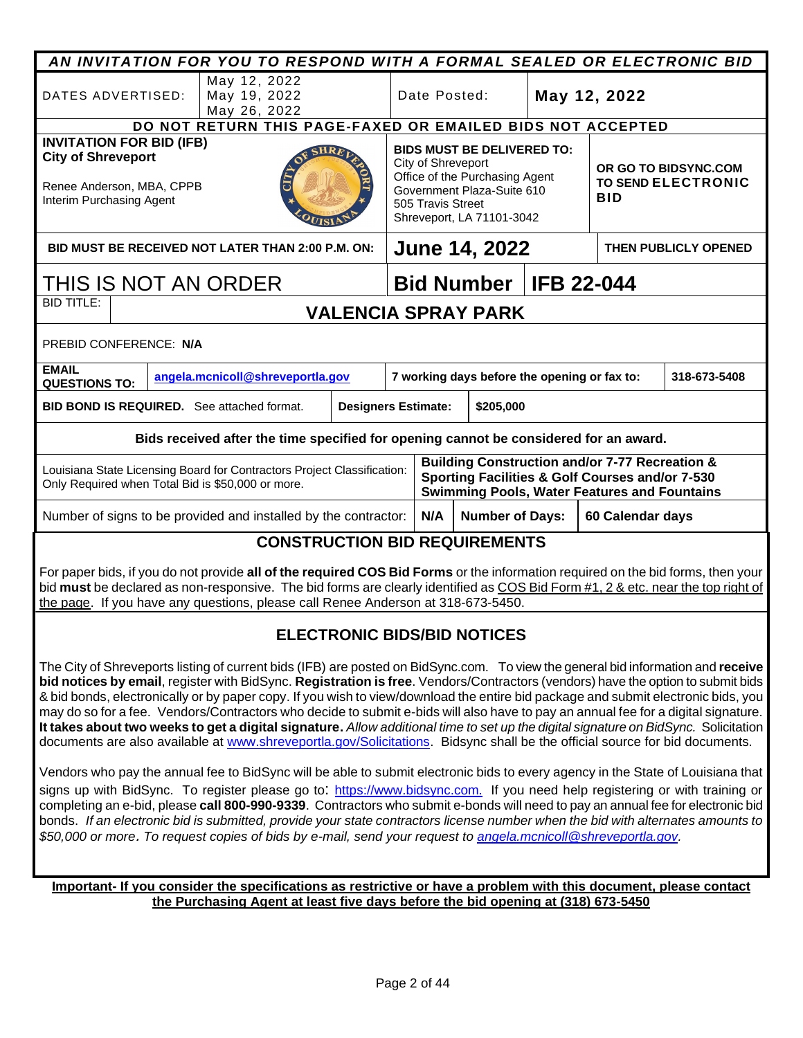|                                                                                                                                                                                                                                                                                                                                                                                                                                                                                                                                                                                                                                                                                                                                                                                                                                                                                                                                                                                                                                                                                                                                                                                                                                                                                                                                                                                                                                                                                                                                                                                                  |                                                                                  | AN INVITATION FOR YOU TO RESPOND WITH A FORMAL SEALED OR ELECTRONIC BID                                                                                                   |                            |                                                                 |              |                                              |                   |                                                                                                                                                                     |                      |
|--------------------------------------------------------------------------------------------------------------------------------------------------------------------------------------------------------------------------------------------------------------------------------------------------------------------------------------------------------------------------------------------------------------------------------------------------------------------------------------------------------------------------------------------------------------------------------------------------------------------------------------------------------------------------------------------------------------------------------------------------------------------------------------------------------------------------------------------------------------------------------------------------------------------------------------------------------------------------------------------------------------------------------------------------------------------------------------------------------------------------------------------------------------------------------------------------------------------------------------------------------------------------------------------------------------------------------------------------------------------------------------------------------------------------------------------------------------------------------------------------------------------------------------------------------------------------------------------------|----------------------------------------------------------------------------------|---------------------------------------------------------------------------------------------------------------------------------------------------------------------------|----------------------------|-----------------------------------------------------------------|--------------|----------------------------------------------|-------------------|---------------------------------------------------------------------------------------------------------------------------------------------------------------------|----------------------|
| DATES ADVERTISED:                                                                                                                                                                                                                                                                                                                                                                                                                                                                                                                                                                                                                                                                                                                                                                                                                                                                                                                                                                                                                                                                                                                                                                                                                                                                                                                                                                                                                                                                                                                                                                                |                                                                                  | May 12, 2022<br>May 19, 2022<br>May 26, 2022                                                                                                                              |                            |                                                                 | Date Posted: |                                              |                   | May 12, 2022                                                                                                                                                        |                      |
|                                                                                                                                                                                                                                                                                                                                                                                                                                                                                                                                                                                                                                                                                                                                                                                                                                                                                                                                                                                                                                                                                                                                                                                                                                                                                                                                                                                                                                                                                                                                                                                                  |                                                                                  | DO NOT RETURN THIS PAGE-FAXED OR EMAILED BIDS NOT ACCEPTED                                                                                                                |                            |                                                                 |              |                                              |                   |                                                                                                                                                                     |                      |
| <b>INVITATION FOR BID (IFB)</b><br>$\mathsf{SHR} F$<br><b>City of Shreveport</b><br>Renee Anderson, MBA, CPPB<br>Interim Purchasing Agent                                                                                                                                                                                                                                                                                                                                                                                                                                                                                                                                                                                                                                                                                                                                                                                                                                                                                                                                                                                                                                                                                                                                                                                                                                                                                                                                                                                                                                                        |                                                                                  | <b>BIDS MUST BE DELIVERED TO:</b><br>City of Shreveport<br>Office of the Purchasing Agent<br>Government Plaza-Suite 610<br>505 Travis Street<br>Shreveport, LA 71101-3042 |                            | OR GO TO BIDSYNC.COM<br><b>TO SEND ELECTRONIC</b><br><b>BID</b> |              |                                              |                   |                                                                                                                                                                     |                      |
|                                                                                                                                                                                                                                                                                                                                                                                                                                                                                                                                                                                                                                                                                                                                                                                                                                                                                                                                                                                                                                                                                                                                                                                                                                                                                                                                                                                                                                                                                                                                                                                                  |                                                                                  | BID MUST BE RECEIVED NOT LATER THAN 2:00 P.M. ON:                                                                                                                         |                            |                                                                 |              | <b>June 14, 2022</b>                         |                   |                                                                                                                                                                     | THEN PUBLICLY OPENED |
|                                                                                                                                                                                                                                                                                                                                                                                                                                                                                                                                                                                                                                                                                                                                                                                                                                                                                                                                                                                                                                                                                                                                                                                                                                                                                                                                                                                                                                                                                                                                                                                                  |                                                                                  | THIS IS NOT AN ORDER                                                                                                                                                      |                            |                                                                 |              | <b>Bid Number</b>                            | <b>IFB 22-044</b> |                                                                                                                                                                     |                      |
| <b>BID TITLE:</b>                                                                                                                                                                                                                                                                                                                                                                                                                                                                                                                                                                                                                                                                                                                                                                                                                                                                                                                                                                                                                                                                                                                                                                                                                                                                                                                                                                                                                                                                                                                                                                                |                                                                                  |                                                                                                                                                                           |                            |                                                                 |              | <b>VALENCIA SPRAY PARK</b>                   |                   |                                                                                                                                                                     |                      |
| PREBID CONFERENCE: N/A                                                                                                                                                                                                                                                                                                                                                                                                                                                                                                                                                                                                                                                                                                                                                                                                                                                                                                                                                                                                                                                                                                                                                                                                                                                                                                                                                                                                                                                                                                                                                                           |                                                                                  |                                                                                                                                                                           |                            |                                                                 |              |                                              |                   |                                                                                                                                                                     |                      |
| <b>EMAIL</b><br><b>QUESTIONS TO:</b>                                                                                                                                                                                                                                                                                                                                                                                                                                                                                                                                                                                                                                                                                                                                                                                                                                                                                                                                                                                                                                                                                                                                                                                                                                                                                                                                                                                                                                                                                                                                                             |                                                                                  | angela.mcnicoll@shreveportla.gov                                                                                                                                          |                            |                                                                 |              | 7 working days before the opening or fax to: |                   |                                                                                                                                                                     | 318-673-5408         |
|                                                                                                                                                                                                                                                                                                                                                                                                                                                                                                                                                                                                                                                                                                                                                                                                                                                                                                                                                                                                                                                                                                                                                                                                                                                                                                                                                                                                                                                                                                                                                                                                  |                                                                                  | <b>BID BOND IS REQUIRED.</b> See attached format.                                                                                                                         | <b>Designers Estimate:</b> |                                                                 |              | \$205,000                                    |                   |                                                                                                                                                                     |                      |
|                                                                                                                                                                                                                                                                                                                                                                                                                                                                                                                                                                                                                                                                                                                                                                                                                                                                                                                                                                                                                                                                                                                                                                                                                                                                                                                                                                                                                                                                                                                                                                                                  |                                                                                  | Bids received after the time specified for opening cannot be considered for an award.                                                                                     |                            |                                                                 |              |                                              |                   |                                                                                                                                                                     |                      |
|                                                                                                                                                                                                                                                                                                                                                                                                                                                                                                                                                                                                                                                                                                                                                                                                                                                                                                                                                                                                                                                                                                                                                                                                                                                                                                                                                                                                                                                                                                                                                                                                  |                                                                                  | Louisiana State Licensing Board for Contractors Project Classification:<br>Only Required when Total Bid is \$50,000 or more.                                              |                            |                                                                 |              |                                              |                   | <b>Building Construction and/or 7-77 Recreation &amp;</b><br>Sporting Facilities & Golf Courses and/or 7-530<br><b>Swimming Pools, Water Features and Fountains</b> |                      |
|                                                                                                                                                                                                                                                                                                                                                                                                                                                                                                                                                                                                                                                                                                                                                                                                                                                                                                                                                                                                                                                                                                                                                                                                                                                                                                                                                                                                                                                                                                                                                                                                  |                                                                                  | Number of signs to be provided and installed by the contractor:                                                                                                           |                            |                                                                 | N/A          | <b>Number of Days:</b>                       |                   | 60 Calendar days                                                                                                                                                    |                      |
|                                                                                                                                                                                                                                                                                                                                                                                                                                                                                                                                                                                                                                                                                                                                                                                                                                                                                                                                                                                                                                                                                                                                                                                                                                                                                                                                                                                                                                                                                                                                                                                                  |                                                                                  | <b>CONSTRUCTION BID REQUIREMENTS</b>                                                                                                                                      |                            |                                                                 |              |                                              |                   |                                                                                                                                                                     |                      |
| For paper bids, if you do not provide all of the required COS Bid Forms or the information required on the bid forms, then your<br>bid must be declared as non-responsive. The bid forms are clearly identified as COS Bid Form #1, 2 & etc. near the top right of<br>the page. If you have any questions, please call Renee Anderson at 318-673-5450.                                                                                                                                                                                                                                                                                                                                                                                                                                                                                                                                                                                                                                                                                                                                                                                                                                                                                                                                                                                                                                                                                                                                                                                                                                           |                                                                                  |                                                                                                                                                                           |                            |                                                                 |              |                                              |                   |                                                                                                                                                                     |                      |
| <b>ELECTRONIC BIDS/BID NOTICES</b>                                                                                                                                                                                                                                                                                                                                                                                                                                                                                                                                                                                                                                                                                                                                                                                                                                                                                                                                                                                                                                                                                                                                                                                                                                                                                                                                                                                                                                                                                                                                                               |                                                                                  |                                                                                                                                                                           |                            |                                                                 |              |                                              |                   |                                                                                                                                                                     |                      |
| The City of Shreveports listing of current bids (IFB) are posted on BidSync.com. To view the general bid information and receive<br>bid notices by email, register with BidSync. Registration is free. Vendors/Contractors (vendors) have the option to submit bids<br>& bid bonds, electronically or by paper copy. If you wish to view/download the entire bid package and submit electronic bids, you<br>may do so for a fee. Vendors/Contractors who decide to submit e-bids will also have to pay an annual fee for a digital signature.<br>It takes about two weeks to get a digital signature. Allow additional time to set up the digital signature on BidSync. Solicitation<br>documents are also available at www.shreveportla.gov/Solicitations. Bidsync shall be the official source for bid documents.<br>Vendors who pay the annual fee to BidSync will be able to submit electronic bids to every agency in the State of Louisiana that<br>signs up with BidSync. To register please go to: https://www.bidsync.com. If you need help registering or with training or<br>completing an e-bid, please call 800-990-9339. Contractors who submit e-bonds will need to pay an annual fee for electronic bid<br>bonds. If an electronic bid is submitted, provide your state contractors license number when the bid with alternates amounts to<br>\$50,000 or more. To request copies of bids by e-mail, send your request to angela monicoll@shreveportla.gov.<br>Important- If you consider the specifications as restrictive or have a problem with this document, please contact |                                                                                  |                                                                                                                                                                           |                            |                                                                 |              |                                              |                   |                                                                                                                                                                     |                      |
|                                                                                                                                                                                                                                                                                                                                                                                                                                                                                                                                                                                                                                                                                                                                                                                                                                                                                                                                                                                                                                                                                                                                                                                                                                                                                                                                                                                                                                                                                                                                                                                                  | the Purchasing Agent at least five days before the bid opening at (318) 673-5450 |                                                                                                                                                                           |                            |                                                                 |              |                                              |                   |                                                                                                                                                                     |                      |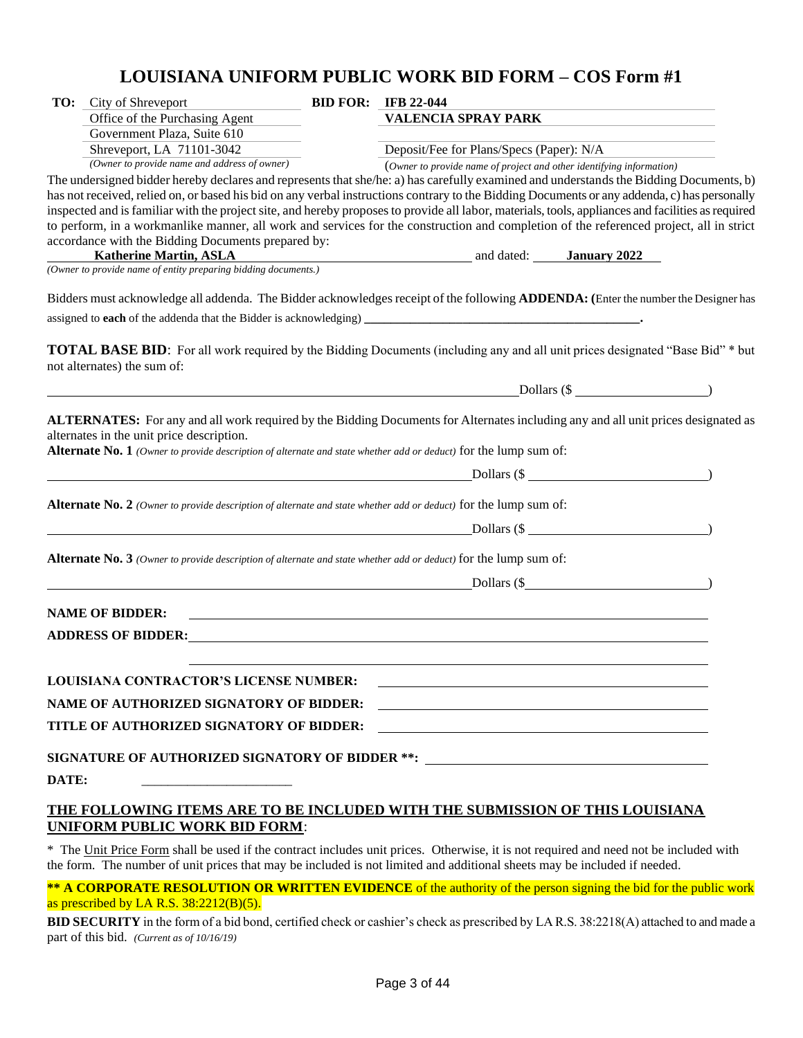## **LOUISIANA UNIFORM PUBLIC WORK BID FORM – COS Form #1**

| TO:   | City of Shreveport                                                                                                      | <b>BID FOR: IFB 22-044</b>                                                                                                                         |  |
|-------|-------------------------------------------------------------------------------------------------------------------------|----------------------------------------------------------------------------------------------------------------------------------------------------|--|
|       | Office of the Purchasing Agent                                                                                          | <b>VALENCIA SPRAY PARK</b>                                                                                                                         |  |
|       | Government Plaza, Suite 610                                                                                             |                                                                                                                                                    |  |
|       | Shreveport, LA 71101-3042                                                                                               | Deposit/Fee for Plans/Specs (Paper): N/A                                                                                                           |  |
|       | (Owner to provide name and address of owner)                                                                            | (Owner to provide name of project and other identifying information)                                                                               |  |
|       |                                                                                                                         | The undersigned bidder hereby declares and represents that she/he: a) has carefully examined and understands the Bidding Documents, b)             |  |
|       |                                                                                                                         | has not received, relied on, or based his bid on any verbal instructions contrary to the Bidding Documents or any addenda, c) has personally       |  |
|       |                                                                                                                         | inspected and is familiar with the project site, and hereby proposes to provide all labor, materials, tools, appliances and facilities as required |  |
|       |                                                                                                                         | to perform, in a workmanlike manner, all work and services for the construction and completion of the referenced project, all in strict            |  |
|       | accordance with the Bidding Documents prepared by:                                                                      |                                                                                                                                                    |  |
|       |                                                                                                                         | <b>Katherine Martin, ASLA</b> and dated: <b>January 2022</b><br>(Owner to provide name of entity preparing bidding documents.)                     |  |
|       |                                                                                                                         |                                                                                                                                                    |  |
|       |                                                                                                                         | Bidders must acknowledge all addenda. The Bidder acknowledges receipt of the following <b>ADDENDA:</b> (Enter the number the Designer has          |  |
|       |                                                                                                                         |                                                                                                                                                    |  |
|       |                                                                                                                         |                                                                                                                                                    |  |
|       | not alternates) the sum of:                                                                                             | <b>TOTAL BASE BID:</b> For all work required by the Bidding Documents (including any and all unit prices designated "Base Bid" * but               |  |
|       |                                                                                                                         | $Dollars (\$                                                                                                                                       |  |
|       |                                                                                                                         |                                                                                                                                                    |  |
|       | Alternate No. 1 (Owner to provide description of alternate and state whether add or deduct) for the lump sum of:        | $Dollars (\$ $\text{Dollars} (\)$                                                                                                                  |  |
|       | <b>Alternate No. 2</b> (Owner to provide description of alternate and state whether add or deduct) for the lump sum of: |                                                                                                                                                    |  |
|       |                                                                                                                         | Dollars (\$                                                                                                                                        |  |
|       | Alternate No. 3 (Owner to provide description of alternate and state whether add or deduct) for the lump sum of:        |                                                                                                                                                    |  |
|       |                                                                                                                         | Dollars $(\$$                                                                                                                                      |  |
|       |                                                                                                                         |                                                                                                                                                    |  |
|       | <b>NAME OF BIDDER:</b>                                                                                                  |                                                                                                                                                    |  |
|       |                                                                                                                         |                                                                                                                                                    |  |
|       | <b>ADDRESS OF BIDDER:</b>                                                                                               |                                                                                                                                                    |  |
|       |                                                                                                                         |                                                                                                                                                    |  |
|       | <b>LOUISIANA CONTRACTOR'S LICENSE NUMBER:</b>                                                                           |                                                                                                                                                    |  |
|       | <b>NAME OF AUTHORIZED SIGNATORY OF BIDDER:</b>                                                                          | <u> 1980 - Johann Barn, fransk politik (f. 1980)</u>                                                                                               |  |
|       | TITLE OF AUTHORIZED SIGNATORY OF BIDDER:                                                                                | <u> 1989 - Johann Stein, mars ann an t-Amhainn an t-Amhainn an t-Amhainn an t-Amhainn an t-Amhainn an t-Amhainn a</u>                              |  |
|       |                                                                                                                         |                                                                                                                                                    |  |
|       |                                                                                                                         | SIGNATURE OF AUTHORIZED SIGNATORY OF BIDDER **:                                                                                                    |  |
| DATE: | the contract of the contract of the contract of the contract of the contract of                                         |                                                                                                                                                    |  |
|       |                                                                                                                         | THE FOLLOWING ITEMS ARE TO BE INCLUDED WITH THE SUBMISSION OF THIS LOUISIANA                                                                       |  |

#### **UNIFORM PUBLIC WORK BID FORM**:

\* The Unit Price Form shall be used if the contract includes unit prices. Otherwise, it is not required and need not be included with the form. The number of unit prices that may be included is not limited and additional sheets may be included if needed.

**\*\* A CORPORATE RESOLUTION OR WRITTEN EVIDENCE** of the authority of the person signing the bid for the public work as prescribed by LA R.S.  $38:2212(B)(5)$ .

**BID SECURITY** in the form of a bid bond, certified check or cashier's check as prescribed by LA R.S. 38:2218(A) attached to and made a part of this bid. *(Current as of 10/16/19)*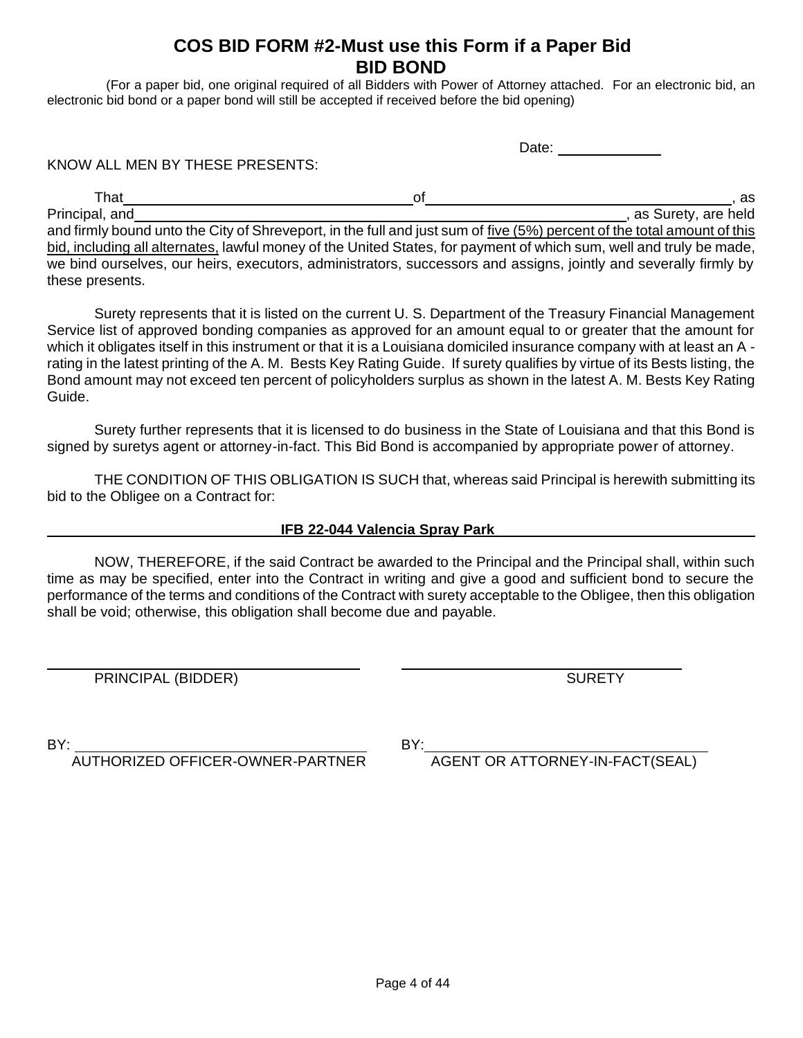## **COS BID FORM #2-Must use this Form if a Paper Bid BID BOND**

(For a paper bid, one original required of all Bidders with Power of Attorney attached. For an electronic bid, an electronic bid bond or a paper bond will still be accepted if received before the bid opening)

Date: **Date:** 

KNOW ALL MEN BY THESE PRESENTS:

 $\mathsf{That}$  and  $\mathsf{S}$  , as a set of  $\mathsf{S}$  , as a set of  $\mathsf{S}$  , as a set of  $\mathsf{S}$ Principal, and , as Surety, are held and  $\overline{a}$ , as Surety, are held and firmly bound unto the City of Shreveport, in the full and just sum of five (5%) percent of the total amount of this bid, including all alternates, lawful money of the United States, for payment of which sum, well and truly be made, we bind ourselves, our heirs, executors, administrators, successors and assigns, jointly and severally firmly by these presents.

Surety represents that it is listed on the current U. S. Department of the Treasury Financial Management Service list of approved bonding companies as approved for an amount equal to or greater that the amount for which it obligates itself in this instrument or that it is a Louisiana domiciled insurance company with at least an A rating in the latest printing of the A. M. Bests Key Rating Guide. If surety qualifies by virtue of its Bests listing, the Bond amount may not exceed ten percent of policyholders surplus as shown in the latest A. M. Bests Key Rating Guide.

Surety further represents that it is licensed to do business in the State of Louisiana and that this Bond is signed by suretys agent or attorney-in-fact. This Bid Bond is accompanied by appropriate power of attorney.

THE CONDITION OF THIS OBLIGATION IS SUCH that, whereas said Principal is herewith submitting its bid to the Obligee on a Contract for:

#### **IFB 22-044 Valencia Spray Park**

NOW, THEREFORE, if the said Contract be awarded to the Principal and the Principal shall, within such time as may be specified, enter into the Contract in writing and give a good and sufficient bond to secure the performance of the terms and conditions of the Contract with surety acceptable to the Obligee, then this obligation shall be void; otherwise, this obligation shall become due and payable.

PRINCIPAL (BIDDER) SURETY

 $\overline{a}$ 

BY: BY:

AGENT OR ATTORNEY-IN-FACT(SEAL)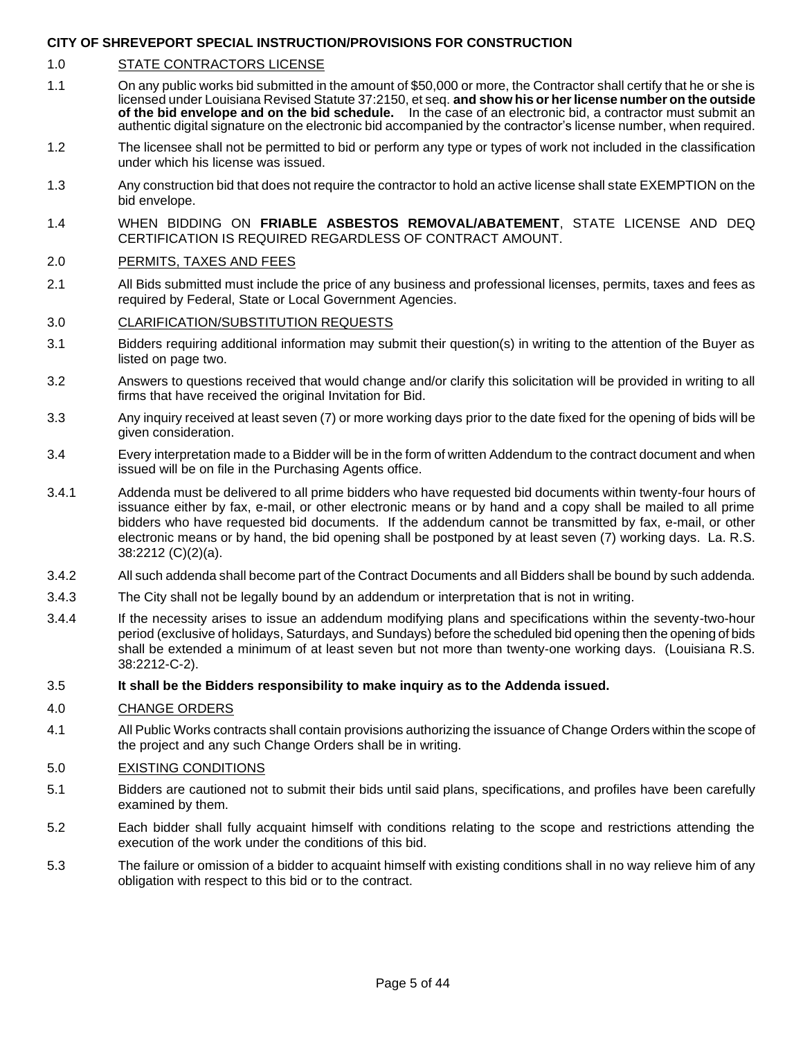#### 1.0 STATE CONTRACTORS LICENSE

- 1.1 On any public works bid submitted in the amount of \$50,000 or more, the Contractor shall certify that he or she is licensed under Louisiana Revised Statute 37:2150, et seq. **and show his or her license number on the outside of the bid envelope and on the bid schedule.** In the case of an electronic bid, a contractor must submit an authentic digital signature on the electronic bid accompanied by the contractor's license number, when required.
- 1.2 The licensee shall not be permitted to bid or perform any type or types of work not included in the classification under which his license was issued.
- 1.3 Any construction bid that does not require the contractor to hold an active license shall state EXEMPTION on the bid envelope.
- 1.4 WHEN BIDDING ON **FRIABLE ASBESTOS REMOVAL/ABATEMENT**, STATE LICENSE AND DEQ CERTIFICATION IS REQUIRED REGARDLESS OF CONTRACT AMOUNT.

#### 2.0 PERMITS, TAXES AND FEES

2.1 All Bids submitted must include the price of any business and professional licenses, permits, taxes and fees as required by Federal, State or Local Government Agencies.

#### 3.0 CLARIFICATION/SUBSTITUTION REQUESTS

- 3.1 Bidders requiring additional information may submit their question(s) in writing to the attention of the Buyer as listed on page two.
- 3.2 Answers to questions received that would change and/or clarify this solicitation will be provided in writing to all firms that have received the original Invitation for Bid.
- 3.3 Any inquiry received at least seven (7) or more working days prior to the date fixed for the opening of bids will be given consideration.
- 3.4 Every interpretation made to a Bidder will be in the form of written Addendum to the contract document and when issued will be on file in the Purchasing Agents office.
- 3.4.1 Addenda must be delivered to all prime bidders who have requested bid documents within twenty-four hours of issuance either by fax, e-mail, or other electronic means or by hand and a copy shall be mailed to all prime bidders who have requested bid documents. If the addendum cannot be transmitted by fax, e-mail, or other electronic means or by hand, the bid opening shall be postponed by at least seven (7) working days. La. R.S. 38:2212 (C)(2)(a).
- 3.4.2 All such addenda shall become part of the Contract Documents and all Bidders shall be bound by such addenda.
- 3.4.3 The City shall not be legally bound by an addendum or interpretation that is not in writing.
- 3.4.4 If the necessity arises to issue an addendum modifying plans and specifications within the seventy-two-hour period (exclusive of holidays, Saturdays, and Sundays) before the scheduled bid opening then the opening of bids shall be extended a minimum of at least seven but not more than twenty-one working days. (Louisiana R.S. 38:2212-C-2).

#### 3.5 **It shall be the Bidders responsibility to make inquiry as to the Addenda issued.**

#### 4.0 CHANGE ORDERS

4.1 All Public Works contracts shall contain provisions authorizing the issuance of Change Orders within the scope of the project and any such Change Orders shall be in writing.

#### 5.0 EXISTING CONDITIONS

- 5.1 Bidders are cautioned not to submit their bids until said plans, specifications, and profiles have been carefully examined by them.
- 5.2 Each bidder shall fully acquaint himself with conditions relating to the scope and restrictions attending the execution of the work under the conditions of this bid.
- 5.3 The failure or omission of a bidder to acquaint himself with existing conditions shall in no way relieve him of any obligation with respect to this bid or to the contract.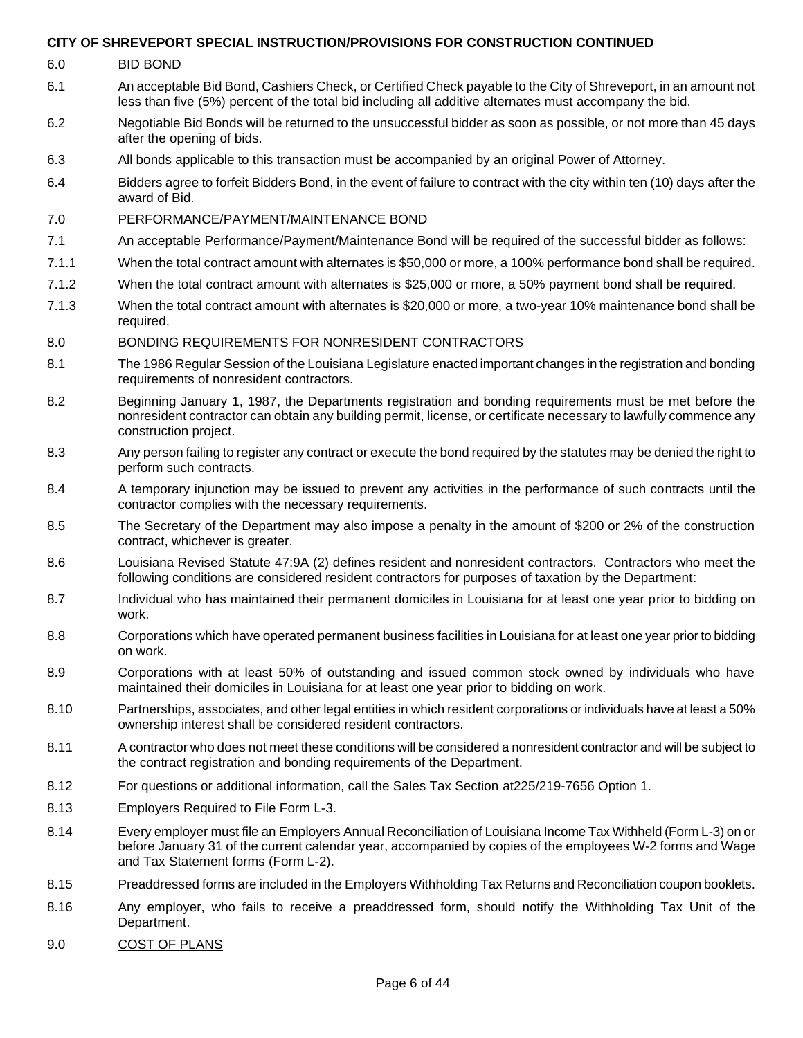| 6.0 | <b>BID BOND</b> |  |
|-----|-----------------|--|

- 6.1 An acceptable Bid Bond, Cashiers Check, or Certified Check payable to the City of Shreveport, in an amount not less than five (5%) percent of the total bid including all additive alternates must accompany the bid.
- 6.2 Negotiable Bid Bonds will be returned to the unsuccessful bidder as soon as possible, or not more than 45 days after the opening of bids.
- 6.3 All bonds applicable to this transaction must be accompanied by an original Power of Attorney.
- 6.4 Bidders agree to forfeit Bidders Bond, in the event of failure to contract with the city within ten (10) days after the award of Bid.
- 7.0 PERFORMANCE/PAYMENT/MAINTENANCE BOND
- 7.1 An acceptable Performance/Payment/Maintenance Bond will be required of the successful bidder as follows:
- 7.1.1 When the total contract amount with alternates is \$50,000 or more, a 100% performance bond shall be required.
- 7.1.2 When the total contract amount with alternates is \$25,000 or more, a 50% payment bond shall be required.
- 7.1.3 When the total contract amount with alternates is \$20,000 or more, a two-year 10% maintenance bond shall be required.

#### 8.0 BONDING REQUIREMENTS FOR NONRESIDENT CONTRACTORS

- 8.1 The 1986 Regular Session of the Louisiana Legislature enacted important changes in the registration and bonding requirements of nonresident contractors.
- 8.2 Beginning January 1, 1987, the Departments registration and bonding requirements must be met before the nonresident contractor can obtain any building permit, license, or certificate necessary to lawfully commence any construction project.
- 8.3 Any person failing to register any contract or execute the bond required by the statutes may be denied the right to perform such contracts.
- 8.4 A temporary injunction may be issued to prevent any activities in the performance of such contracts until the contractor complies with the necessary requirements.
- 8.5 The Secretary of the Department may also impose a penalty in the amount of \$200 or 2% of the construction contract, whichever is greater.
- 8.6 Louisiana Revised Statute 47:9A (2) defines resident and nonresident contractors. Contractors who meet the following conditions are considered resident contractors for purposes of taxation by the Department:
- 8.7 Individual who has maintained their permanent domiciles in Louisiana for at least one year prior to bidding on work.
- 8.8 Corporations which have operated permanent business facilities in Louisiana for at least one year prior to bidding on work.
- 8.9 Corporations with at least 50% of outstanding and issued common stock owned by individuals who have maintained their domiciles in Louisiana for at least one year prior to bidding on work.
- 8.10 Partnerships, associates, and other legal entities in which resident corporations or individuals have at least a 50% ownership interest shall be considered resident contractors.
- 8.11 A contractor who does not meet these conditions will be considered a nonresident contractor and will be subject to the contract registration and bonding requirements of the Department.
- 8.12 For questions or additional information, call the Sales Tax Section at225/219-7656 Option 1.
- 8.13 Employers Required to File Form L-3.
- 8.14 Every employer must file an Employers Annual Reconciliation of Louisiana Income Tax Withheld (Form L-3) on or before January 31 of the current calendar year, accompanied by copies of the employees W-2 forms and Wage and Tax Statement forms (Form L-2).
- 8.15 Preaddressed forms are included in the Employers Withholding Tax Returns and Reconciliation coupon booklets.
- 8.16 Any employer, who fails to receive a preaddressed form, should notify the Withholding Tax Unit of the Department.
- 9.0 COST OF PLANS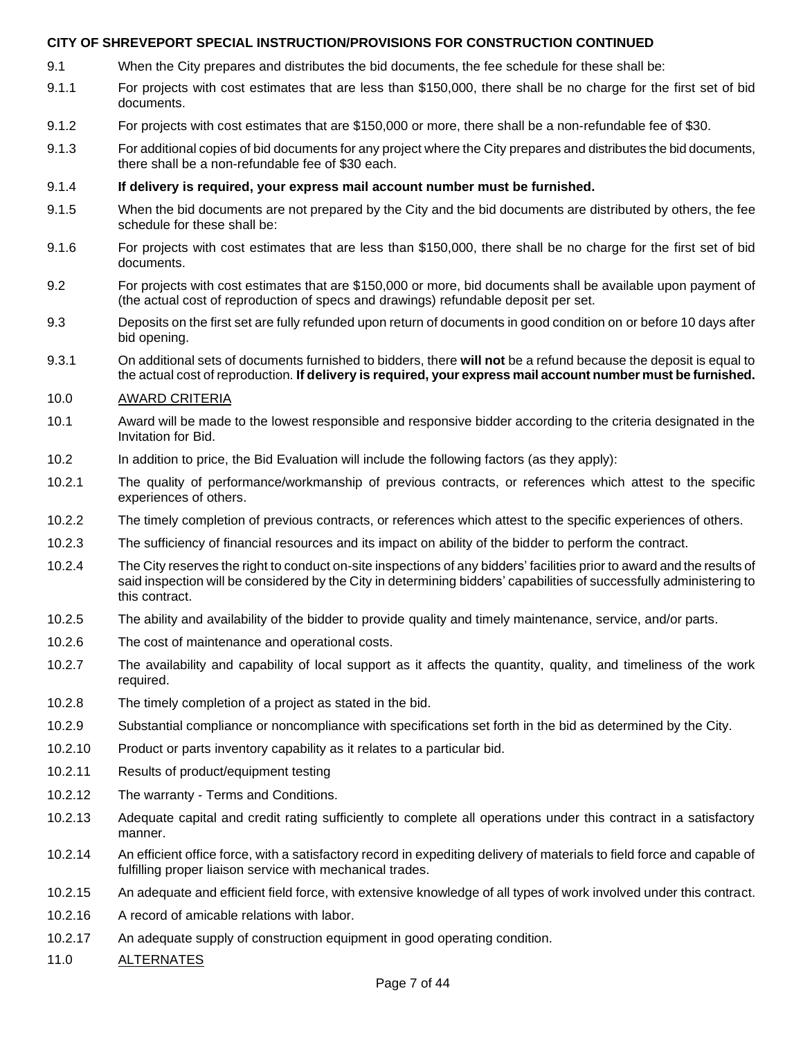- 9.1 When the City prepares and distributes the bid documents, the fee schedule for these shall be:
- 9.1.1 For projects with cost estimates that are less than \$150,000, there shall be no charge for the first set of bid documents.
- 9.1.2 For projects with cost estimates that are \$150,000 or more, there shall be a non-refundable fee of \$30.
- 9.1.3 For additional copies of bid documents for any project where the City prepares and distributes the bid documents, there shall be a non-refundable fee of \$30 each.
- 9.1.4 **If delivery is required, your express mail account number must be furnished.**
- 9.1.5 When the bid documents are not prepared by the City and the bid documents are distributed by others, the fee schedule for these shall be:
- 9.1.6 For projects with cost estimates that are less than \$150,000, there shall be no charge for the first set of bid documents.
- 9.2 For projects with cost estimates that are \$150,000 or more, bid documents shall be available upon payment of (the actual cost of reproduction of specs and drawings) refundable deposit per set.
- 9.3 Deposits on the first set are fully refunded upon return of documents in good condition on or before 10 days after bid opening.
- 9.3.1 On additional sets of documents furnished to bidders, there **will not** be a refund because the deposit is equal to the actual cost of reproduction. **If delivery is required, your express mail account number must be furnished.**

#### 10.0 AWARD CRITERIA

- 10.1 Award will be made to the lowest responsible and responsive bidder according to the criteria designated in the Invitation for Bid.
- 10.2 In addition to price, the Bid Evaluation will include the following factors (as they apply):
- 10.2.1 The quality of performance/workmanship of previous contracts, or references which attest to the specific experiences of others.
- 10.2.2 The timely completion of previous contracts, or references which attest to the specific experiences of others.
- 10.2.3 The sufficiency of financial resources and its impact on ability of the bidder to perform the contract.
- 10.2.4 The City reserves the right to conduct on-site inspections of any bidders' facilities prior to award and the results of said inspection will be considered by the City in determining bidders' capabilities of successfully administering to this contract.
- 10.2.5 The ability and availability of the bidder to provide quality and timely maintenance, service, and/or parts.
- 10.2.6 The cost of maintenance and operational costs.
- 10.2.7 The availability and capability of local support as it affects the quantity, quality, and timeliness of the work required.
- 10.2.8 The timely completion of a project as stated in the bid.
- 10.2.9 Substantial compliance or noncompliance with specifications set forth in the bid as determined by the City.
- 10.2.10 Product or parts inventory capability as it relates to a particular bid.
- 10.2.11 Results of product/equipment testing
- 10.2.12 The warranty Terms and Conditions.
- 10.2.13 Adequate capital and credit rating sufficiently to complete all operations under this contract in a satisfactory manner.
- 10.2.14 An efficient office force, with a satisfactory record in expediting delivery of materials to field force and capable of fulfilling proper liaison service with mechanical trades.
- 10.2.15 An adequate and efficient field force, with extensive knowledge of all types of work involved under this contract.
- 10.2.16 A record of amicable relations with labor.
- 10.2.17 An adequate supply of construction equipment in good operating condition.
- 11.0 ALTERNATES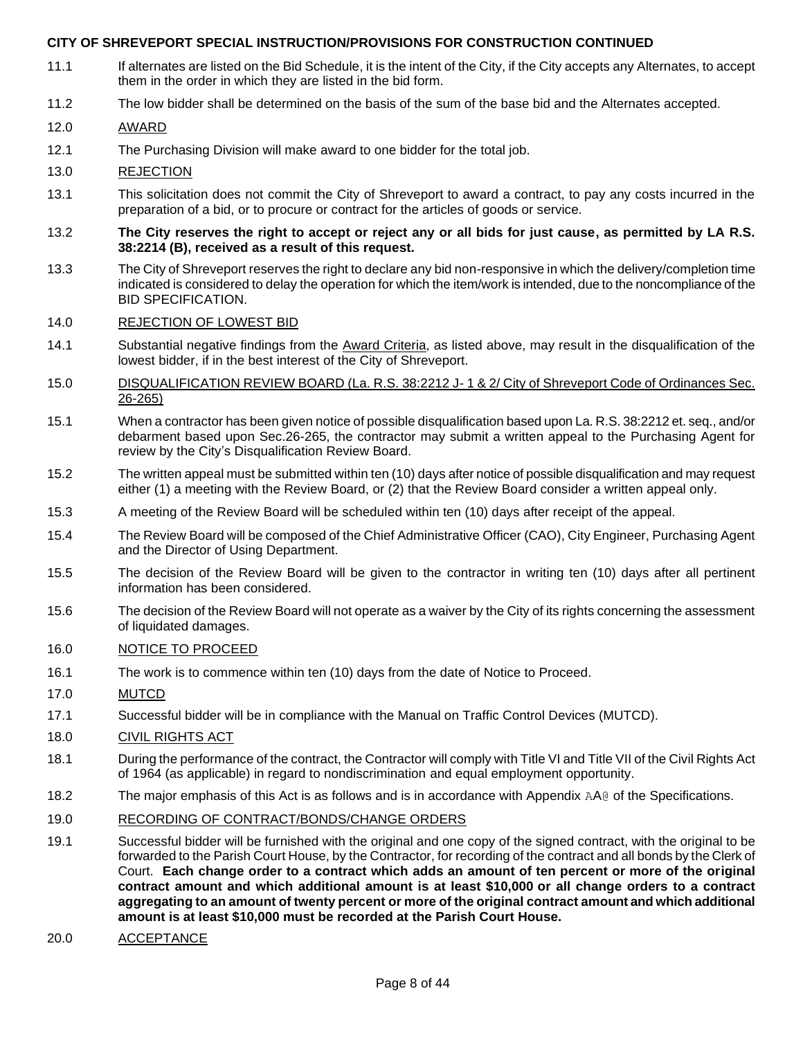- 11.1 If alternates are listed on the Bid Schedule, it is the intent of the City, if the City accepts any Alternates, to accept them in the order in which they are listed in the bid form.
- 11.2 The low bidder shall be determined on the basis of the sum of the base bid and the Alternates accepted.

#### 12.0 AWARD

12.1 The Purchasing Division will make award to one bidder for the total job.

#### 13.0 REJECTION

- 13.1 This solicitation does not commit the City of Shreveport to award a contract, to pay any costs incurred in the preparation of a bid, or to procure or contract for the articles of goods or service.
- 13.2 **The City reserves the right to accept or reject any or all bids for just cause, as permitted by LA R.S. 38:2214 (B), received as a result of this request.**
- 13.3 The City of Shreveport reserves the right to declare any bid non-responsive in which the delivery/completion time indicated is considered to delay the operation for which the item/work is intended, due to the noncompliance of the BID SPECIFICATION.

#### 14.0 REJECTION OF LOWEST BID

- 14.1 Substantial negative findings from the Award Criteria, as listed above, may result in the disqualification of the lowest bidder, if in the best interest of the City of Shreveport.
- 15.0 DISQUALIFICATION REVIEW BOARD (La. R.S. 38:2212 J- 1 & 2/ City of Shreveport Code of Ordinances Sec. 26-265)
- 15.1 When a contractor has been given notice of possible disqualification based upon La. R.S. 38:2212 et. seq., and/or debarment based upon Sec.26-265, the contractor may submit a written appeal to the Purchasing Agent for review by the City's Disqualification Review Board.
- 15.2 The written appeal must be submitted within ten (10) days after notice of possible disqualification and may request either (1) a meeting with the Review Board, or (2) that the Review Board consider a written appeal only.
- 15.3 A meeting of the Review Board will be scheduled within ten (10) days after receipt of the appeal.
- 15.4 The Review Board will be composed of the Chief Administrative Officer (CAO), City Engineer, Purchasing Agent and the Director of Using Department.
- 15.5 The decision of the Review Board will be given to the contractor in writing ten (10) days after all pertinent information has been considered.
- 15.6 The decision of the Review Board will not operate as a waiver by the City of its rights concerning the assessment of liquidated damages.

#### 16.0 NOTICE TO PROCEED

- 16.1 The work is to commence within ten (10) days from the date of Notice to Proceed.
- 17.0 MUTCD
- 17.1 Successful bidder will be in compliance with the Manual on Traffic Control Devices (MUTCD).

#### 18.0 CIVIL RIGHTS ACT

- 18.1 During the performance of the contract, the Contractor will comply with Title VI and Title VII of the Civil Rights Act of 1964 (as applicable) in regard to nondiscrimination and equal employment opportunity.
- 18.2 The major emphasis of this Act is as follows and is in accordance with Appendix AA@ of the Specifications.
- 19.0 RECORDING OF CONTRACT/BONDS/CHANGE ORDERS
- 19.1 Successful bidder will be furnished with the original and one copy of the signed contract, with the original to be forwarded to the Parish Court House, by the Contractor, for recording of the contract and all bonds by the Clerk of Court. **Each change order to a contract which adds an amount of ten percent or more of the original contract amount and which additional amount is at least \$10,000 or all change orders to a contract aggregating to an amount of twenty percent or more of the original contract amount and which additional amount is at least \$10,000 must be recorded at the Parish Court House.**
- 20.0 ACCEPTANCE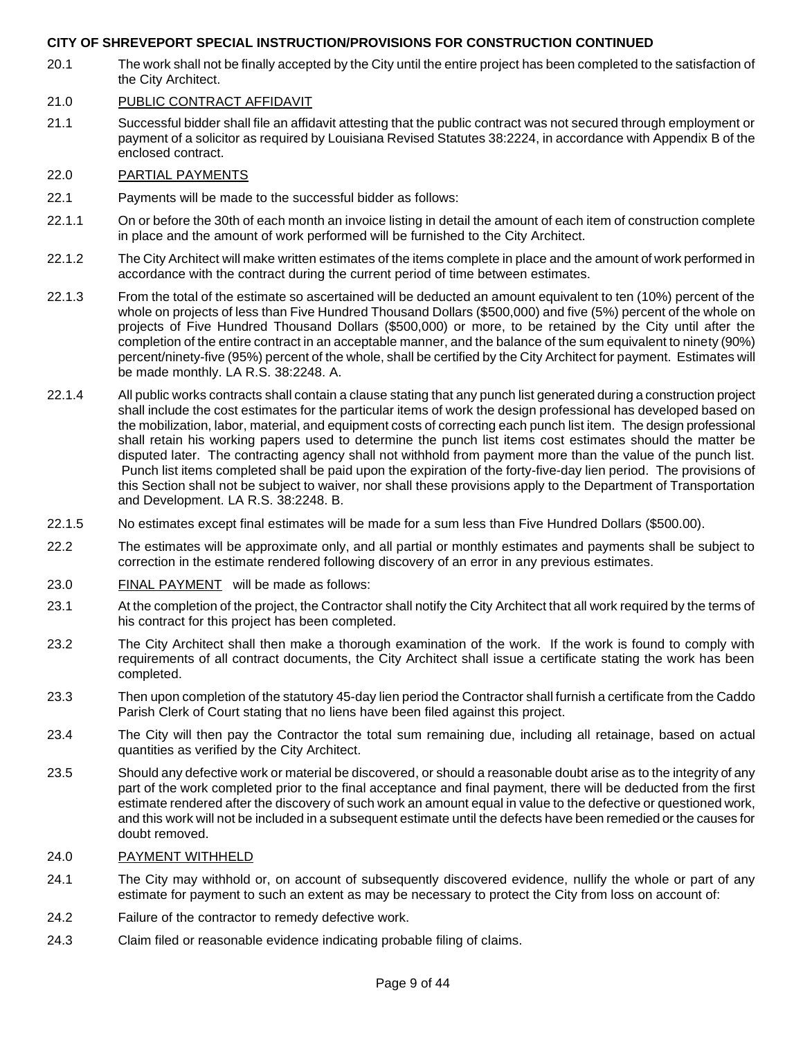20.1 The work shall not be finally accepted by the City until the entire project has been completed to the satisfaction of the City Architect.

#### 21.0 PUBLIC CONTRACT AFFIDAVIT

21.1 Successful bidder shall file an affidavit attesting that the public contract was not secured through employment or payment of a solicitor as required by Louisiana Revised Statutes 38:2224, in accordance with Appendix B of the enclosed contract.

#### 22.0 PARTIAL PAYMENTS

- 22.1 Payments will be made to the successful bidder as follows:
- 22.1.1 On or before the 30th of each month an invoice listing in detail the amount of each item of construction complete in place and the amount of work performed will be furnished to the City Architect.
- 22.1.2 The City Architect will make written estimates of the items complete in place and the amount of work performed in accordance with the contract during the current period of time between estimates.
- 22.1.3 From the total of the estimate so ascertained will be deducted an amount equivalent to ten (10%) percent of the whole on projects of less than Five Hundred Thousand Dollars (\$500,000) and five (5%) percent of the whole on projects of Five Hundred Thousand Dollars (\$500,000) or more, to be retained by the City until after the completion of the entire contract in an acceptable manner, and the balance of the sum equivalent to ninety (90%) percent/ninety-five (95%) percent of the whole, shall be certified by the City Architect for payment. Estimates will be made monthly. LA R.S. 38:2248. A.
- 22.1.4 All public works contracts shall contain a clause stating that any punch list generated during a construction project shall include the cost estimates for the particular items of work the design professional has developed based on the mobilization, labor, material, and equipment costs of correcting each punch list item. The design professional shall retain his working papers used to determine the punch list items cost estimates should the matter be disputed later. The contracting agency shall not withhold from payment more than the value of the punch list. Punch list items completed shall be paid upon the expiration of the forty-five-day lien period. The provisions of this Section shall not be subject to waiver, nor shall these provisions apply to the Department of Transportation and Development. LA R.S. 38:2248. B.
- 22.1.5 No estimates except final estimates will be made for a sum less than Five Hundred Dollars (\$500.00).
- 22.2 The estimates will be approximate only, and all partial or monthly estimates and payments shall be subject to correction in the estimate rendered following discovery of an error in any previous estimates.
- 23.0 FINAL PAYMENT will be made as follows:
- 23.1 At the completion of the project, the Contractor shall notify the City Architect that all work required by the terms of his contract for this project has been completed.
- 23.2 The City Architect shall then make a thorough examination of the work. If the work is found to comply with requirements of all contract documents, the City Architect shall issue a certificate stating the work has been completed.
- 23.3 Then upon completion of the statutory 45-day lien period the Contractor shall furnish a certificate from the Caddo Parish Clerk of Court stating that no liens have been filed against this project.
- 23.4 The City will then pay the Contractor the total sum remaining due, including all retainage, based on actual quantities as verified by the City Architect.
- 23.5 Should any defective work or material be discovered, or should a reasonable doubt arise as to the integrity of any part of the work completed prior to the final acceptance and final payment, there will be deducted from the first estimate rendered after the discovery of such work an amount equal in value to the defective or questioned work, and this work will not be included in a subsequent estimate until the defects have been remedied or the causes for doubt removed.

#### 24.0 PAYMENT WITHHELD

- 24.1 The City may withhold or, on account of subsequently discovered evidence, nullify the whole or part of any estimate for payment to such an extent as may be necessary to protect the City from loss on account of:
- 24.2 Failure of the contractor to remedy defective work.
- 24.3 Claim filed or reasonable evidence indicating probable filing of claims.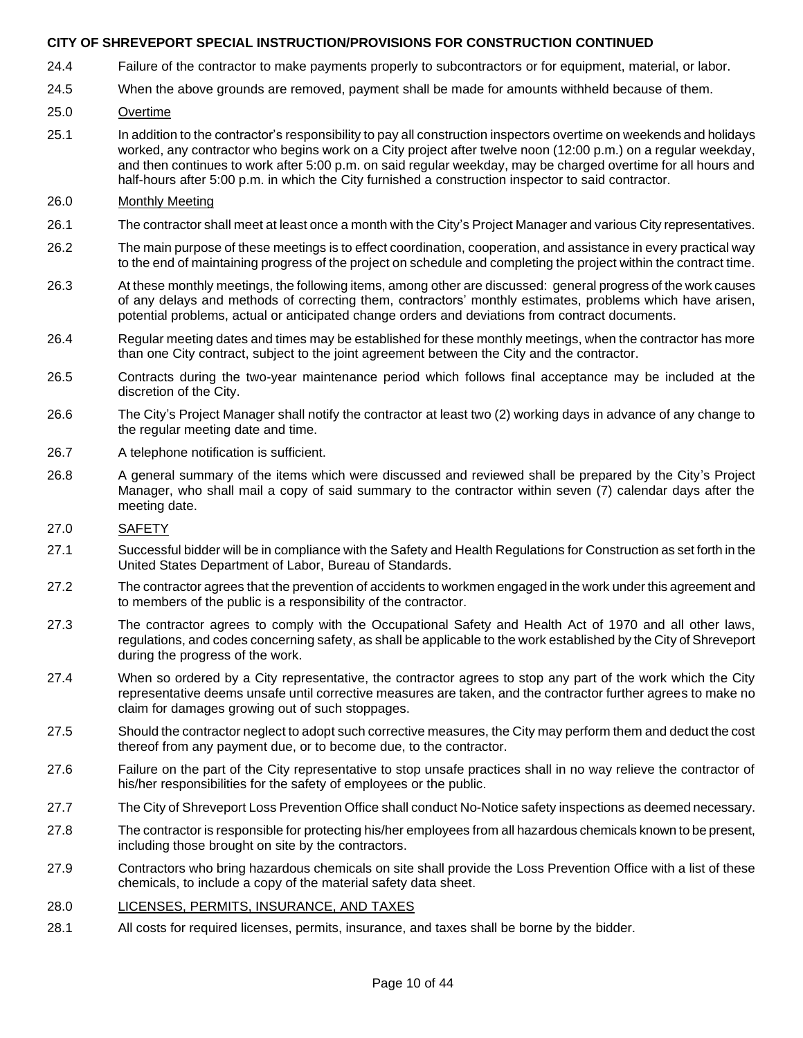- 24.4 Failure of the contractor to make payments properly to subcontractors or for equipment, material, or labor.
- 24.5 When the above grounds are removed, payment shall be made for amounts withheld because of them.
- 25.0 Overtime
- 25.1 In addition to the contractor's responsibility to pay all construction inspectors overtime on weekends and holidays worked, any contractor who begins work on a City project after twelve noon (12:00 p.m.) on a regular weekday, and then continues to work after 5:00 p.m. on said regular weekday, may be charged overtime for all hours and half-hours after 5:00 p.m. in which the City furnished a construction inspector to said contractor.

#### 26.0 Monthly Meeting

- 26.1 The contractor shall meet at least once a month with the City's Project Manager and various City representatives.
- 26.2 The main purpose of these meetings is to effect coordination, cooperation, and assistance in every practical way to the end of maintaining progress of the project on schedule and completing the project within the contract time.
- 26.3 At these monthly meetings, the following items, among other are discussed: general progress of the work causes of any delays and methods of correcting them, contractors' monthly estimates, problems which have arisen, potential problems, actual or anticipated change orders and deviations from contract documents.
- 26.4 Regular meeting dates and times may be established for these monthly meetings, when the contractor has more than one City contract, subject to the joint agreement between the City and the contractor.
- 26.5 Contracts during the two-year maintenance period which follows final acceptance may be included at the discretion of the City.
- 26.6 The City's Project Manager shall notify the contractor at least two (2) working days in advance of any change to the regular meeting date and time.
- 26.7 A telephone notification is sufficient.
- 26.8 A general summary of the items which were discussed and reviewed shall be prepared by the City's Project Manager, who shall mail a copy of said summary to the contractor within seven (7) calendar days after the meeting date.

#### 27.0 SAFETY

- 27.1 Successful bidder will be in compliance with the Safety and Health Regulations for Construction as set forth in the United States Department of Labor, Bureau of Standards.
- 27.2 The contractor agrees that the prevention of accidents to workmen engaged in the work under this agreement and to members of the public is a responsibility of the contractor.
- 27.3 The contractor agrees to comply with the Occupational Safety and Health Act of 1970 and all other laws, regulations, and codes concerning safety, as shall be applicable to the work established by the City of Shreveport during the progress of the work.
- 27.4 When so ordered by a City representative, the contractor agrees to stop any part of the work which the City representative deems unsafe until corrective measures are taken, and the contractor further agrees to make no claim for damages growing out of such stoppages.
- 27.5 Should the contractor neglect to adopt such corrective measures, the City may perform them and deduct the cost thereof from any payment due, or to become due, to the contractor.
- 27.6 Failure on the part of the City representative to stop unsafe practices shall in no way relieve the contractor of his/her responsibilities for the safety of employees or the public.
- 27.7 The City of Shreveport Loss Prevention Office shall conduct No-Notice safety inspections as deemed necessary.
- 27.8 The contractor is responsible for protecting his/her employees from all hazardous chemicals known to be present, including those brought on site by the contractors.
- 27.9 Contractors who bring hazardous chemicals on site shall provide the Loss Prevention Office with a list of these chemicals, to include a copy of the material safety data sheet.
- 28.0 LICENSES, PERMITS, INSURANCE, AND TAXES
- 28.1 All costs for required licenses, permits, insurance, and taxes shall be borne by the bidder.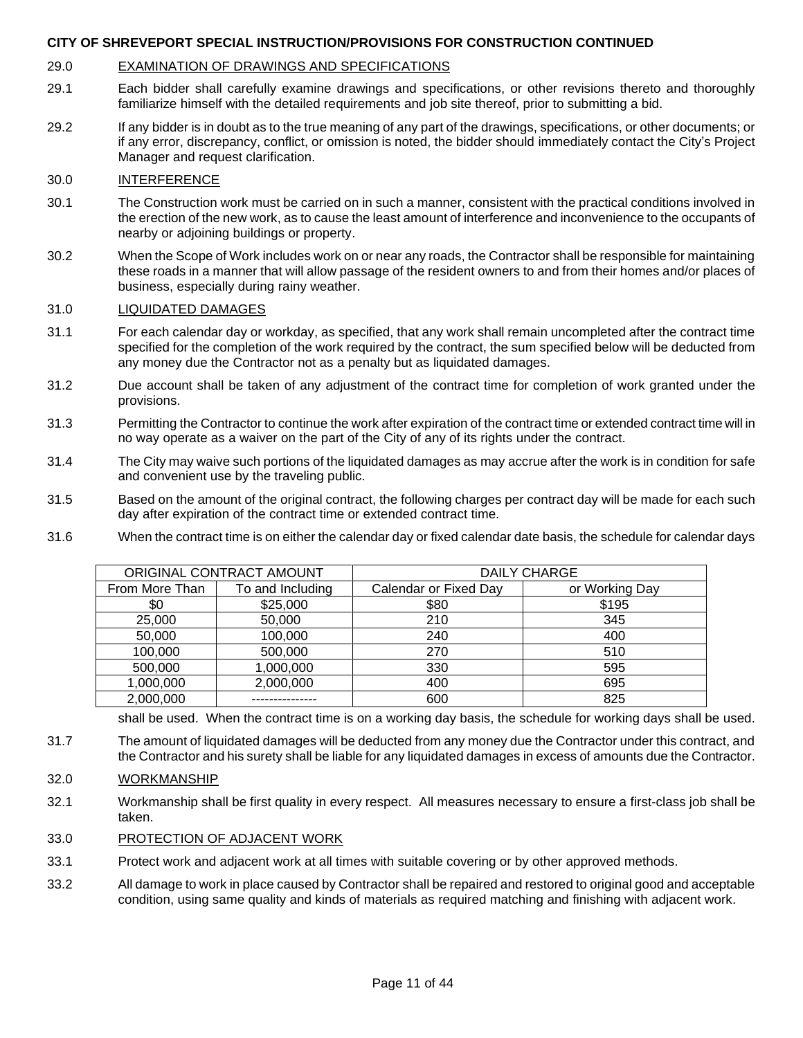#### 29.0 EXAMINATION OF DRAWINGS AND SPECIFICATIONS

- 29.1 Each bidder shall carefully examine drawings and specifications, or other revisions thereto and thoroughly familiarize himself with the detailed requirements and job site thereof, prior to submitting a bid.
- 29.2 If any bidder is in doubt as to the true meaning of any part of the drawings, specifications, or other documents; or if any error, discrepancy, conflict, or omission is noted, the bidder should immediately contact the City's Project Manager and request clarification.

#### 30.0 INTERFERENCE

- 30.1 The Construction work must be carried on in such a manner, consistent with the practical conditions involved in the erection of the new work, as to cause the least amount of interference and inconvenience to the occupants of nearby or adjoining buildings or property.
- 30.2 When the Scope of Work includes work on or near any roads, the Contractor shall be responsible for maintaining these roads in a manner that will allow passage of the resident owners to and from their homes and/or places of business, especially during rainy weather.

#### 31.0 LIQUIDATED DAMAGES

- 31.1 For each calendar day or workday, as specified, that any work shall remain uncompleted after the contract time specified for the completion of the work required by the contract, the sum specified below will be deducted from any money due the Contractor not as a penalty but as liquidated damages.
- 31.2 Due account shall be taken of any adjustment of the contract time for completion of work granted under the provisions.
- 31.3 Permitting the Contractor to continue the work after expiration of the contract time or extended contract time will in no way operate as a waiver on the part of the City of any of its rights under the contract.
- 31.4 The City may waive such portions of the liquidated damages as may accrue after the work is in condition for safe and convenient use by the traveling public.
- 31.5 Based on the amount of the original contract, the following charges per contract day will be made for each such day after expiration of the contract time or extended contract time.
- 31.6 When the contract time is on either the calendar day or fixed calendar date basis, the schedule for calendar days

| ORIGINAL CONTRACT AMOUNT |                  | <b>DAILY CHARGE</b>   |                |  |
|--------------------------|------------------|-----------------------|----------------|--|
| From More Than           | To and Including | Calendar or Fixed Day | or Working Day |  |
| \$0                      | \$25,000         | \$80                  | \$195          |  |
| 25,000                   | 50,000           | 210                   | 345            |  |
| 50,000                   | 100,000          | 240                   | 400            |  |
| 100,000                  | 500,000          | 270                   | 510            |  |
| 500,000                  | 1,000,000        | 330                   | 595            |  |
| 1,000,000                | 2,000,000        | 400                   | 695            |  |
| 2,000,000                |                  | 600                   | 825            |  |

shall be used. When the contract time is on a working day basis, the schedule for working days shall be used.

31.7 The amount of liquidated damages will be deducted from any money due the Contractor under this contract, and the Contractor and his surety shall be liable for any liquidated damages in excess of amounts due the Contractor.

#### 32.0 WORKMANSHIP

32.1 Workmanship shall be first quality in every respect. All measures necessary to ensure a first-class job shall be taken.

#### 33.0 PROTECTION OF ADJACENT WORK

- 33.1 Protect work and adjacent work at all times with suitable covering or by other approved methods.
- 33.2 All damage to work in place caused by Contractor shall be repaired and restored to original good and acceptable condition, using same quality and kinds of materials as required matching and finishing with adjacent work.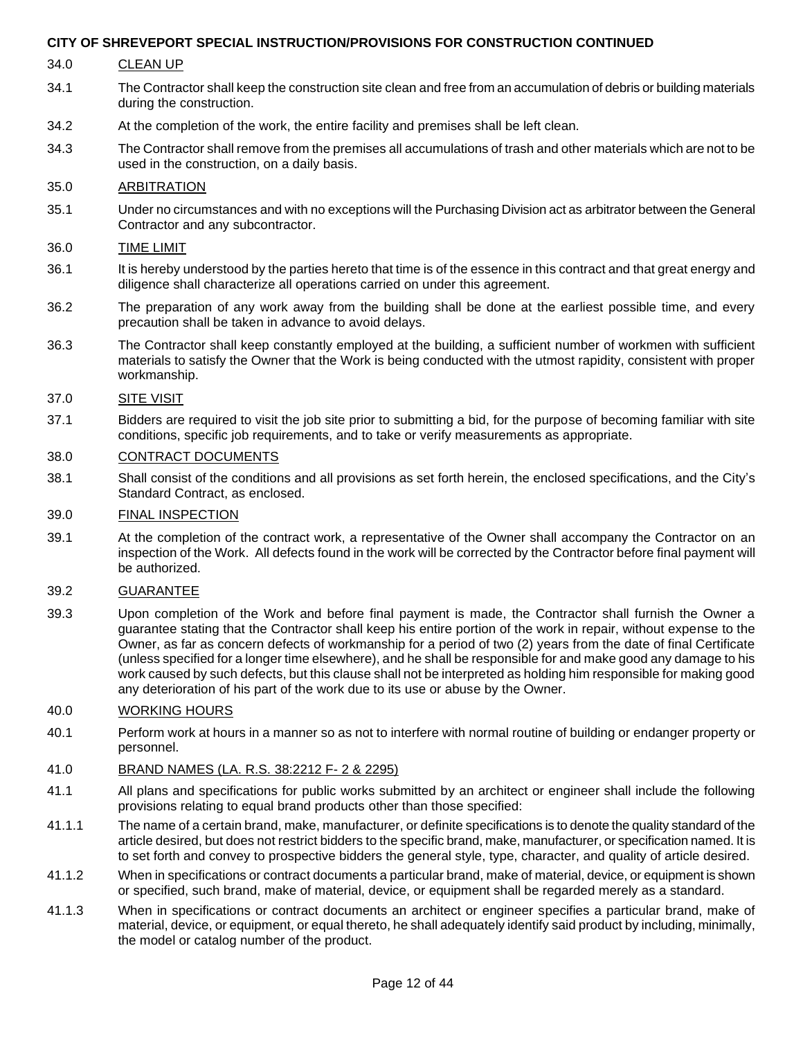- 34.0 CLEAN UP
- 34.1 The Contractor shall keep the construction site clean and free from an accumulation of debris or building materials during the construction.
- 34.2 At the completion of the work, the entire facility and premises shall be left clean.
- 34.3 The Contractor shall remove from the premises all accumulations of trash and other materials which are not to be used in the construction, on a daily basis.

#### 35.0 ARBITRATION

35.1 Under no circumstances and with no exceptions will the Purchasing Division act as arbitrator between the General Contractor and any subcontractor.

#### 36.0 TIME LIMIT

- 36.1 It is hereby understood by the parties hereto that time is of the essence in this contract and that great energy and diligence shall characterize all operations carried on under this agreement.
- 36.2 The preparation of any work away from the building shall be done at the earliest possible time, and every precaution shall be taken in advance to avoid delays.
- 36.3 The Contractor shall keep constantly employed at the building, a sufficient number of workmen with sufficient materials to satisfy the Owner that the Work is being conducted with the utmost rapidity, consistent with proper workmanship.

#### 37.0 SITE VISIT

37.1 Bidders are required to visit the job site prior to submitting a bid, for the purpose of becoming familiar with site conditions, specific job requirements, and to take or verify measurements as appropriate.

#### 38.0 CONTRACT DOCUMENTS

38.1 Shall consist of the conditions and all provisions as set forth herein, the enclosed specifications, and the City's Standard Contract, as enclosed.

#### 39.0 FINAL INSPECTION

39.1 At the completion of the contract work, a representative of the Owner shall accompany the Contractor on an inspection of the Work. All defects found in the work will be corrected by the Contractor before final payment will be authorized.

#### 39.2 GUARANTEE

39.3 Upon completion of the Work and before final payment is made, the Contractor shall furnish the Owner a guarantee stating that the Contractor shall keep his entire portion of the work in repair, without expense to the Owner, as far as concern defects of workmanship for a period of two (2) years from the date of final Certificate (unless specified for a longer time elsewhere), and he shall be responsible for and make good any damage to his work caused by such defects, but this clause shall not be interpreted as holding him responsible for making good any deterioration of his part of the work due to its use or abuse by the Owner.

#### 40.0 WORKING HOURS

40.1 Perform work at hours in a manner so as not to interfere with normal routine of building or endanger property or personnel.

#### 41.0 BRAND NAMES (LA. R.S. 38:2212 F- 2 & 2295)

- 41.1 All plans and specifications for public works submitted by an architect or engineer shall include the following provisions relating to equal brand products other than those specified:
- 41.1.1 The name of a certain brand, make, manufacturer, or definite specifications is to denote the quality standard of the article desired, but does not restrict bidders to the specific brand, make, manufacturer, or specification named. It is to set forth and convey to prospective bidders the general style, type, character, and quality of article desired.
- 41.1.2 When in specifications or contract documents a particular brand, make of material, device, or equipment is shown or specified, such brand, make of material, device, or equipment shall be regarded merely as a standard.
- 41.1.3 When in specifications or contract documents an architect or engineer specifies a particular brand, make of material, device, or equipment, or equal thereto, he shall adequately identify said product by including, minimally, the model or catalog number of the product.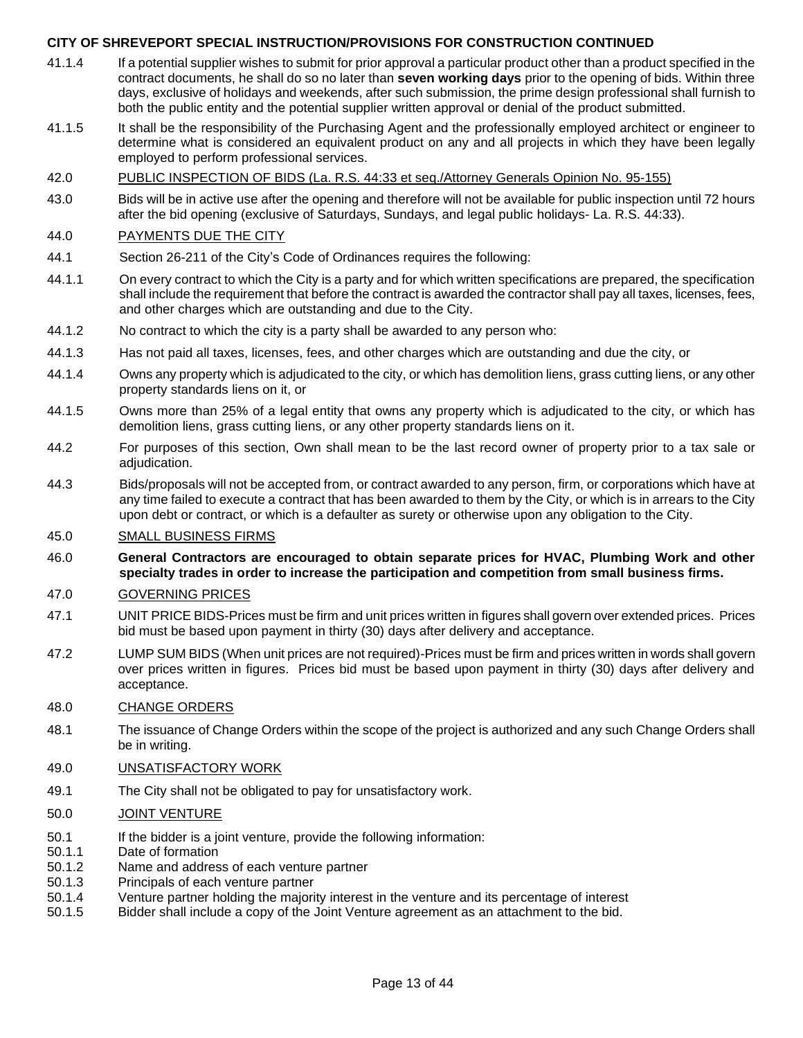- 41.1.4 If a potential supplier wishes to submit for prior approval a particular product other than a product specified in the contract documents, he shall do so no later than **seven working days** prior to the opening of bids. Within three days, exclusive of holidays and weekends, after such submission, the prime design professional shall furnish to both the public entity and the potential supplier written approval or denial of the product submitted.
- 41.1.5 It shall be the responsibility of the Purchasing Agent and the professionally employed architect or engineer to determine what is considered an equivalent product on any and all projects in which they have been legally employed to perform professional services.

#### 42.0 PUBLIC INSPECTION OF BIDS (La. R.S. 44:33 et seq./Attorney Generals Opinion No. 95-155)

43.0 Bids will be in active use after the opening and therefore will not be available for public inspection until 72 hours after the bid opening (exclusive of Saturdays, Sundays, and legal public holidays- La. R.S. 44:33).

#### 44.0 PAYMENTS DUE THE CITY

- 44.1 Section 26-211 of the City's Code of Ordinances requires the following:
- 44.1.1 On every contract to which the City is a party and for which written specifications are prepared, the specification shall include the requirement that before the contract is awarded the contractor shall pay all taxes, licenses, fees, and other charges which are outstanding and due to the City.
- 44.1.2 No contract to which the city is a party shall be awarded to any person who:
- 44.1.3 Has not paid all taxes, licenses, fees, and other charges which are outstanding and due the city, or
- 44.1.4 Owns any property which is adjudicated to the city, or which has demolition liens, grass cutting liens, or any other property standards liens on it, or
- 44.1.5 Owns more than 25% of a legal entity that owns any property which is adjudicated to the city, or which has demolition liens, grass cutting liens, or any other property standards liens on it.
- 44.2 For purposes of this section, Own shall mean to be the last record owner of property prior to a tax sale or adjudication.
- 44.3 Bids/proposals will not be accepted from, or contract awarded to any person, firm, or corporations which have at any time failed to execute a contract that has been awarded to them by the City, or which is in arrears to the City upon debt or contract, or which is a defaulter as surety or otherwise upon any obligation to the City.

#### 45.0 SMALL BUSINESS FIRMS

46.0 **General Contractors are encouraged to obtain separate prices for HVAC, Plumbing Work and other specialty trades in order to increase the participation and competition from small business firms.**

#### 47.0 GOVERNING PRICES

- 47.1 UNIT PRICE BIDS-Prices must be firm and unit prices written in figures shall govern over extended prices. Prices bid must be based upon payment in thirty (30) days after delivery and acceptance.
- 47.2 LUMP SUM BIDS (When unit prices are not required)-Prices must be firm and prices written in words shall govern over prices written in figures. Prices bid must be based upon payment in thirty (30) days after delivery and acceptance.

#### 48.0 CHANGE ORDERS

48.1 The issuance of Change Orders within the scope of the project is authorized and any such Change Orders shall be in writing.

#### 49.0 UNSATISFACTORY WORK

49.1 The City shall not be obligated to pay for unsatisfactory work.

#### 50.0 JOINT VENTURE

- 50.1 If the bidder is a joint venture, provide the following information:
- 50.1.1 Date of formation
- 50.1.2 Name and address of each venture partner
- 50.1.3 Principals of each venture partner
- 50.1.4 Venture partner holding the majority interest in the venture and its percentage of interest
- 50.1.5 Bidder shall include a copy of the Joint Venture agreement as an attachment to the bid.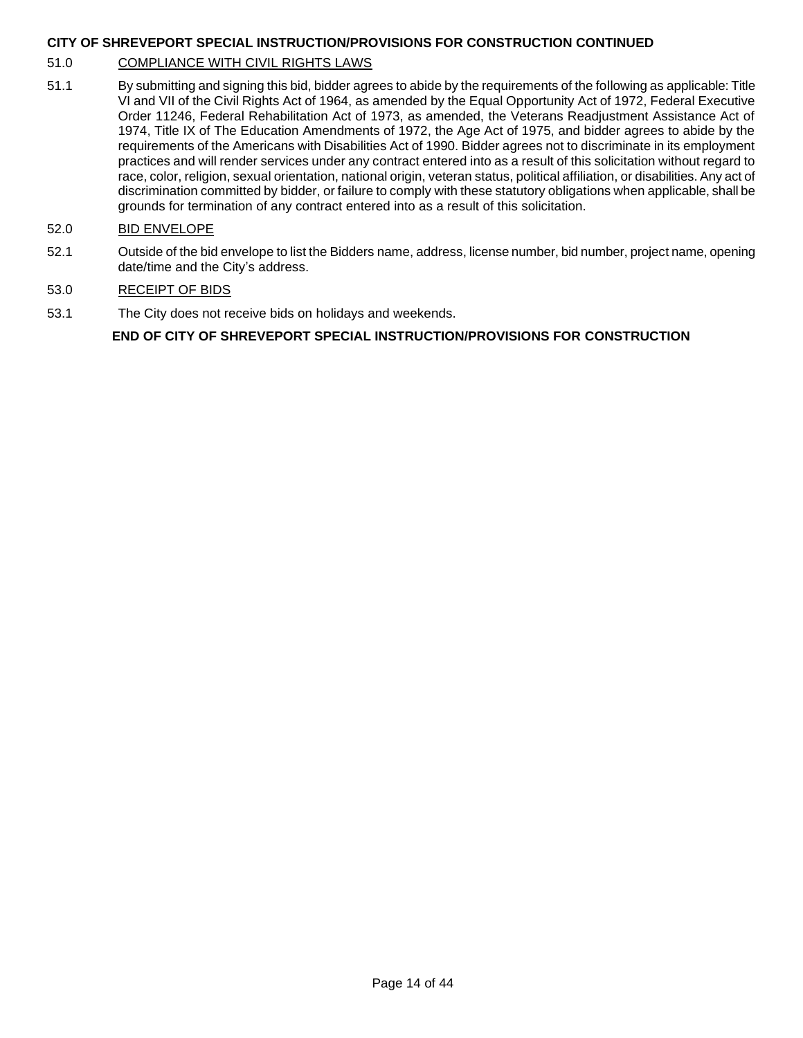#### 51.0 COMPLIANCE WITH CIVIL RIGHTS LAWS

51.1 By submitting and signing this bid, bidder agrees to abide by the requirements of the following as applicable: Title VI and VII of the Civil Rights Act of 1964, as amended by the Equal Opportunity Act of 1972, Federal Executive Order 11246, Federal Rehabilitation Act of 1973, as amended, the Veterans Readjustment Assistance Act of 1974, Title IX of The Education Amendments of 1972, the Age Act of 1975, and bidder agrees to abide by the requirements of the Americans with Disabilities Act of 1990. Bidder agrees not to discriminate in its employment practices and will render services under any contract entered into as a result of this solicitation without regard to race, color, religion, sexual orientation, national origin, veteran status, political affiliation, or disabilities. Any act of discrimination committed by bidder, or failure to comply with these statutory obligations when applicable, shall be grounds for termination of any contract entered into as a result of this solicitation.

#### 52.0 BID ENVELOPE

52.1 Outside of the bid envelope to list the Bidders name, address, license number, bid number, project name, opening date/time and the City's address.

#### 53.0 RECEIPT OF BIDS

53.1 The City does not receive bids on holidays and weekends.

#### **END OF CITY OF SHREVEPORT SPECIAL INSTRUCTION/PROVISIONS FOR CONSTRUCTION**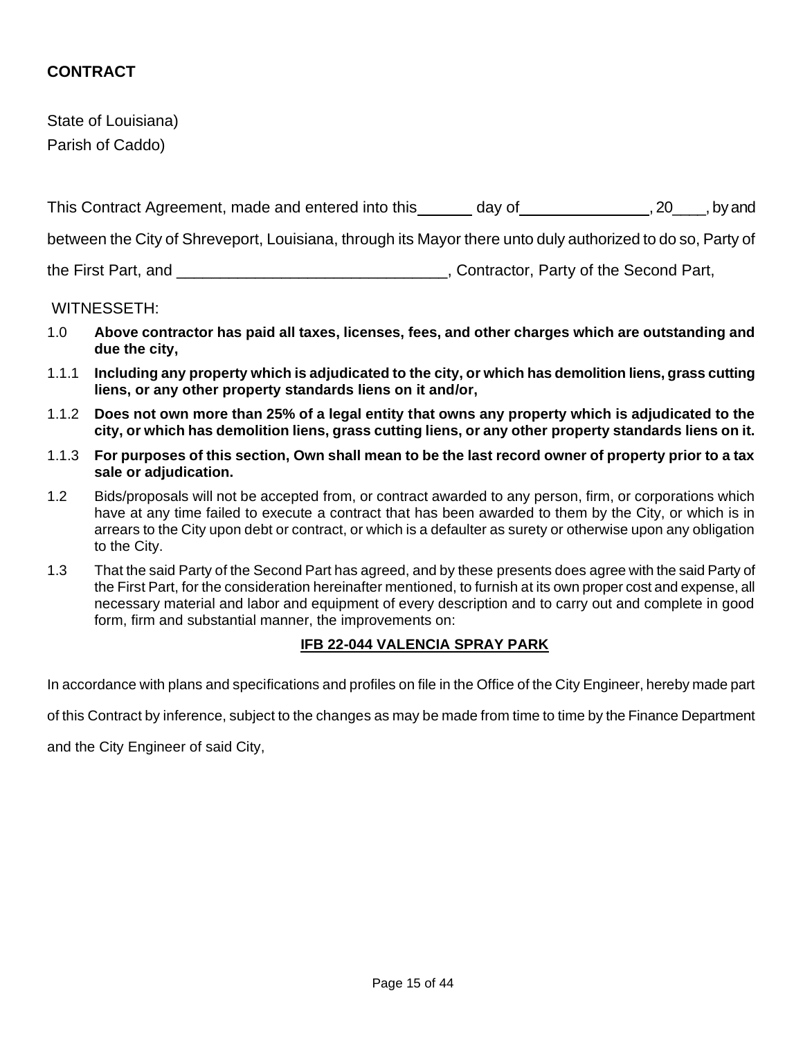## **CONTRACT**

State of Louisiana) Parish of Caddo)

| This Contract Agreement, made and entered into this                                                        | day of                                | , by and<br><b>20</b> |
|------------------------------------------------------------------------------------------------------------|---------------------------------------|-----------------------|
| between the City of Shreveport, Louisiana, through its Mayor there unto duly authorized to do so, Party of |                                       |                       |
| the First Part, and                                                                                        | Contractor, Party of the Second Part, |                       |

#### WITNESSETH:

- 1.0 **Above contractor has paid all taxes, licenses, fees, and other charges which are outstanding and due the city,**
- 1.1.1 **Including any property which is adjudicated to the city, or which has demolition liens, grass cutting liens, or any other property standards liens on it and/or,**
- 1.1.2 **Does not own more than 25% of a legal entity that owns any property which is adjudicated to the city, or which has demolition liens, grass cutting liens, or any other property standards liens on it.**
- 1.1.3 **For purposes of this section, Own shall mean to be the last record owner of property prior to a tax sale or adjudication.**
- 1.2 Bids/proposals will not be accepted from, or contract awarded to any person, firm, or corporations which have at any time failed to execute a contract that has been awarded to them by the City, or which is in arrears to the City upon debt or contract, or which is a defaulter as surety or otherwise upon any obligation to the City.
- 1.3 That the said Party of the Second Part has agreed, and by these presents does agree with the said Party of the First Part, for the consideration hereinafter mentioned, to furnish at its own proper cost and expense, all necessary material and labor and equipment of every description and to carry out and complete in good form, firm and substantial manner, the improvements on:

#### **IFB 22-044 VALENCIA SPRAY PARK**

In accordance with plans and specifications and profiles on file in the Office of the City Engineer, hereby made part

of this Contract by inference, subject to the changes as may be made from time to time by the Finance Department

and the City Engineer of said City,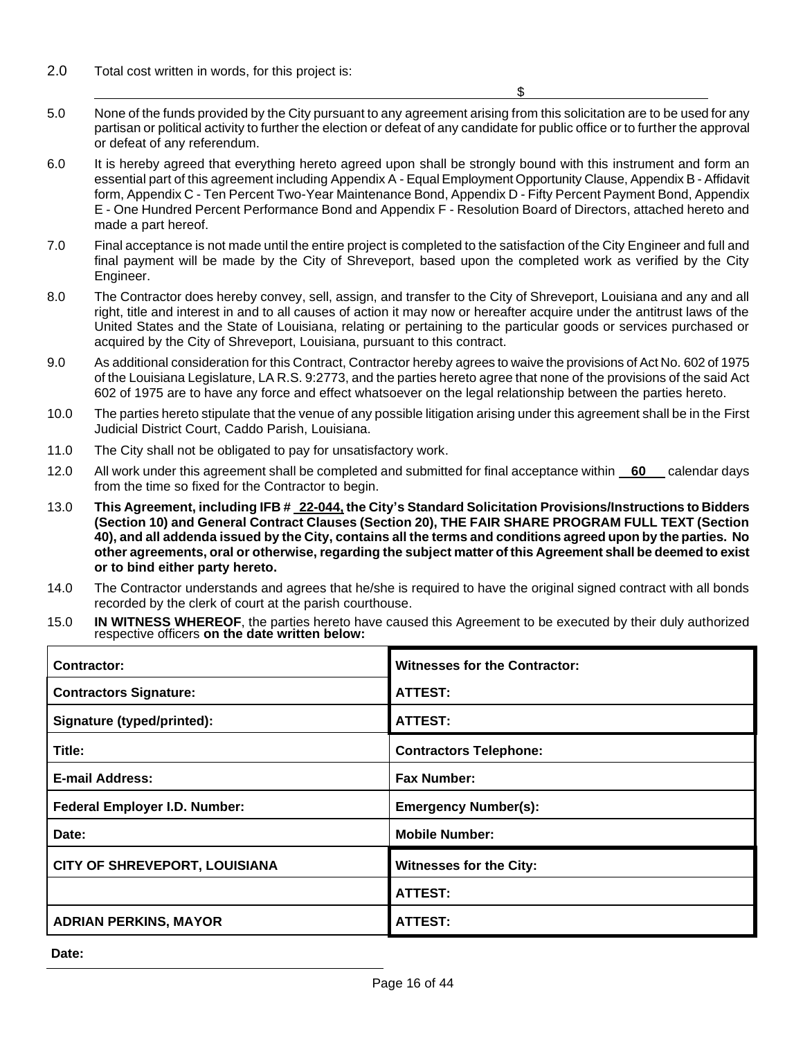2.0 Total cost written in words, for this project is:

 $\sim$   $\frac{1}{2}$ 

- 5.0 None of the funds provided by the City pursuant to any agreement arising from this solicitation are to be used for any partisan or political activity to further the election or defeat of any candidate for public office or to further the approval or defeat of any referendum.
- 6.0 It is hereby agreed that everything hereto agreed upon shall be strongly bound with this instrument and form an essential part of this agreement including Appendix A - Equal Employment Opportunity Clause, Appendix B - Affidavit form, Appendix C - Ten Percent Two-Year Maintenance Bond, Appendix D - Fifty Percent Payment Bond, Appendix E - One Hundred Percent Performance Bond and Appendix F - Resolution Board of Directors, attached hereto and made a part hereof.
- 7.0 Final acceptance is not made until the entire project is completed to the satisfaction of the City Engineer and full and final payment will be made by the City of Shreveport, based upon the completed work as verified by the City Engineer.
- 8.0 The Contractor does hereby convey, sell, assign, and transfer to the City of Shreveport, Louisiana and any and all right, title and interest in and to all causes of action it may now or hereafter acquire under the antitrust laws of the United States and the State of Louisiana, relating or pertaining to the particular goods or services purchased or acquired by the City of Shreveport, Louisiana, pursuant to this contract.
- 9.0 As additional consideration for this Contract, Contractor hereby agrees to waive the provisions of Act No. 602 of 1975 of the Louisiana Legislature, LA R.S. 9:2773, and the parties hereto agree that none of the provisions of the said Act 602 of 1975 are to have any force and effect whatsoever on the legal relationship between the parties hereto.
- 10.0 The parties hereto stipulate that the venue of any possible litigation arising under this agreement shall be in the First Judicial District Court, Caddo Parish, Louisiana.
- 11.0 The City shall not be obligated to pay for unsatisfactory work.
- 12.0 All work under this agreement shall be completed and submitted for final acceptance within **60** calendar days from the time so fixed for the Contractor to begin.
- 13.0 **This Agreement, including IFB # 22-044, the City's Standard Solicitation Provisions/Instructions to Bidders (Section 10) and General Contract Clauses (Section 20), THE FAIR SHARE PROGRAM FULL TEXT (Section 40), and all addenda issued by the City, contains all the terms and conditions agreed upon by the parties. No other agreements, oral or otherwise, regarding the subject matter of this Agreement shall be deemed to exist or to bind either party hereto.**
- 14.0 The Contractor understands and agrees that he/she is required to have the original signed contract with all bonds recorded by the clerk of court at the parish courthouse.
- 15.0 **IN WITNESS WHEREOF**, the parties hereto have caused this Agreement to be executed by their duly authorized respective officers **on the date written below:**

| Contractor:                          | <b>Witnesses for the Contractor:</b> |
|--------------------------------------|--------------------------------------|
| <b>Contractors Signature:</b>        | ATTEST:                              |
| Signature (typed/printed):           | ATTEST:                              |
| Title:                               | <b>Contractors Telephone:</b>        |
| <b>E-mail Address:</b>               | <b>Fax Number:</b>                   |
| Federal Employer I.D. Number:        | <b>Emergency Number(s):</b>          |
| Date:                                | <b>Mobile Number:</b>                |
| <b>CITY OF SHREVEPORT, LOUISIANA</b> | <b>Witnesses for the City:</b>       |
|                                      | <b>ATTEST:</b>                       |
| <b>ADRIAN PERKINS, MAYOR</b>         | <b>ATTEST:</b>                       |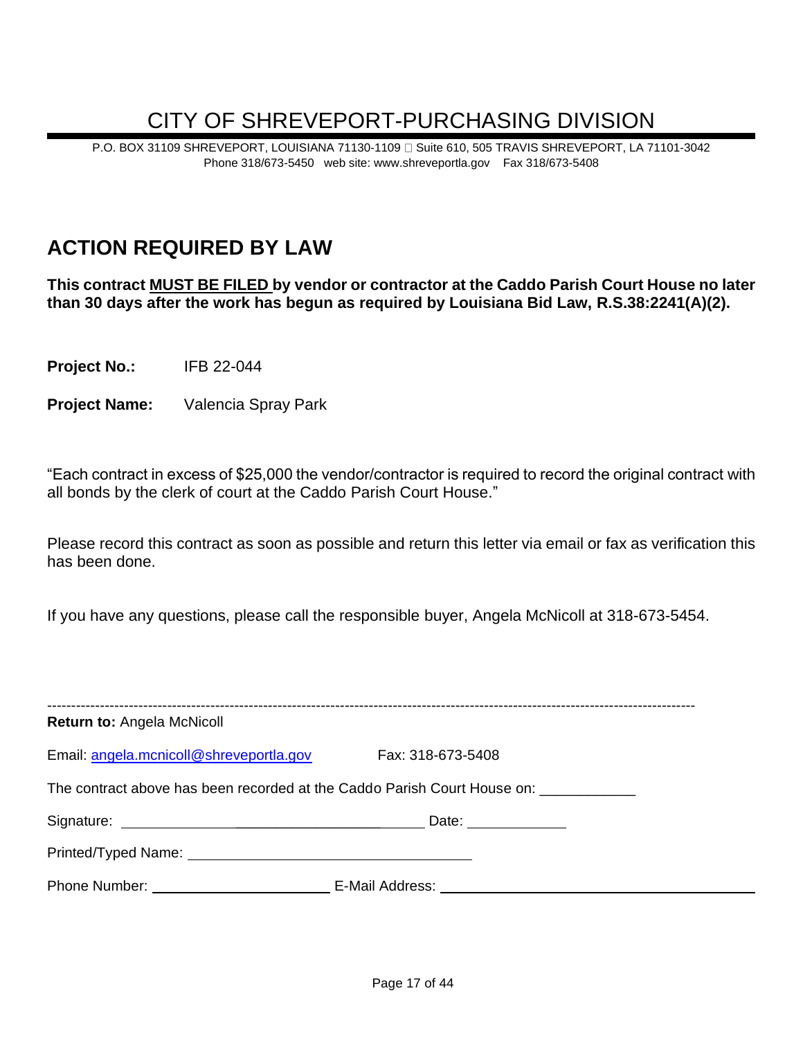## CITY OF SHREVEPORT-PURCHASING DIVISION

P.O. BOX 31109 SHREVEPORT, LOUISIANA 71130-1109 **G** Suite 610, 505 TRAVIS SHREVEPORT, LA 71101-3042 Phone 318/673-5450 web site: www.shreveportla.gov Fax 318/673-5408

## **ACTION REQUIRED BY LAW**

**This contract MUST BE FILED by vendor or contractor at the Caddo Parish Court House no later than 30 days after the work has begun as required by Louisiana Bid Law, R.S.38:2241(A)(2).**

**Project No.:** IFB 22-044

**Project Name:** Valencia Spray Park

"Each contract in excess of \$25,000 the vendor/contractor is required to record the original contract with all bonds by the clerk of court at the Caddo Parish Court House."

Please record this contract as soon as possible and return this letter via email or fax as verification this has been done.

If you have any questions, please call the responsible buyer, Angela McNicoll at 318-673-5454.

| <b>Return to: Angela McNicoll</b>                                        |                   |
|--------------------------------------------------------------------------|-------------------|
| Email: angela.mcnicoll@shreveportla.gov                                  | Fax: 318-673-5408 |
| The contract above has been recorded at the Caddo Parish Court House on: |                   |
|                                                                          | Date: ___________ |
|                                                                          |                   |
|                                                                          |                   |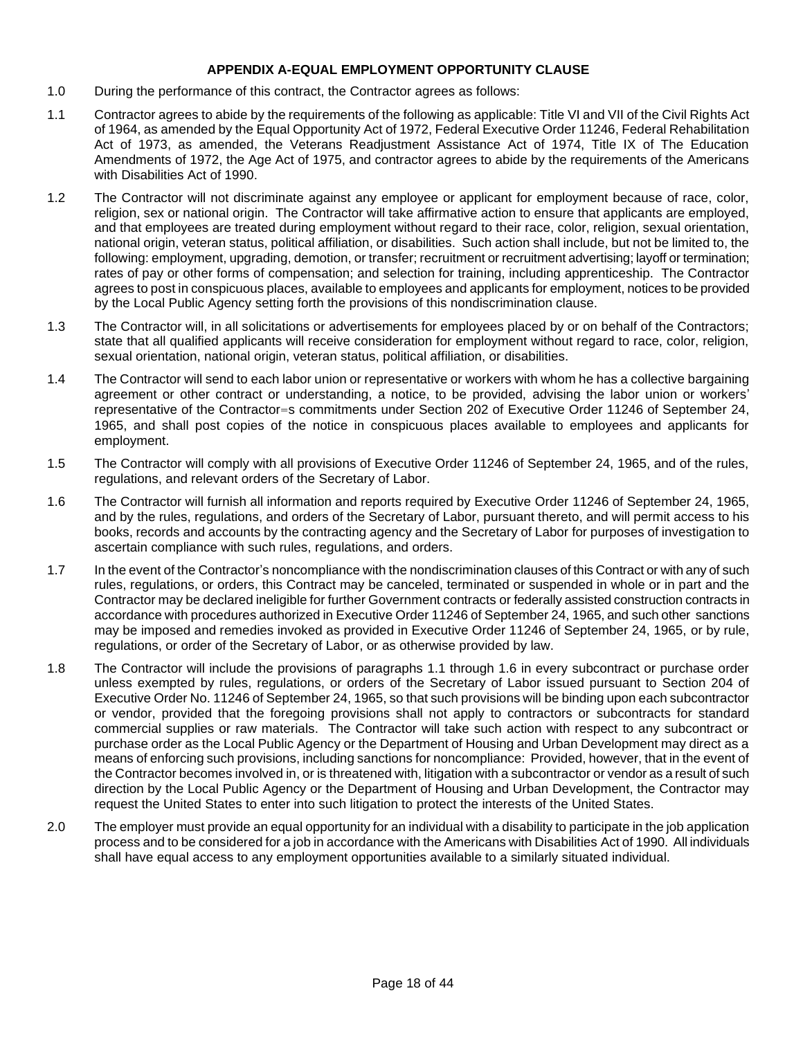#### **APPENDIX A-EQUAL EMPLOYMENT OPPORTUNITY CLAUSE**

- 1.0 During the performance of this contract, the Contractor agrees as follows:
- 1.1 Contractor agrees to abide by the requirements of the following as applicable: Title VI and VII of the Civil Rights Act of 1964, as amended by the Equal Opportunity Act of 1972, Federal Executive Order 11246, Federal Rehabilitation Act of 1973, as amended, the Veterans Readjustment Assistance Act of 1974, Title IX of The Education Amendments of 1972, the Age Act of 1975, and contractor agrees to abide by the requirements of the Americans with Disabilities Act of 1990.
- 1.2 The Contractor will not discriminate against any employee or applicant for employment because of race, color, religion, sex or national origin. The Contractor will take affirmative action to ensure that applicants are employed, and that employees are treated during employment without regard to their race, color, religion, sexual orientation, national origin, veteran status, political affiliation, or disabilities. Such action shall include, but not be limited to, the following: employment, upgrading, demotion, or transfer; recruitment or recruitment advertising; layoff or termination; rates of pay or other forms of compensation; and selection for training, including apprenticeship. The Contractor agrees to post in conspicuous places, available to employees and applicants for employment, notices to be provided by the Local Public Agency setting forth the provisions of this nondiscrimination clause.
- 1.3 The Contractor will, in all solicitations or advertisements for employees placed by or on behalf of the Contractors; state that all qualified applicants will receive consideration for employment without regard to race, color, religion, sexual orientation, national origin, veteran status, political affiliation, or disabilities.
- 1.4 The Contractor will send to each labor union or representative or workers with whom he has a collective bargaining agreement or other contract or understanding, a notice, to be provided, advising the labor union or workers' representative of the Contractor=s commitments under Section 202 of Executive Order 11246 of September 24, 1965, and shall post copies of the notice in conspicuous places available to employees and applicants for employment.
- 1.5 The Contractor will comply with all provisions of Executive Order 11246 of September 24, 1965, and of the rules, regulations, and relevant orders of the Secretary of Labor.
- 1.6 The Contractor will furnish all information and reports required by Executive Order 11246 of September 24, 1965, and by the rules, regulations, and orders of the Secretary of Labor, pursuant thereto, and will permit access to his books, records and accounts by the contracting agency and the Secretary of Labor for purposes of investigation to ascertain compliance with such rules, regulations, and orders.
- 1.7 In the event of the Contractor's noncompliance with the nondiscrimination clauses of this Contract or with any of such rules, regulations, or orders, this Contract may be canceled, terminated or suspended in whole or in part and the Contractor may be declared ineligible for further Government contracts or federally assisted construction contracts in accordance with procedures authorized in Executive Order 11246 of September 24, 1965, and such other sanctions may be imposed and remedies invoked as provided in Executive Order 11246 of September 24, 1965, or by rule, regulations, or order of the Secretary of Labor, or as otherwise provided by law.
- 1.8 The Contractor will include the provisions of paragraphs 1.1 through 1.6 in every subcontract or purchase order unless exempted by rules, regulations, or orders of the Secretary of Labor issued pursuant to Section 204 of Executive Order No. 11246 of September 24, 1965, so that such provisions will be binding upon each subcontractor or vendor, provided that the foregoing provisions shall not apply to contractors or subcontracts for standard commercial supplies or raw materials. The Contractor will take such action with respect to any subcontract or purchase order as the Local Public Agency or the Department of Housing and Urban Development may direct as a means of enforcing such provisions, including sanctions for noncompliance: Provided, however, that in the event of the Contractor becomes involved in, or is threatened with, litigation with a subcontractor or vendor as a result of such direction by the Local Public Agency or the Department of Housing and Urban Development, the Contractor may request the United States to enter into such litigation to protect the interests of the United States.
- 2.0 The employer must provide an equal opportunity for an individual with a disability to participate in the job application process and to be considered for a job in accordance with the Americans with Disabilities Act of 1990. All individuals shall have equal access to any employment opportunities available to a similarly situated individual.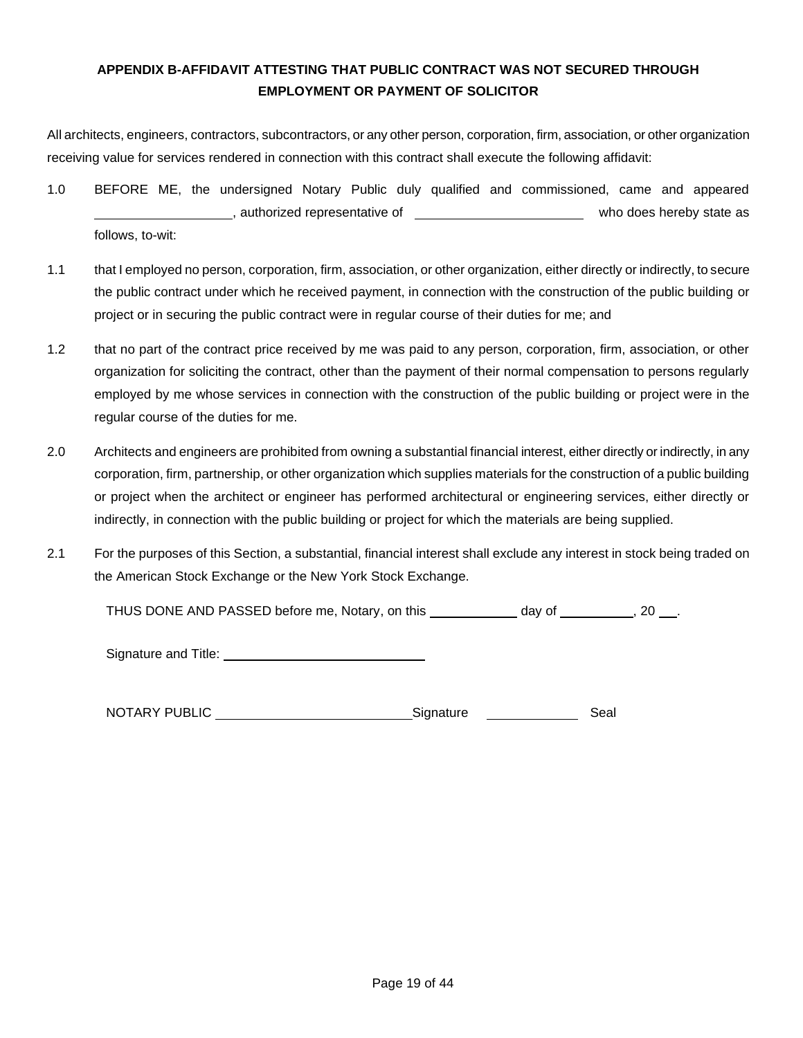### **APPENDIX B-AFFIDAVIT ATTESTING THAT PUBLIC CONTRACT WAS NOT SECURED THROUGH EMPLOYMENT OR PAYMENT OF SOLICITOR**

All architects, engineers, contractors, subcontractors, or any other person, corporation, firm, association, or other organization receiving value for services rendered in connection with this contract shall execute the following affidavit:

- 1.0 BEFORE ME, the undersigned Notary Public duly qualified and commissioned, came and appeared example and the representative of who does hereby state as a set of who does hereby state as follows, to-wit:
- 1.1 that I employed no person, corporation, firm, association, or other organization, either directly or indirectly, to secure the public contract under which he received payment, in connection with the construction of the public building or project or in securing the public contract were in regular course of their duties for me; and
- 1.2 that no part of the contract price received by me was paid to any person, corporation, firm, association, or other organization for soliciting the contract, other than the payment of their normal compensation to persons regularly employed by me whose services in connection with the construction of the public building or project were in the regular course of the duties for me.
- 2.0 Architects and engineers are prohibited from owning a substantial financial interest, either directly or indirectly, in any corporation, firm, partnership, or other organization which supplies materials for the construction of a public building or project when the architect or engineer has performed architectural or engineering services, either directly or indirectly, in connection with the public building or project for which the materials are being supplied.
- 2.1 For the purposes of this Section, a substantial, financial interest shall exclude any interest in stock being traded on the American Stock Exchange or the New York Stock Exchange.

THUS DONE AND PASSED before me, Notary, on this \_\_\_\_\_\_\_\_\_\_\_\_ day of \_\_\_\_\_\_\_\_\_\_, 20 \_\_\_.

Signature and Title:

NOTARY PUBLIC Signature Seal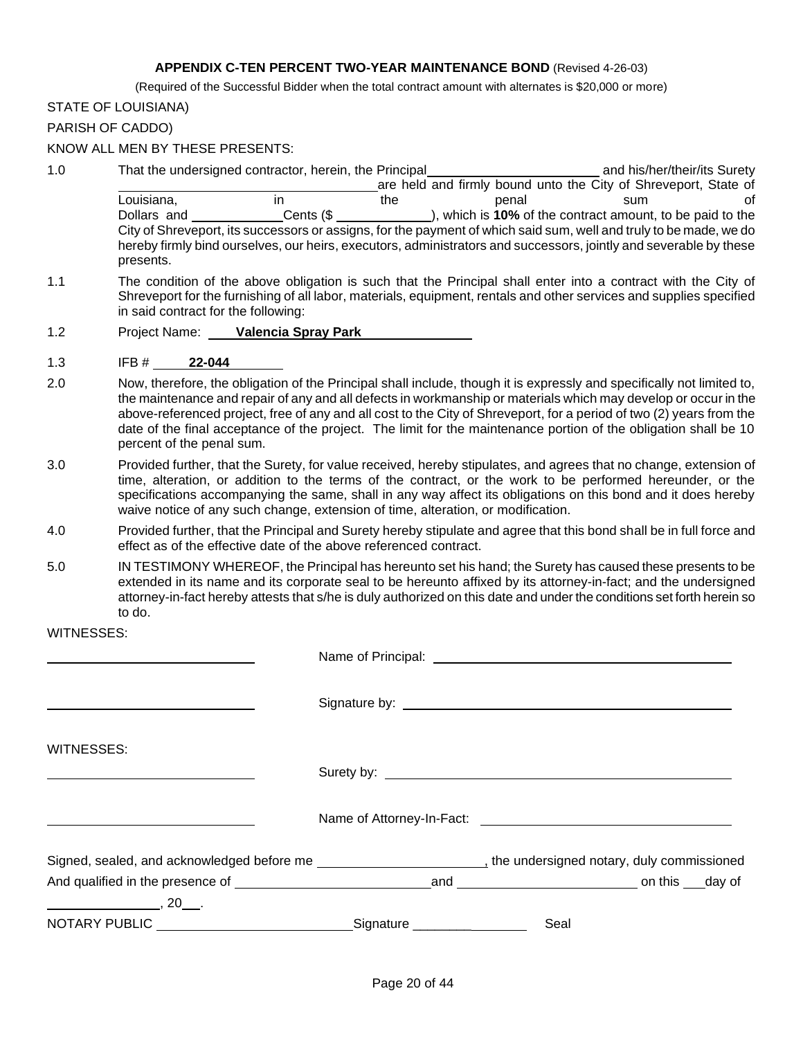#### **APPENDIX C-TEN PERCENT TWO-YEAR MAINTENANCE BOND** (Revised 4-26-03)

(Required of the Successful Bidder when the total contract amount with alternates is \$20,000 or more)

#### STATE OF LOUISIANA)

PARISH OF CADDO)

#### KNOW ALL MEN BY THESE PRESENTS:

| 1.0 |             | That the undersigned contractor, herein, the Principal |     |                                                                                                                    | and his/her/their/its Surety |    |
|-----|-------------|--------------------------------------------------------|-----|--------------------------------------------------------------------------------------------------------------------|------------------------------|----|
|     |             |                                                        |     | are held and firmly bound unto the City of Shreveport, State of                                                    |                              |    |
|     | Louisiana,  | ın                                                     | the | penal                                                                                                              | sum                          | Ωt |
|     | Dollars and | Cents (\$                                              |     | ), which is 10% of the contract amount, to be paid to the                                                          |                              |    |
|     |             |                                                        |     | City of Shreveport, its successors or assigns, for the payment of which said sum, well and truly to be made, we do |                              |    |
|     | presents.   |                                                        |     | hereby firmly bind ourselves, our heirs, executors, administrators and successors, jointly and severable by these  |                              |    |

- 1.1 The condition of the above obligation is such that the Principal shall enter into a contract with the City of Shreveport for the furnishing of all labor, materials, equipment, rentals and other services and supplies specified in said contract for the following:
- 1.2 Project Name: **Valencia Spray Park**
- 1.3 IFB # **22-044**
- 2.0 Now, therefore, the obligation of the Principal shall include, though it is expressly and specifically not limited to, the maintenance and repair of any and all defects in workmanship or materials which may develop or occur in the above-referenced project, free of any and all cost to the City of Shreveport, for a period of two (2) years from the date of the final acceptance of the project. The limit for the maintenance portion of the obligation shall be 10 percent of the penal sum.
- 3.0 Provided further, that the Surety, for value received, hereby stipulates, and agrees that no change, extension of time, alteration, or addition to the terms of the contract, or the work to be performed hereunder, or the specifications accompanying the same, shall in any way affect its obligations on this bond and it does hereby waive notice of any such change, extension of time, alteration, or modification.
- 4.0 Provided further, that the Principal and Surety hereby stipulate and agree that this bond shall be in full force and effect as of the effective date of the above referenced contract.
- 5.0 IN TESTIMONY WHEREOF, the Principal has hereunto set his hand; the Surety has caused these presents to be extended in its name and its corporate seal to be hereunto affixed by its attorney-in-fact; and the undersigned attorney-in-fact hereby attests that s/he is duly authorized on this date and under the conditions set forth herein so to do.

#### WITNESSES:

| WITNESSES:                                                                             |                                                                                                                                                                                                                                      |
|----------------------------------------------------------------------------------------|--------------------------------------------------------------------------------------------------------------------------------------------------------------------------------------------------------------------------------------|
|                                                                                        | Surety by: <u>example and the set of the set of the set of the set of the set of the set of the set of the set of the set of the set of the set of the set of the set of the set of the set of the set of the set of the set of </u> |
|                                                                                        |                                                                                                                                                                                                                                      |
|                                                                                        | Signed, sealed, and acknowledged before me electron and acknowledged before me electron and and acknowledged before me                                                                                                               |
| And qualified in the presence of the control on this day of the control on this day of |                                                                                                                                                                                                                                      |
| $\overline{\phantom{a}}$ , 20 $\overline{\phantom{a}}$ .                               |                                                                                                                                                                                                                                      |
|                                                                                        | Seal                                                                                                                                                                                                                                 |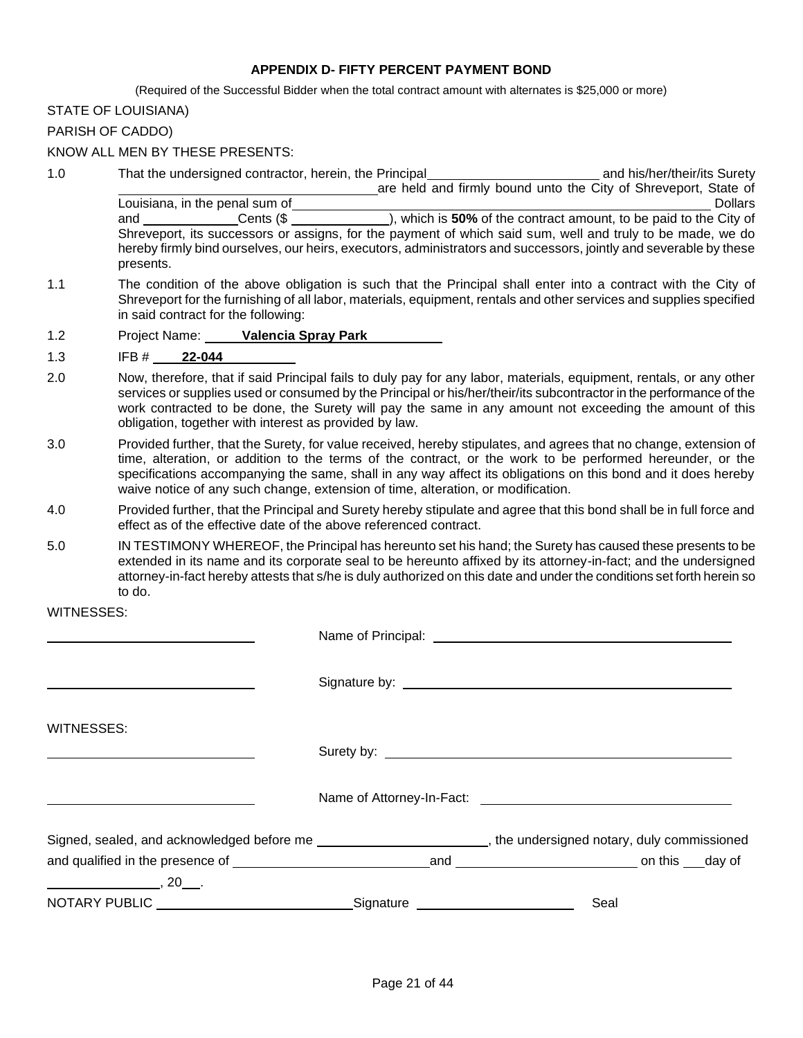#### **APPENDIX D- FIFTY PERCENT PAYMENT BOND**

(Required of the Successful Bidder when the total contract amount with alternates is \$25,000 or more)

#### STATE OF LOUISIANA)

PARISH OF CADDO)

#### KNOW ALL MEN BY THESE PRESENTS:

- 1.0 That the undersigned contractor, herein, the Principal and his/her/their/its Surety are held and firmly bound unto the City of Shreveport, State of Louisiana, in the penal sum of  $\blacksquare$ and Cents (\$ ), which is **50%** of the contract amount, to be paid to the City of Shreveport, its successors or assigns, for the payment of which said sum, well and truly to be made, we do hereby firmly bind ourselves, our heirs, executors, administrators and successors, jointly and severable by these presents.
- 1.1 The condition of the above obligation is such that the Principal shall enter into a contract with the City of Shreveport for the furnishing of all labor, materials, equipment, rentals and other services and supplies specified in said contract for the following:
- 1.2 Project Name: **Valencia Spray Park**
- 1.3 IFB # **22-044**
- 2.0 Now, therefore, that if said Principal fails to duly pay for any labor, materials, equipment, rentals, or any other services or supplies used or consumed by the Principal or his/her/their/its subcontractor in the performance of the work contracted to be done, the Surety will pay the same in any amount not exceeding the amount of this obligation, together with interest as provided by law.
- 3.0 Provided further, that the Surety, for value received, hereby stipulates, and agrees that no change, extension of time, alteration, or addition to the terms of the contract, or the work to be performed hereunder, or the specifications accompanying the same, shall in any way affect its obligations on this bond and it does hereby waive notice of any such change, extension of time, alteration, or modification.
- 4.0 Provided further, that the Principal and Surety hereby stipulate and agree that this bond shall be in full force and effect as of the effective date of the above referenced contract.
- 5.0 IN TESTIMONY WHEREOF, the Principal has hereunto set his hand; the Surety has caused these presents to be extended in its name and its corporate seal to be hereunto affixed by its attorney-in-fact; and the undersigned attorney-in-fact hereby attests that s/he is duly authorized on this date and under the conditions set forth herein so to do.

WITNESSES:

| WITNESSES:                                                                                                    |  |      |  |  |  |  |
|---------------------------------------------------------------------------------------------------------------|--|------|--|--|--|--|
|                                                                                                               |  |      |  |  |  |  |
|                                                                                                               |  |      |  |  |  |  |
| Signed, sealed, and acknowledged before me example and the state of the undersigned notary, duly commissioned |  |      |  |  |  |  |
|                                                                                                               |  |      |  |  |  |  |
| $\overbrace{\hspace{2.5cm}}^{20}$ , 20 $\overbrace{\hspace{2.5cm}}^{20}$ .                                    |  |      |  |  |  |  |
|                                                                                                               |  | Seal |  |  |  |  |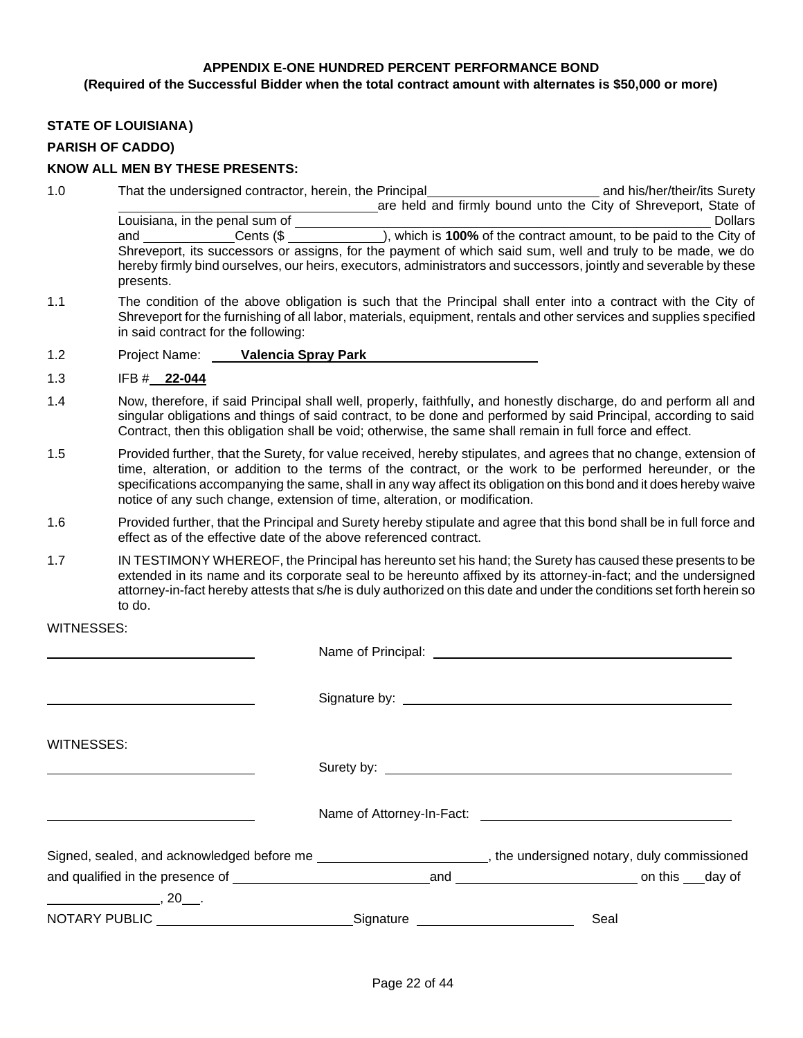#### **APPENDIX E-ONE HUNDRED PERCENT PERFORMANCE BOND**

#### **(Required of the Successful Bidder when the total contract amount with alternates is \$50,000 or more)**

#### **STATE OF LOUISIANA)**

#### **PARISH OF CADDO)**

#### **KNOW ALL MEN BY THESE PRESENTS:**

- 1.0 That the undersigned contractor, herein, the Principal and his/her/their/its Surety are held and firmly bound unto the City of Shreveport, State of Louisiana, in the penal sum of Dollars and Dollars Dollars Dollars Dollars Dollars and \_\_\_\_\_\_\_\_\_\_\_\_\_\_Cents (\$ \_\_\_\_\_\_\_\_\_\_\_\_\_\_), which is **100%** of the contract amount, to be paid to the City of Shreveport, its successors or assigns, for the payment of which said sum, well and truly to be made, we do hereby firmly bind ourselves, our heirs, executors, administrators and successors, jointly and severable by these presents.
- 1.1 The condition of the above obligation is such that the Principal shall enter into a contract with the City of Shreveport for the furnishing of all labor, materials, equipment, rentals and other services and supplies specified in said contract for the following:
- 1.2 Project Name: **Valencia Spray Park**
- 1.3 IFB # **22-044**
- 1.4 Now, therefore, if said Principal shall well, properly, faithfully, and honestly discharge, do and perform all and singular obligations and things of said contract, to be done and performed by said Principal, according to said Contract, then this obligation shall be void; otherwise, the same shall remain in full force and effect.
- 1.5 Provided further, that the Surety, for value received, hereby stipulates, and agrees that no change, extension of time, alteration, or addition to the terms of the contract, or the work to be performed hereunder, or the specifications accompanying the same, shall in any way affect its obligation on this bond and it does hereby waive notice of any such change, extension of time, alteration, or modification.
- 1.6 Provided further, that the Principal and Surety hereby stipulate and agree that this bond shall be in full force and effect as of the effective date of the above referenced contract.
- 1.7 IN TESTIMONY WHEREOF, the Principal has hereunto set his hand; the Surety has caused these presents to be extended in its name and its corporate seal to be hereunto affixed by its attorney-in-fact; and the undersigned attorney-in-fact hereby attests that s/he is duly authorized on this date and under the conditions set forth herein so to do.

WITNESSES:

| WITNESSES:                            |           |                                                                                                                       |
|---------------------------------------|-----------|-----------------------------------------------------------------------------------------------------------------------|
|                                       |           |                                                                                                                       |
|                                       |           |                                                                                                                       |
|                                       |           | Signed, sealed, and acknowledged before me _______________________________, the undersigned notary, duly commissioned |
|                                       |           |                                                                                                                       |
| $\begin{array}{c}\n 20 \end{array}$ . |           |                                                                                                                       |
| NOTARY PUBLIC                         | Signature | Seal                                                                                                                  |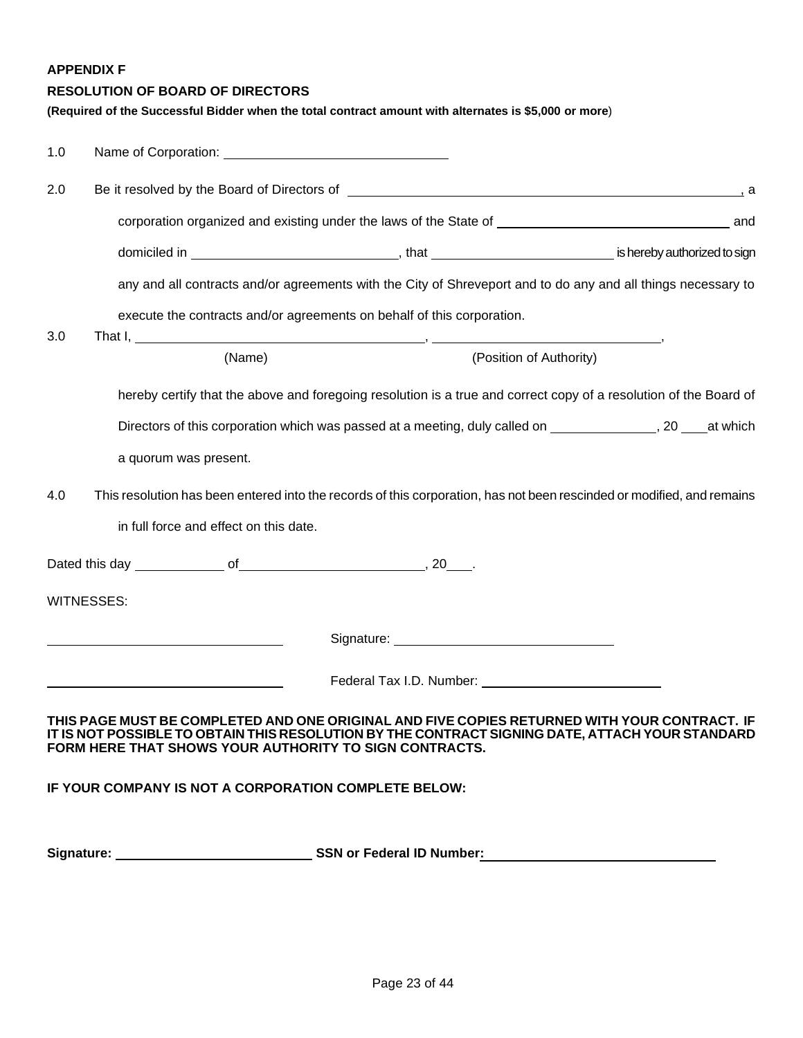**APPENDIX F**

#### **RESOLUTION OF BOARD OF DIRECTORS**

**(Required of the Successful Bidder when the total contract amount with alternates is \$5,000 or more**)

| 1.0 |                                                        |                                                                                                                                                                                                                                |                         |
|-----|--------------------------------------------------------|--------------------------------------------------------------------------------------------------------------------------------------------------------------------------------------------------------------------------------|-------------------------|
| 2.0 |                                                        | Be it resolved by the Board of Directors of Legacy and Contract and Contract and Contract and Contract and Contract and Contract and Contract and Contract and Contract and Contract and Contract and Contract and Contract an |                         |
|     |                                                        | corporation organized and existing under the laws of the State of <b>Existence 1 and State 1</b> and                                                                                                                           |                         |
|     |                                                        |                                                                                                                                                                                                                                |                         |
|     |                                                        | any and all contracts and/or agreements with the City of Shreveport and to do any and all things necessary to                                                                                                                  |                         |
|     |                                                        | execute the contracts and/or agreements on behalf of this corporation.                                                                                                                                                         |                         |
| 3.0 | (Name)                                                 |                                                                                                                                                                                                                                | (Position of Authority) |
|     |                                                        | hereby certify that the above and foregoing resolution is a true and correct copy of a resolution of the Board of                                                                                                              |                         |
|     |                                                        |                                                                                                                                                                                                                                |                         |
|     | a quorum was present.                                  |                                                                                                                                                                                                                                |                         |
| 4.0 |                                                        | This resolution has been entered into the records of this corporation, has not been rescinded or modified, and remains                                                                                                         |                         |
|     | in full force and effect on this date.                 |                                                                                                                                                                                                                                |                         |
|     |                                                        |                                                                                                                                                                                                                                |                         |
|     | <b>WITNESSES:</b>                                      |                                                                                                                                                                                                                                |                         |
|     |                                                        |                                                                                                                                                                                                                                |                         |
|     |                                                        | Federal Tax I.D. Number: _____________________                                                                                                                                                                                 |                         |
|     |                                                        |                                                                                                                                                                                                                                |                         |
|     | FORM HERE THAT SHOWS YOUR AUTHORITY TO SIGN CONTRACTS. | THIS PAGE MUST BE COMPLETED AND ONE ORIGINAL AND FIVE COPIES RETURNED WITH YOUR CONTRACT. IF<br>IT IS NOT POSSIBLE TO OBTAIN THIS RESOLUTION BY THE CONTRACT SIGNING DATE, ATTACH YOUR STANDARD                                |                         |
|     | IF YOUR COMPANY IS NOT A CORPORATION COMPLETE BELOW:   |                                                                                                                                                                                                                                |                         |
|     |                                                        |                                                                                                                                                                                                                                |                         |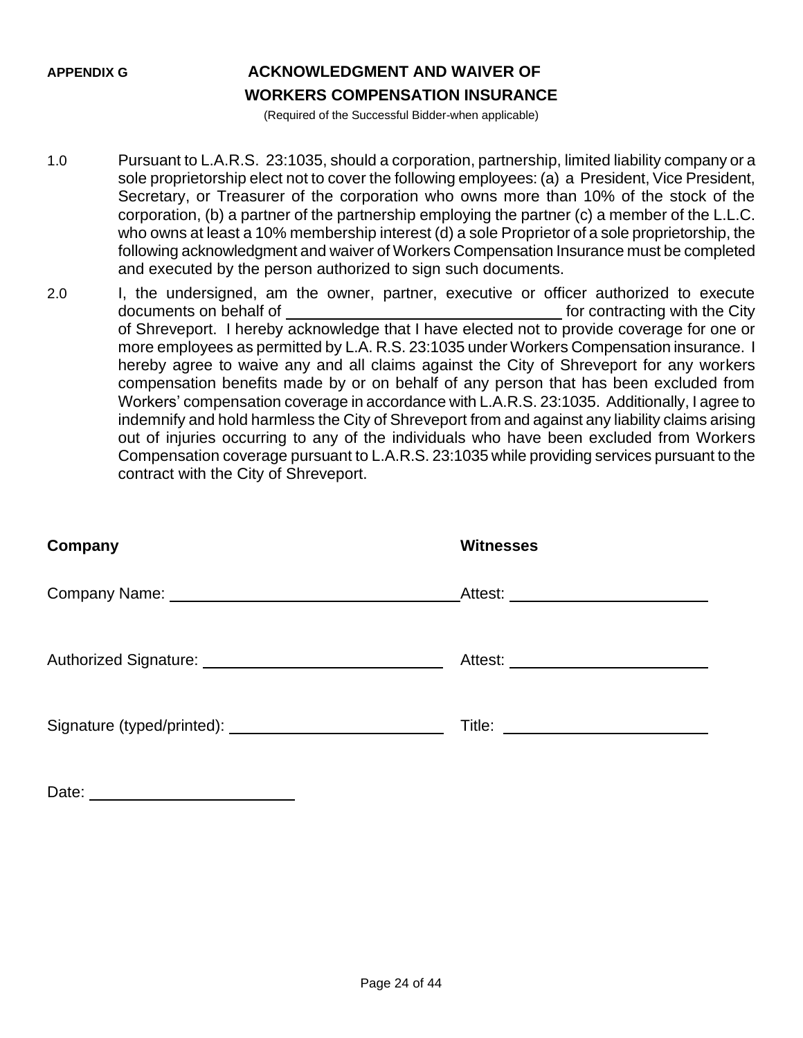## **APPENDIX G ACKNOWLEDGMENT AND WAIVER OF WORKERS COMPENSATION INSURANCE**

(Required of the Successful Bidder-when applicable)

- 1.0 Pursuant to L.A.R.S. 23:1035, should a corporation, partnership, limited liability company or a sole proprietorship elect not to cover the following employees: (a) a President, Vice President, Secretary, or Treasurer of the corporation who owns more than 10% of the stock of the corporation, (b) a partner of the partnership employing the partner (c) a member of the L.L.C. who owns at least a 10% membership interest (d) a sole Proprietor of a sole proprietorship, the following acknowledgment and waiver of Workers Compensation Insurance must be completed and executed by the person authorized to sign such documents.
- 2.0 I, the undersigned, am the owner, partner, executive or officer authorized to execute documents on behalf of **for all and the City** for contracting with the City of Shreveport. I hereby acknowledge that I have elected not to provide coverage for one or more employees as permitted by L.A. R.S. 23:1035 under Workers Compensation insurance. I hereby agree to waive any and all claims against the City of Shreveport for any workers compensation benefits made by or on behalf of any person that has been excluded from Workers' compensation coverage in accordance with L.A.R.S. 23:1035. Additionally, I agree to indemnify and hold harmless the City of Shreveport from and against any liability claims arising out of injuries occurring to any of the individuals who have been excluded from Workers Compensation coverage pursuant to L.A.R.S. 23:1035 while providing services pursuant to the contract with the City of Shreveport.

| Company | <b>Witnesses</b>                     |
|---------|--------------------------------------|
|         | Attest: ____________________________ |
|         |                                      |
|         |                                      |
| Date:   |                                      |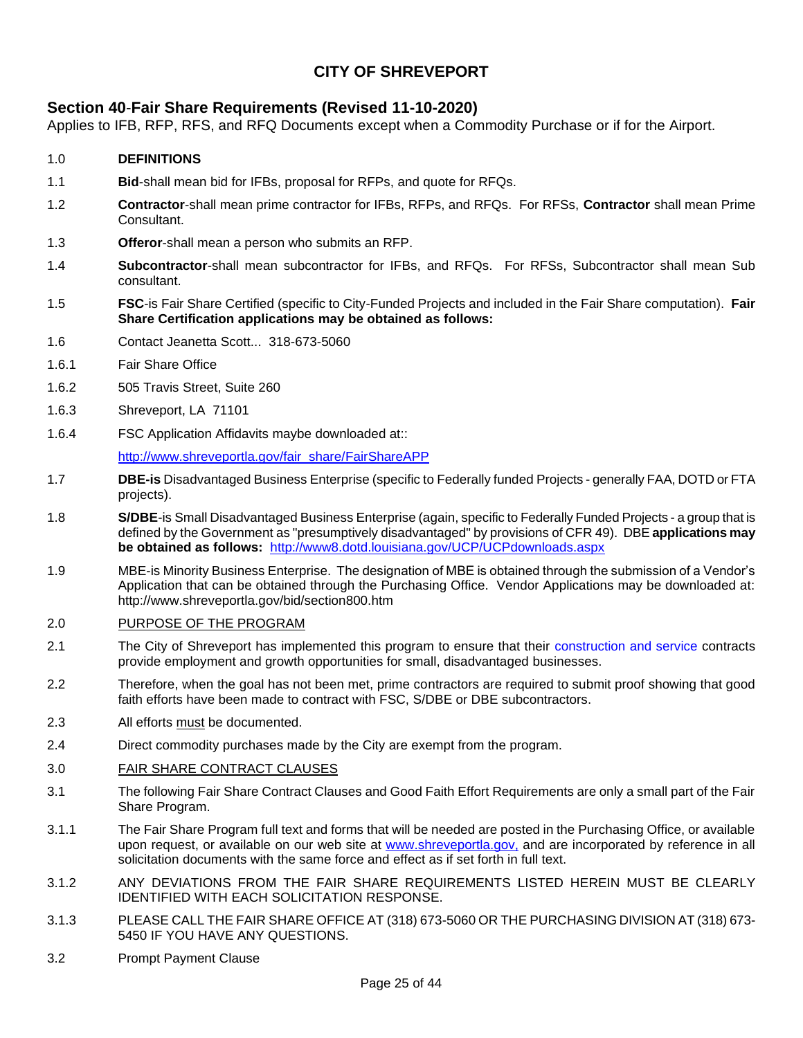## **CITY OF SHREVEPORT**

#### **[Section 40](http://www.ci.shreveport.la.us/pdf/bids/sect40.pdf)**-**Fair Share Requirements (Revised 11-10-2020)**

Applies to IFB, RFP, RFS, and RFQ Documents except when a Commodity Purchase or if for the Airport.

#### 1.0 **DEFINITIONS**

- 1.1 **Bid**-shall mean bid for IFBs, proposal for RFPs, and quote for RFQs.
- 1.2 **Contractor**-shall mean prime contractor for IFBs, RFPs, and RFQs. For RFSs, **Contractor** shall mean Prime **Consultant**
- 1.3 **Offeror**-shall mean a person who submits an RFP.
- 1.4 **Subcontractor**-shall mean subcontractor for IFBs, and RFQs. For RFSs, Subcontractor shall mean Sub consultant.
- 1.5 **FSC**-is Fair Share Certified (specific to City-Funded Projects and included in the Fair Share computation). **Fair Share Certification applications may be obtained as follows:**
- 1.6 Contact Jeanetta Scott... 318-673-5060
- 1.6.1 Fair Share Office
- 1.6.2 505 Travis Street, Suite 260
- 1.6.3 Shreveport, LA 71101
- 1.6.4 FSC Application Affidavits maybe downloaded at::

[http://www.shreveportla.gov/fair\\_share/FairShareAPP](http://www.shreveportla.gov/fair_share/FairShareAPP)

- 1.7 **DBE-is** Disadvantaged Business Enterprise (specific to Federally funded Projects generally FAA, DOTD or FTA projects).
- 1.8 **S/DBE**-is Small Disadvantaged Business Enterprise (again, specific to Federally Funded Projects a group that is defined by the Government as "presumptively disadvantaged" by provisions of CFR 49).DBE **applications may be obtained as follows:** <http://www8.dotd.louisiana.gov/UCP/UCPdownloads.aspx>
- 1.9 MBE-is Minority Business Enterprise. The designation of MBE is obtained through the submission of a Vendor's Application that can be obtained through the Purchasing Office. Vendor Applications may be downloaded at: http://www.shreveportla.gov/bid/section800.htm

#### 2.0 PURPOSE OF THE PROGRAM

- 2.1 The City of Shreveport has implemented this program to ensure that their construction and service contracts provide employment and growth opportunities for small, disadvantaged businesses.
- 2.2 Therefore, when the goal has not been met, prime contractors are required to submit proof showing that good faith efforts have been made to contract with FSC, S/DBE or DBE subcontractors.
- 2.3 All efforts must be documented.
- 2.4 Direct commodity purchases made by the City are exempt from the program.

#### 3.0 FAIR SHARE CONTRACT CLAUSES

- 3.1 The following Fair Share Contract Clauses and Good Faith Effort Requirements are only a small part of the Fair Share Program.
- 3.1.1 The Fair Share Program full text and forms that will be needed are posted in the Purchasing Office, or available upon request, or available on our web site at www.shreveportla.gov, and are incorporated by reference in all solicitation documents with the same force and effect as if set forth in full text.
- 3.1.2 ANY DEVIATIONS FROM THE FAIR SHARE REQUIREMENTS LISTED HEREIN MUST BE CLEARLY IDENTIFIED WITH EACH SOLICITATION RESPONSE.
- 3.1.3 PLEASE CALL THE FAIR SHARE OFFICE AT (318) 673-5060 OR THE PURCHASING DIVISION AT (318) 673- 5450 IF YOU HAVE ANY QUESTIONS.
- 3.2 Prompt Payment Clause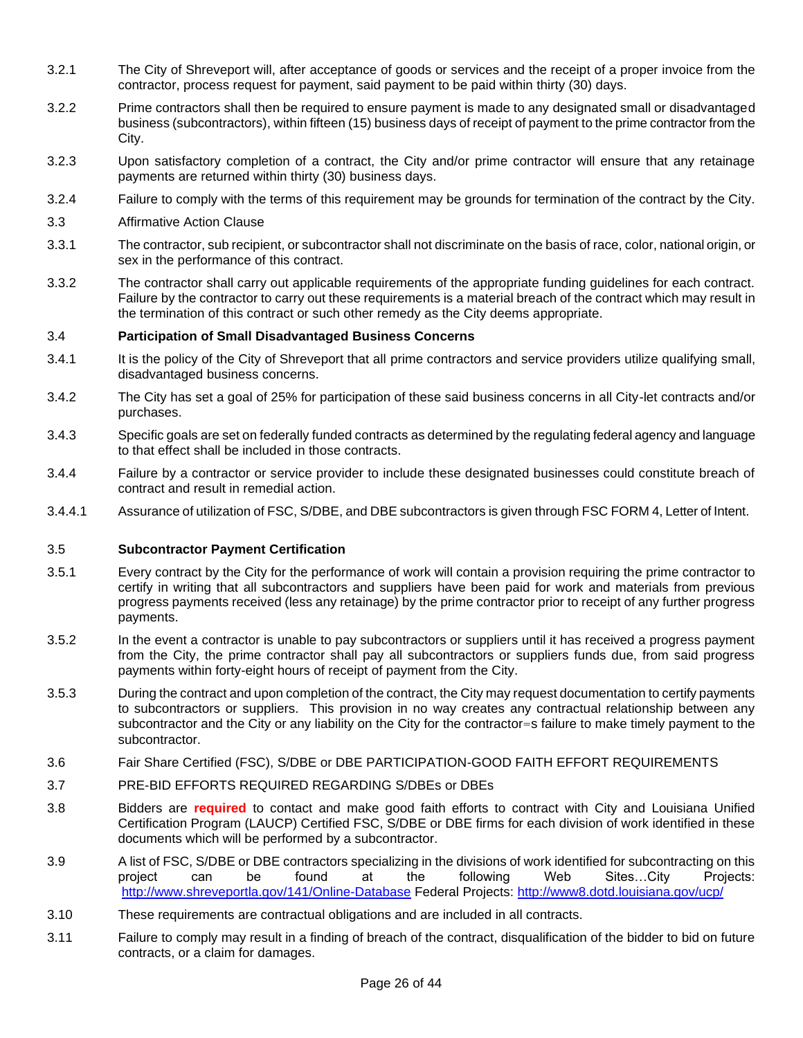- 3.2.1 The City of Shreveport will, after acceptance of goods or services and the receipt of a proper invoice from the contractor, process request for payment, said payment to be paid within thirty (30) days.
- 3.2.2 Prime contractors shall then be required to ensure payment is made to any designated small or disadvantaged business (subcontractors), within fifteen (15) business days of receipt of payment to the prime contractor from the City.
- 3.2.3 Upon satisfactory completion of a contract, the City and/or prime contractor will ensure that any retainage payments are returned within thirty (30) business days.
- 3.2.4 Failure to comply with the terms of this requirement may be grounds for termination of the contract by the City.
- 3.3 Affirmative Action Clause
- 3.3.1 The contractor, sub recipient, or subcontractor shall not discriminate on the basis of race, color, national origin, or sex in the performance of this contract.
- 3.3.2 The contractor shall carry out applicable requirements of the appropriate funding guidelines for each contract. Failure by the contractor to carry out these requirements is a material breach of the contract which may result in the termination of this contract or such other remedy as the City deems appropriate.

#### 3.4 **Participation of Small Disadvantaged Business Concerns**

- 3.4.1 It is the policy of the City of Shreveport that all prime contractors and service providers utilize qualifying small, disadvantaged business concerns.
- 3.4.2 The City has set a goal of 25% for participation of these said business concerns in all City-let contracts and/or purchases.
- 3.4.3 Specific goals are set on federally funded contracts as determined by the regulating federal agency and language to that effect shall be included in those contracts.
- 3.4.4 Failure by a contractor or service provider to include these designated businesses could constitute breach of contract and result in remedial action.
- 3.4.4.1 Assurance of utilization of FSC, S/DBE, and DBE subcontractors is given through FSC FORM 4, Letter of Intent.

#### 3.5 **Subcontractor Payment Certification**

- 3.5.1 Every contract by the City for the performance of work will contain a provision requiring the prime contractor to certify in writing that all subcontractors and suppliers have been paid for work and materials from previous progress payments received (less any retainage) by the prime contractor prior to receipt of any further progress payments.
- 3.5.2 In the event a contractor is unable to pay subcontractors or suppliers until it has received a progress payment from the City, the prime contractor shall pay all subcontractors or suppliers funds due, from said progress payments within forty-eight hours of receipt of payment from the City.
- 3.5.3 During the contract and upon completion of the contract, the City may request documentation to certify payments to subcontractors or suppliers. This provision in no way creates any contractual relationship between any subcontractor and the City or any liability on the City for the contractor=s failure to make timely payment to the subcontractor.
- 3.6 Fair Share Certified (FSC), S/DBE or DBE PARTICIPATION-GOOD FAITH EFFORT REQUIREMENTS
- 3.7 PRE-BID EFFORTS REQUIRED REGARDING S/DBEs or DBEs
- 3.8 Bidders are **required** to contact and make good faith efforts to contract with City and Louisiana Unified Certification Program (LAUCP) Certified FSC, S/DBE or DBE firms for each division of work identified in these documents which will be performed by a subcontractor.
- 3.9 A list of FSC, S/DBE or DBE contractors specializing in the divisions of work identified for subcontracting on this project can be found at the following Web Sites…City Projects: <http://www.shreveportla.gov/141/Online-Database> Federal Projects:<http://www8.dotd.louisiana.gov/ucp/>
- 3.10 These requirements are contractual obligations and are included in all contracts.
- 3.11 Failure to comply may result in a finding of breach of the contract, disqualification of the bidder to bid on future contracts, or a claim for damages.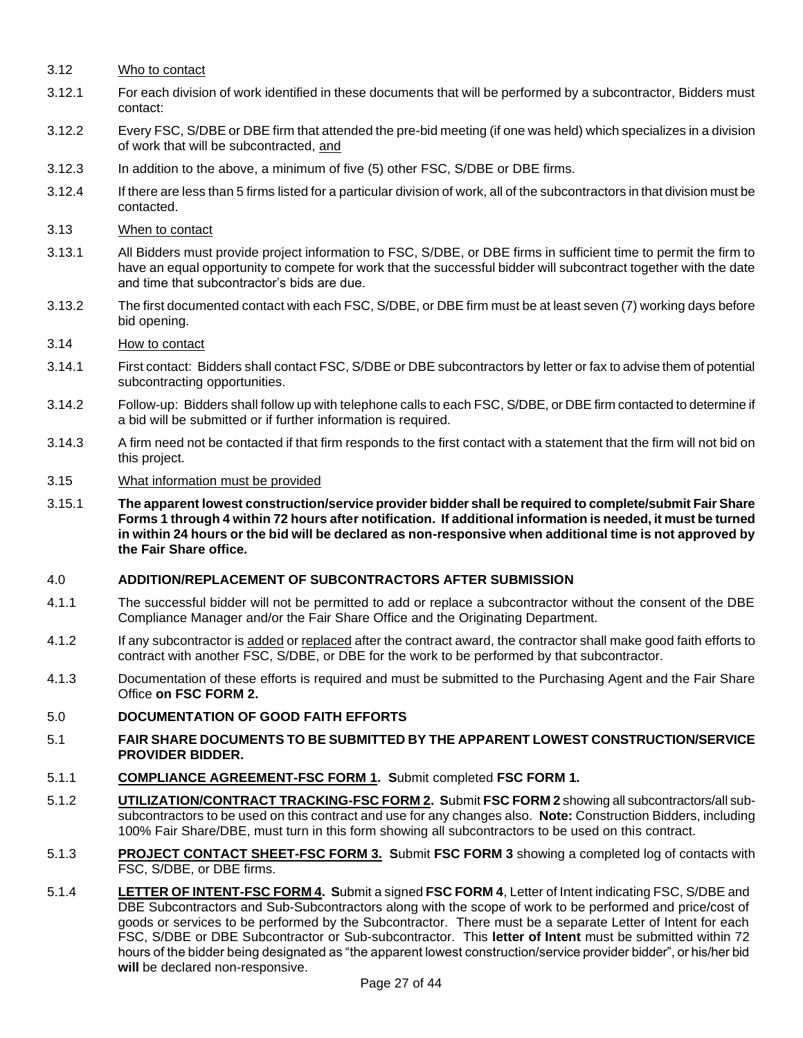- 3.12 Who to contact
- 3.12.1 For each division of work identified in these documents that will be performed by a subcontractor, Bidders must contact:
- 3.12.2 Every FSC, S/DBE or DBE firm that attended the pre-bid meeting (if one was held) which specializes in a division of work that will be subcontracted, and
- 3.12.3 In addition to the above, a minimum of five (5) other FSC, S/DBE or DBE firms.
- 3.12.4 If there are less than 5 firms listed for a particular division of work, all of the subcontractors in that division must be contacted.
- 3.13 When to contact
- 3.13.1 All Bidders must provide project information to FSC, S/DBE, or DBE firms in sufficient time to permit the firm to have an equal opportunity to compete for work that the successful bidder will subcontract together with the date and time that subcontractor's bids are due.
- 3.13.2 The first documented contact with each FSC, S/DBE, or DBE firm must be at least seven (7) working days before bid opening.

#### 3.14 How to contact

- 3.14.1 First contact: Bidders shall contact FSC, S/DBE or DBE subcontractors by letter or fax to advise them of potential subcontracting opportunities.
- 3.14.2 Follow-up: Bidders shall follow up with telephone calls to each FSC, S/DBE, or DBE firm contacted to determine if a bid will be submitted or if further information is required.
- 3.14.3 A firm need not be contacted if that firm responds to the first contact with a statement that the firm will not bid on this project.

#### 3.15 What information must be provided

3.15.1 **The apparent lowest construction/service provider bidder shall be required to complete/submit Fair Share Forms 1 through 4 within 72 hours after notification. If additional information is needed, it must be turned in within 24 hours or the bid will be declared as non-responsive when additional time is not approved by the Fair Share office.** 

#### 4.0 **ADDITION/REPLACEMENT OF SUBCONTRACTORS AFTER SUBMISSION**

- 4.1.1 The successful bidder will not be permitted to add or replace a subcontractor without the consent of the DBE Compliance Manager and/or the Fair Share Office and the Originating Department.
- 4.1.2 If any subcontractor is added or replaced after the contract award, the contractor shall make good faith efforts to contract with another FSC, S/DBE, or DBE for the work to be performed by that subcontractor.
- 4.1.3 Documentation of these efforts is required and must be submitted to the Purchasing Agent and the Fair Share Office **on FSC FORM 2.**
- 5.0 **DOCUMENTATION OF GOOD FAITH EFFORTS**
- 5.1 **FAIR SHARE DOCUMENTS TO BE SUBMITTED BY THE APPARENT LOWEST CONSTRUCTION/SERVICE PROVIDER BIDDER.**
- 5.1.1 **COMPLIANCE AGREEMENT-FSC FORM 1. S**ubmit completed **FSC FORM 1.**
- 5.1.2 **UTILIZATION/CONTRACT TRACKING-FSC FORM 2. S**ubmit **FSC FORM 2** showing all subcontractors/all subsubcontractors to be used on this contract and use for any changes also. **Note:** Construction Bidders, including 100% Fair Share/DBE, must turn in this form showing all subcontractors to be used on this contract.
- 5.1.3 **PROJECT CONTACT SHEET-FSC FORM 3. S**ubmit **FSC FORM 3** showing a completed log of contacts with FSC, S/DBE, or DBE firms.
- 5.1.4 **LETTER OF INTENT-FSC FORM 4. S**ubmit a signed **FSC FORM 4**, Letter of Intent indicating FSC, S/DBE and DBE Subcontractors and Sub-Subcontractors along with the scope of work to be performed and price/cost of goods or services to be performed by the Subcontractor. There must be a separate Letter of Intent for each FSC, S/DBE or DBE Subcontractor or Sub-subcontractor. This **letter of Intent** must be submitted within 72 hours of the bidder being designated as "the apparent lowest construction/service provider bidder", or his/her bid **will** be declared non-responsive.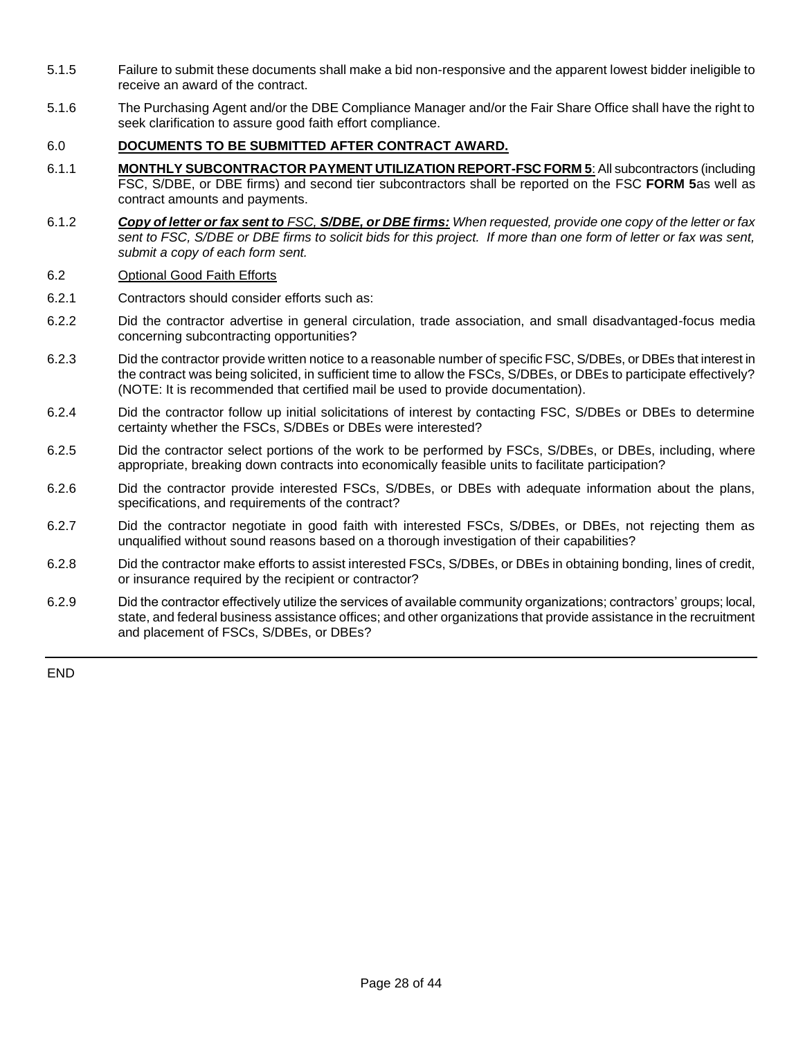- 5.1.5 Failure to submit these documents shall make a bid non-responsive and the apparent lowest bidder ineligible to receive an award of the contract.
- 5.1.6 The Purchasing Agent and/or the DBE Compliance Manager and/or the Fair Share Office shall have the right to seek clarification to assure good faith effort compliance.

#### 6.0 **DOCUMENTS TO BE SUBMITTED AFTER CONTRACT AWARD.**

- 6.1.1 **MONTHLY SUBCONTRACTOR PAYMENT UTILIZATION REPORT-FSC FORM 5**: All subcontractors (including FSC, S/DBE, or DBE firms) and second tier subcontractors shall be reported on the FSC **FORM 5**as well as contract amounts and payments.
- 6.1.2 *Copy of letter or fax sent to FSC, S/DBE, or DBE firms: When requested, provide one copy of the letter or fax sent to FSC, S/DBE or DBE firms to solicit bids for this project. If more than one form of letter or fax was sent, submit a copy of each form sent.*

#### 6.2 Optional Good Faith Efforts

- 6.2.1 Contractors should consider efforts such as:
- 6.2.2 Did the contractor advertise in general circulation, trade association, and small disadvantaged-focus media concerning subcontracting opportunities?
- 6.2.3 Did the contractor provide written notice to a reasonable number of specific FSC, S/DBEs, or DBEs that interest in the contract was being solicited, in sufficient time to allow the FSCs, S/DBEs, or DBEs to participate effectively? (NOTE: It is recommended that certified mail be used to provide documentation).
- 6.2.4 Did the contractor follow up initial solicitations of interest by contacting FSC, S/DBEs or DBEs to determine certainty whether the FSCs, S/DBEs or DBEs were interested?
- 6.2.5 Did the contractor select portions of the work to be performed by FSCs, S/DBEs, or DBEs, including, where appropriate, breaking down contracts into economically feasible units to facilitate participation?
- 6.2.6 Did the contractor provide interested FSCs, S/DBEs, or DBEs with adequate information about the plans, specifications, and requirements of the contract?
- 6.2.7 Did the contractor negotiate in good faith with interested FSCs, S/DBEs, or DBEs, not rejecting them as unqualified without sound reasons based on a thorough investigation of their capabilities?
- 6.2.8 Did the contractor make efforts to assist interested FSCs, S/DBEs, or DBEs in obtaining bonding, lines of credit, or insurance required by the recipient or contractor?
- 6.2.9 Did the contractor effectively utilize the services of available community organizations; contractors' groups; local, state, and federal business assistance offices; and other organizations that provide assistance in the recruitment and placement of FSCs, S/DBEs, or DBEs?

END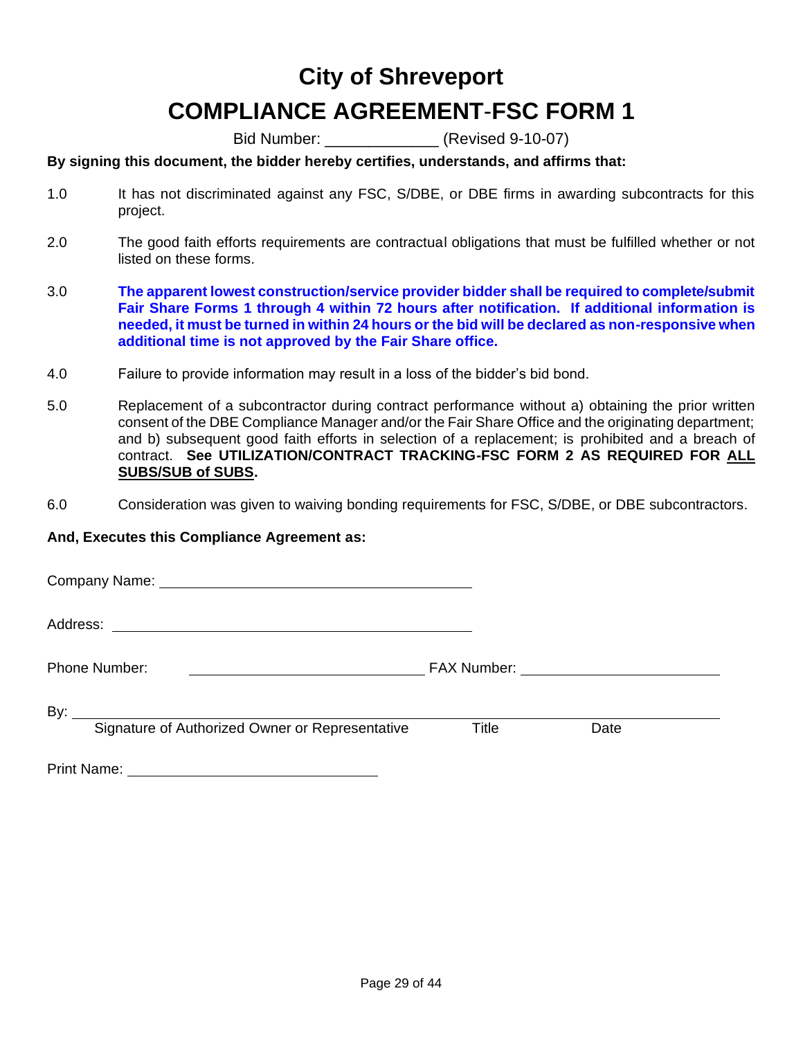## **City of Shreveport COMPLIANCE AGREEMENT**-**FSC FORM 1**

Bid Number:  $\sqrt{3}$  (Revised 9-10-07)

### **By signing this document, the bidder hereby certifies, understands, and affirms that:**

- 1.0 It has not discriminated against any FSC, S/DBE, or DBE firms in awarding subcontracts for this project.
- 2.0 The good faith efforts requirements are contractual obligations that must be fulfilled whether or not listed on these forms.
- 3.0 **The apparent lowest construction/service provider bidder shall be required to complete/submit Fair Share Forms 1 through 4 within 72 hours after notification. If additional information is needed, it must be turned in within 24 hours or the bid will be declared as non-responsive when additional time is not approved by the Fair Share office.**
- 4.0 Failure to provide information may result in a loss of the bidder's bid bond.
- 5.0 Replacement of a subcontractor during contract performance without a) obtaining the prior written consent of the DBE Compliance Manager and/or the Fair Share Office and the originating department; and b) subsequent good faith efforts in selection of a replacement; is prohibited and a breach of contract. **See UTILIZATION/CONTRACT TRACKING-FSC FORM 2 AS REQUIRED FOR ALL SUBS/SUB of SUBS.**
- 6.0 Consideration was given to waiving bonding requirements for FSC, S/DBE, or DBE subcontractors.

#### **And, Executes this Compliance Agreement as:**

Company Name: University of the Company Name: Address: Phone Number: FAX Number: By:  $\overline{\phantom{0}}$ Signature of Authorized Owner or Representative Title Date

Print Name: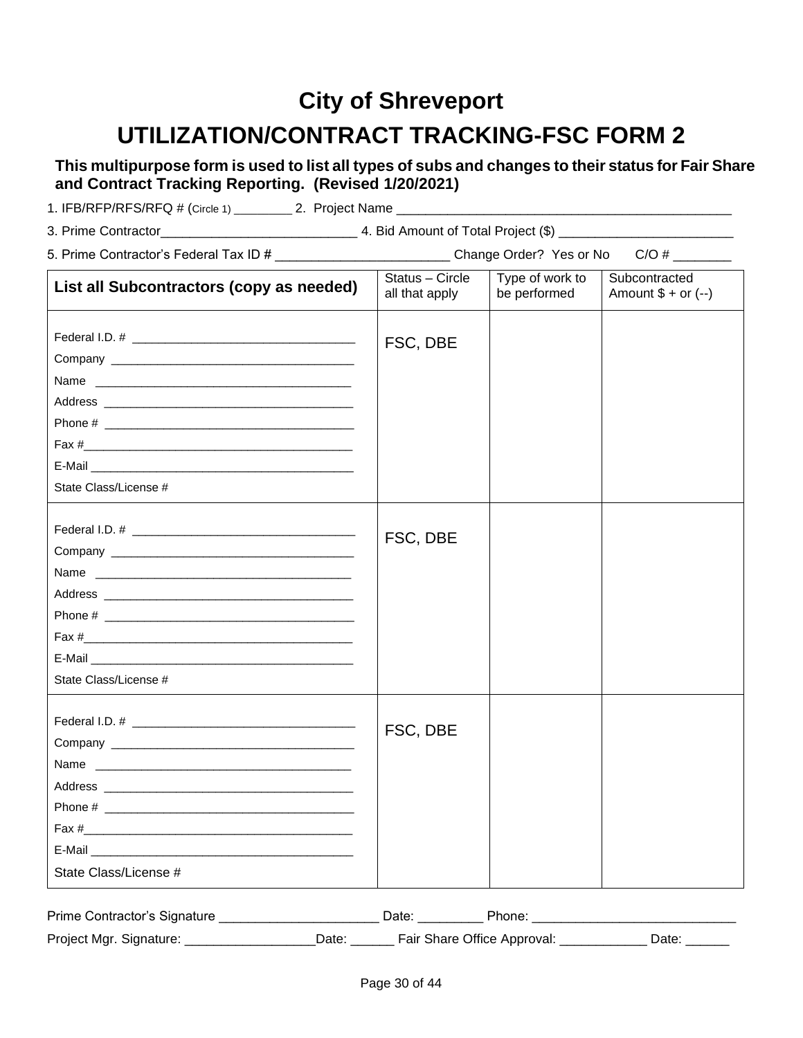## **City of Shreveport UTILIZATION/CONTRACT TRACKING-FSC FORM 2**

**This multipurpose form is used to list all types of subs and changes to their status for Fair Share and Contract Tracking Reporting. (Revised 1/20/2021)**

| 1. IFB/RFP/RFS/RFQ # (Circle 1) | 2. Project Name |
|---------------------------------|-----------------|
|---------------------------------|-----------------|

| 5. Prime Contractor's Federal Tax ID # ____________________________Change Order? Yes or No<br>$C/O$ # $\qquad$                                                                                                                                          |                                   |                                 |                                      |  |  |  |
|---------------------------------------------------------------------------------------------------------------------------------------------------------------------------------------------------------------------------------------------------------|-----------------------------------|---------------------------------|--------------------------------------|--|--|--|
| List all Subcontractors (copy as needed)                                                                                                                                                                                                                | Status - Circle<br>all that apply | Type of work to<br>be performed | Subcontracted<br>Amount $$ + or (-)$ |  |  |  |
|                                                                                                                                                                                                                                                         | FSC, DBE                          |                                 |                                      |  |  |  |
| State Class/License #                                                                                                                                                                                                                                   |                                   |                                 |                                      |  |  |  |
| Name and the contract of the contract of the contract of the contract of the contract of the contract of the contract of the contract of the contract of the contract of the contract of the contract of the contract of the c<br>State Class/License # | FSC, DBE                          |                                 |                                      |  |  |  |
| Address and the contract of the contract of the contract of the contract of the contract of the contract of the<br>State Class/License #                                                                                                                | FSC, DBE                          |                                 |                                      |  |  |  |

| Prime Contractor's Signature |       | ⊃ate <sup>.</sup> | Phone:                      |       |
|------------------------------|-------|-------------------|-----------------------------|-------|
| Project Mgr. Signature:      | ⊃ate: |                   | Fair Share Office Approval: | Date. |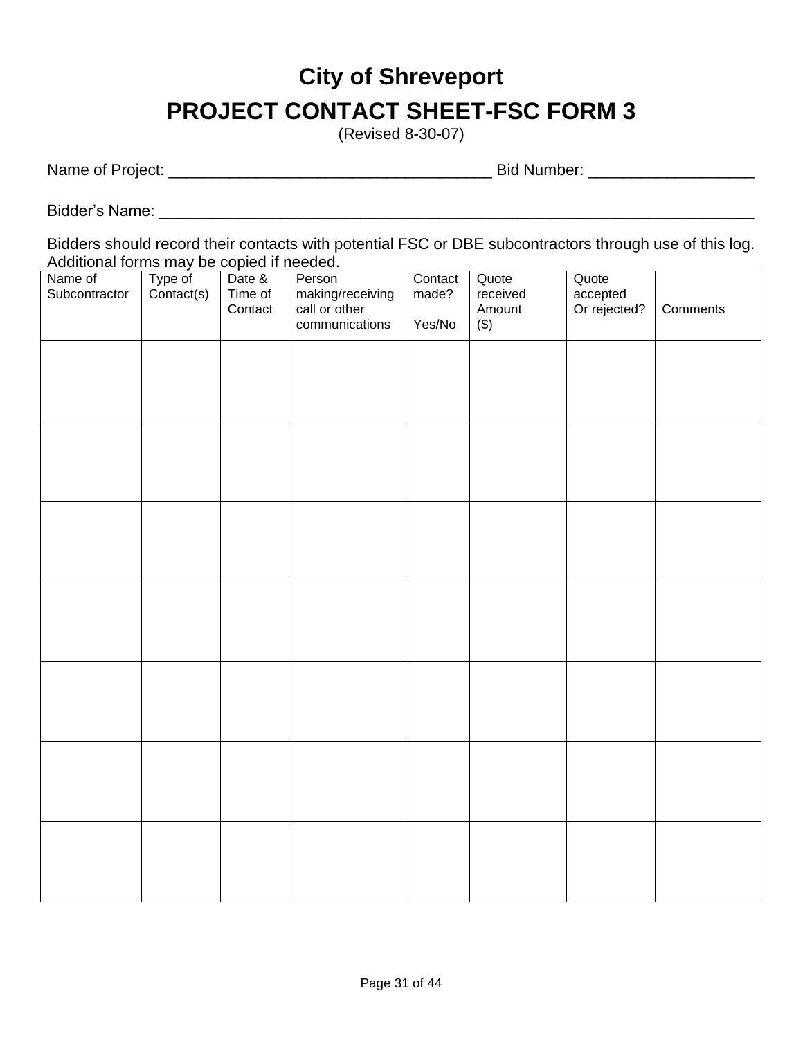# **City of Shreveport PROJECT CONTACT SHEET-FSC FORM 3**

(Revised 8-30-07)

Name of Project: \_\_\_\_\_\_\_\_\_\_\_\_\_\_\_\_\_\_\_\_\_\_\_\_\_\_\_\_\_\_\_\_\_\_\_\_\_ Bid Number: \_\_\_\_\_\_\_\_\_\_\_\_\_\_\_\_\_\_\_

Bidder's Name: \_\_\_\_\_\_\_\_\_\_\_\_\_\_\_\_\_\_\_\_\_\_\_\_\_\_\_\_\_\_\_\_\_\_\_\_\_\_\_\_\_\_\_\_\_\_\_\_\_\_\_\_\_\_\_\_\_\_\_\_\_\_\_\_\_\_\_\_

Bidders should record their contacts with potential FSC or DBE subcontractors through use of this log. Additional forms may be copied if needed.

| Name of<br>Subcontractor | Type of<br>Contact(s) | Date &<br>Time of<br>Contact | Person<br>making/receiving<br>call or other<br>communications | Contact<br>made?<br>Yes/No | Quote<br>received<br>Amount<br>$(\$)$ | Quote<br>accepted<br>Or rejected? | Comments |
|--------------------------|-----------------------|------------------------------|---------------------------------------------------------------|----------------------------|---------------------------------------|-----------------------------------|----------|
|                          |                       |                              |                                                               |                            |                                       |                                   |          |
|                          |                       |                              |                                                               |                            |                                       |                                   |          |
|                          |                       |                              |                                                               |                            |                                       |                                   |          |
|                          |                       |                              |                                                               |                            |                                       |                                   |          |
|                          |                       |                              |                                                               |                            |                                       |                                   |          |
|                          |                       |                              |                                                               |                            |                                       |                                   |          |
|                          |                       |                              |                                                               |                            |                                       |                                   |          |
|                          |                       |                              |                                                               |                            |                                       |                                   |          |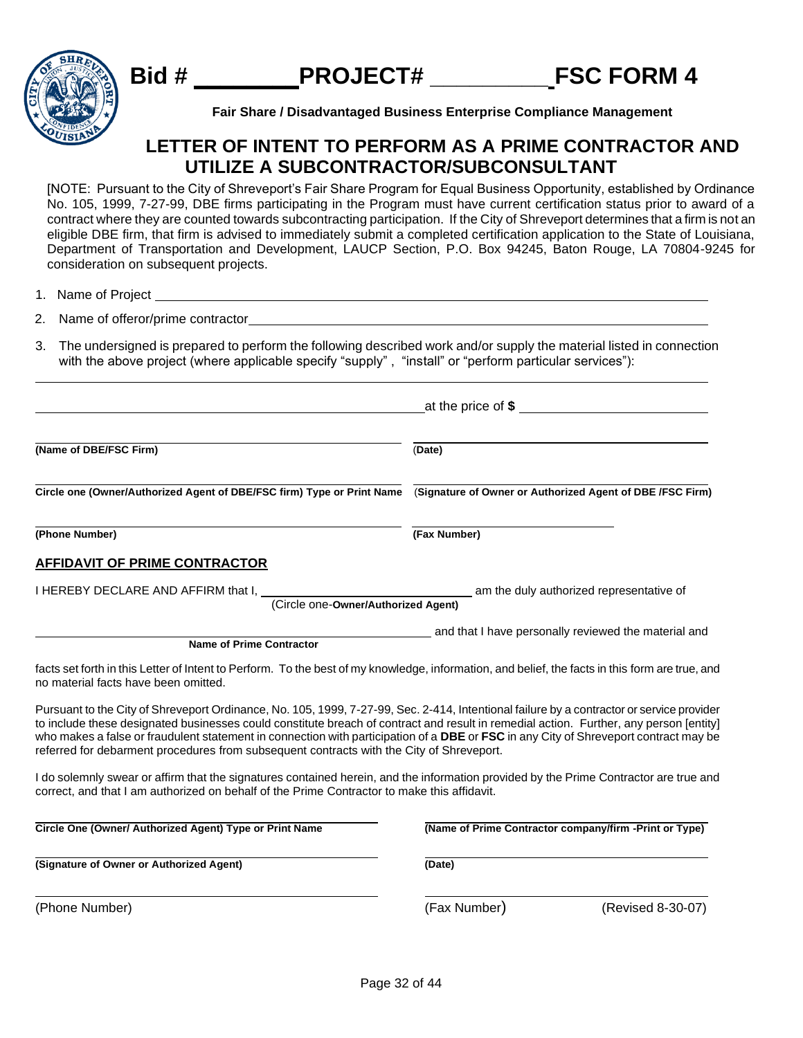



**Fair Share / Disadvantaged Business Enterprise Compliance Management**

## **LETTER OF INTENT TO PERFORM AS A PRIME CONTRACTOR AND UTILIZE A SUBCONTRACTOR/SUBCONSULTANT**

[NOTE: Pursuant to the City of Shreveport's Fair Share Program for Equal Business Opportunity, established by Ordinance No. 105, 1999, 7-27-99, DBE firms participating in the Program must have current certification status prior to award of a contract where they are counted towards subcontracting participation. If the City of Shreveport determines that a firm is not an eligible DBE firm, that firm is advised to immediately submit a completed certification application to the State of Louisiana, Department of Transportation and Development, LAUCP Section, P.O. Box 94245, Baton Rouge, LA 70804-9245 for consideration on subsequent projects.

<u> 1980 - Johann Stoff, deutscher Stoffen und der Stoffen und der Stoffen und der Stoffen und der Stoffen und de</u>

1. Name of Project

2. Name of offeror/prime contractor

3. The undersigned is prepared to perform the following described work and/or supply the material listed in connection with the above project (where applicable specify "supply", "install" or "perform particular services"):

| (Name of DBE/FSC Firm)                                                                                                                                                                                                                                                                                                                                                                                                                                                                                                  | (Date)                                                                       |
|-------------------------------------------------------------------------------------------------------------------------------------------------------------------------------------------------------------------------------------------------------------------------------------------------------------------------------------------------------------------------------------------------------------------------------------------------------------------------------------------------------------------------|------------------------------------------------------------------------------|
| Circle one (Owner/Authorized Agent of DBE/FSC firm) Type or Print Name                                                                                                                                                                                                                                                                                                                                                                                                                                                  | (Signature of Owner or Authorized Agent of DBE /FSC Firm)                    |
| (Phone Number)                                                                                                                                                                                                                                                                                                                                                                                                                                                                                                          | (Fax Number)                                                                 |
| <b>AFFIDAVIT OF PRIME CONTRACTOR</b>                                                                                                                                                                                                                                                                                                                                                                                                                                                                                    |                                                                              |
| I HEREBY DECLARE AND AFFIRM that I,                                                                                                                                                                                                                                                                                                                                                                                                                                                                                     | am the duly authorized representative of (Circle one-Owner/Authorized Agent) |
| <b>Name of Prime Contractor</b>                                                                                                                                                                                                                                                                                                                                                                                                                                                                                         | and that I have personally reviewed the material and                         |
| facts set forth in this Letter of Intent to Perform. To the best of my knowledge, information, and belief, the facts in this form are true, and<br>no material facts have been omitted.                                                                                                                                                                                                                                                                                                                                 |                                                                              |
| Pursuant to the City of Shreveport Ordinance, No. 105, 1999, 7-27-99, Sec. 2-414, Intentional failure by a contractor or service provider<br>to include these designated businesses could constitute breach of contract and result in remedial action. Further, any person [entity]<br>who makes a false or fraudulent statement in connection with participation of a DBE or FSC in any City of Shreveport contract may be<br>referred for debarment procedures from subsequent contracts with the City of Shreveport. |                                                                              |
| I do solemnly swear or affirm that the signatures contained herein, and the information provided by the Prime Contractor are true and<br>correct, and that I am authorized on behalf of the Prime Contractor to make this affidavit.                                                                                                                                                                                                                                                                                    |                                                                              |
| Circle One (Owner/ Authorized Agent) Type or Print Name                                                                                                                                                                                                                                                                                                                                                                                                                                                                 | (Name of Prime Contractor company/firm -Print or Type)                       |
| (Signature of Owner or Authorized Agent)                                                                                                                                                                                                                                                                                                                                                                                                                                                                                | (Date)                                                                       |
| (Phone Number)                                                                                                                                                                                                                                                                                                                                                                                                                                                                                                          | (Fax Number)<br>(Revised 8-30-07)                                            |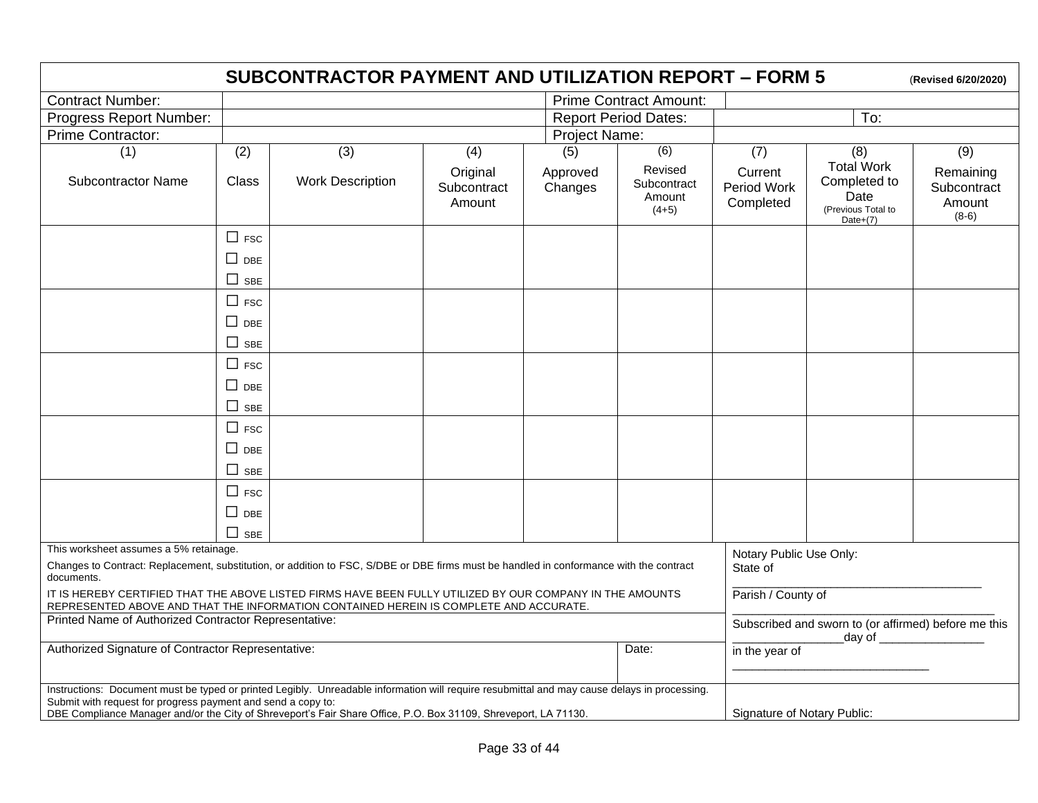|                                                                                                                                                                                                                                                                                                                                                                |               | <b>SUBCONTRACTOR PAYMENT AND UTILIZATION REPORT - FORM 5</b> |                                   |                     |                                             |                                                                                       |                                                                                | (Revised 6/20/2020)                           |
|----------------------------------------------------------------------------------------------------------------------------------------------------------------------------------------------------------------------------------------------------------------------------------------------------------------------------------------------------------------|---------------|--------------------------------------------------------------|-----------------------------------|---------------------|---------------------------------------------|---------------------------------------------------------------------------------------|--------------------------------------------------------------------------------|-----------------------------------------------|
| <b>Contract Number:</b>                                                                                                                                                                                                                                                                                                                                        |               | <b>Prime Contract Amount:</b>                                |                                   |                     |                                             |                                                                                       |                                                                                |                                               |
| Progress Report Number:                                                                                                                                                                                                                                                                                                                                        |               | <b>Report Period Dates:</b><br>To:                           |                                   |                     |                                             |                                                                                       |                                                                                |                                               |
| Prime Contractor:                                                                                                                                                                                                                                                                                                                                              |               |                                                              |                                   | Project Name:       |                                             |                                                                                       |                                                                                |                                               |
| (1)                                                                                                                                                                                                                                                                                                                                                            | (2)           | (3)                                                          | (4)                               | (5)                 | $\overline{(6)}$                            | (7)                                                                                   | (8)                                                                            | $\overline{(9)}$                              |
| <b>Subcontractor Name</b>                                                                                                                                                                                                                                                                                                                                      | Class         | <b>Work Description</b>                                      | Original<br>Subcontract<br>Amount | Approved<br>Changes | Revised<br>Subcontract<br>Amount<br>$(4+5)$ | Current<br>Period Work<br>Completed                                                   | <b>Total Work</b><br>Completed to<br>Date<br>(Previous Total to<br>Date $+(7)$ | Remaining<br>Subcontract<br>Amount<br>$(8-6)$ |
|                                                                                                                                                                                                                                                                                                                                                                | $\Box$ FSC    |                                                              |                                   |                     |                                             |                                                                                       |                                                                                |                                               |
|                                                                                                                                                                                                                                                                                                                                                                | $\Box$ DBE    |                                                              |                                   |                     |                                             |                                                                                       |                                                                                |                                               |
|                                                                                                                                                                                                                                                                                                                                                                | $\Box$ SBE    |                                                              |                                   |                     |                                             |                                                                                       |                                                                                |                                               |
|                                                                                                                                                                                                                                                                                                                                                                | $\Box$ FSC    |                                                              |                                   |                     |                                             |                                                                                       |                                                                                |                                               |
|                                                                                                                                                                                                                                                                                                                                                                | $\square$ DBE |                                                              |                                   |                     |                                             |                                                                                       |                                                                                |                                               |
|                                                                                                                                                                                                                                                                                                                                                                | $\Box$ SBE    |                                                              |                                   |                     |                                             |                                                                                       |                                                                                |                                               |
|                                                                                                                                                                                                                                                                                                                                                                | $\Box$ FSC    |                                                              |                                   |                     |                                             |                                                                                       |                                                                                |                                               |
|                                                                                                                                                                                                                                                                                                                                                                | $\Box$ DBE    |                                                              |                                   |                     |                                             |                                                                                       |                                                                                |                                               |
|                                                                                                                                                                                                                                                                                                                                                                | $\Box$ SBE    |                                                              |                                   |                     |                                             |                                                                                       |                                                                                |                                               |
|                                                                                                                                                                                                                                                                                                                                                                | $\Box$ FSC    |                                                              |                                   |                     |                                             |                                                                                       |                                                                                |                                               |
|                                                                                                                                                                                                                                                                                                                                                                | $\Box$ DBE    |                                                              |                                   |                     |                                             |                                                                                       |                                                                                |                                               |
|                                                                                                                                                                                                                                                                                                                                                                | $\Box$ SBE    |                                                              |                                   |                     |                                             |                                                                                       |                                                                                |                                               |
|                                                                                                                                                                                                                                                                                                                                                                | $\Box$ FSC    |                                                              |                                   |                     |                                             |                                                                                       |                                                                                |                                               |
|                                                                                                                                                                                                                                                                                                                                                                | $\Box$ DBE    |                                                              |                                   |                     |                                             |                                                                                       |                                                                                |                                               |
|                                                                                                                                                                                                                                                                                                                                                                | $\sqcup$ sbe  |                                                              |                                   |                     |                                             |                                                                                       |                                                                                |                                               |
| This worksheet assumes a 5% retainage.<br>Changes to Contract: Replacement, substitution, or addition to FSC, S/DBE or DBE firms must be handled in conformance with the contract<br>documents.                                                                                                                                                                |               |                                                              |                                   |                     |                                             | Notary Public Use Only:<br>State of                                                   |                                                                                |                                               |
| IT IS HEREBY CERTIFIED THAT THE ABOVE LISTED FIRMS HAVE BEEN FULLY UTILIZED BY OUR COMPANY IN THE AMOUNTS<br>REPRESENTED ABOVE AND THAT THE INFORMATION CONTAINED HEREIN IS COMPLETE AND ACCURATE.                                                                                                                                                             |               |                                                              |                                   |                     |                                             | Parish / County of                                                                    |                                                                                |                                               |
| Printed Name of Authorized Contractor Representative:                                                                                                                                                                                                                                                                                                          |               |                                                              |                                   |                     |                                             | Subscribed and sworn to (or affirmed) before me this<br>day of <u>the contract of</u> |                                                                                |                                               |
| Authorized Signature of Contractor Representative:                                                                                                                                                                                                                                                                                                             |               |                                                              |                                   | Date:               | in the year of                              |                                                                                       |                                                                                |                                               |
| Instructions: Document must be typed or printed Legibly. Unreadable information will require resubmittal and may cause delays in processing.<br>Submit with request for progress payment and send a copy to:<br>Signature of Notary Public:<br>DBE Compliance Manager and/or the City of Shreveport's Fair Share Office, P.O. Box 31109, Shreveport, LA 71130. |               |                                                              |                                   |                     |                                             |                                                                                       |                                                                                |                                               |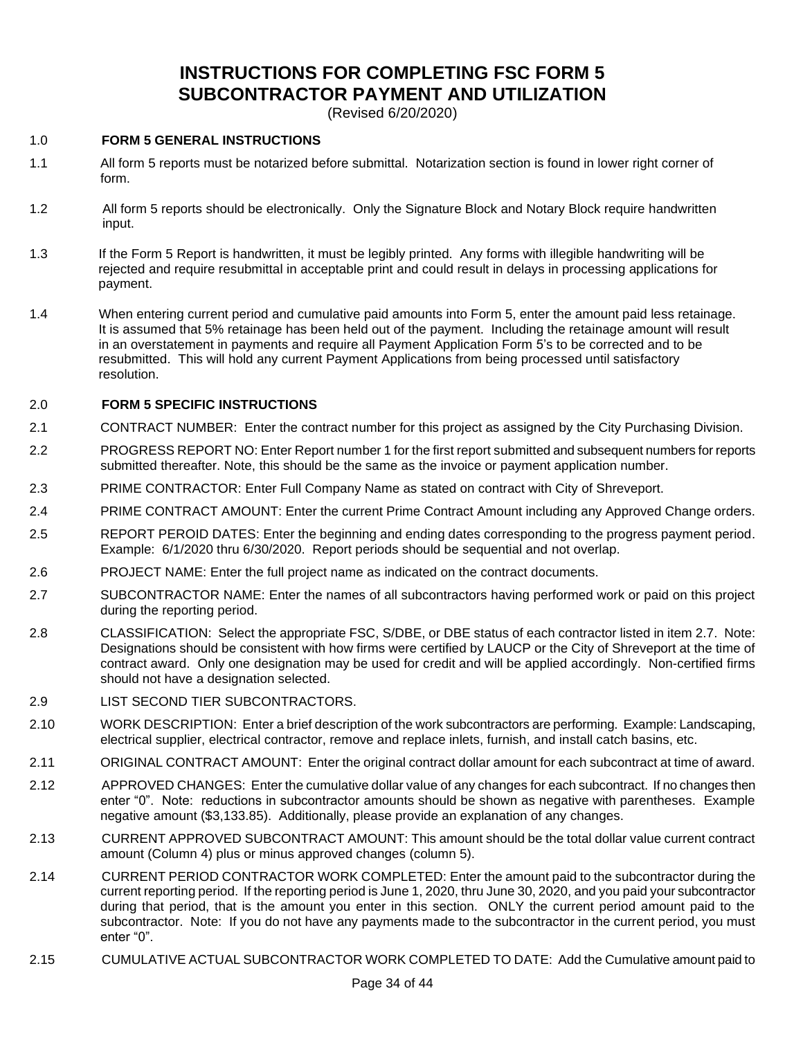## **INSTRUCTIONS FOR COMPLETING FSC FORM 5 SUBCONTRACTOR PAYMENT AND UTILIZATION**

(Revised 6/20/2020)

#### 1.0 **FORM 5 GENERAL INSTRUCTIONS**

- 1.1 All form 5 reports must be notarized before submittal. Notarization section is found in lower right corner of form.
- 1.2 All form 5 reports should be electronically. Only the Signature Block and Notary Block require handwritten input.
- 1.3 If the Form 5 Report is handwritten, it must be legibly printed. Any forms with illegible handwriting will be rejected and require resubmittal in acceptable print and could result in delays in processing applications for payment.
- 1.4 When entering current period and cumulative paid amounts into Form 5, enter the amount paid less retainage. It is assumed that 5% retainage has been held out of the payment. Including the retainage amount will result in an overstatement in payments and require all Payment Application Form 5's to be corrected and to be resubmitted. This will hold any current Payment Applications from being processed until satisfactory resolution.

#### 2.0 **FORM 5 SPECIFIC INSTRUCTIONS**

- 2.1 CONTRACT NUMBER: Enter the contract number for this project as assigned by the City Purchasing Division.
- 2.2 PROGRESS REPORT NO: Enter Report number 1 for the first report submitted and subsequent numbers for reports submitted thereafter. Note, this should be the same as the invoice or payment application number.
- 2.3 PRIME CONTRACTOR: Enter Full Company Name as stated on contract with City of Shreveport.
- 2.4 PRIME CONTRACT AMOUNT: Enter the current Prime Contract Amount including any Approved Change orders.
- 2.5 REPORT PEROID DATES: Enter the beginning and ending dates corresponding to the progress payment period. Example: 6/1/2020 thru 6/30/2020. Report periods should be sequential and not overlap.
- 2.6 PROJECT NAME: Enter the full project name as indicated on the contract documents.
- 2.7 SUBCONTRACTOR NAME: Enter the names of all subcontractors having performed work or paid on this project during the reporting period.
- 2.8 CLASSIFICATION: Select the appropriate FSC, S/DBE, or DBE status of each contractor listed in item 2.7. Note: Designations should be consistent with how firms were certified by LAUCP or the City of Shreveport at the time of contract award. Only one designation may be used for credit and will be applied accordingly. Non-certified firms should not have a designation selected.
- 2.9 LIST SECOND TIER SUBCONTRACTORS.
- 2.10 WORK DESCRIPTION: Enter a brief description of the work subcontractors are performing. Example: Landscaping, electrical supplier, electrical contractor, remove and replace inlets, furnish, and install catch basins, etc.
- 2.11 ORIGINAL CONTRACT AMOUNT: Enter the original contract dollar amount for each subcontract at time of award.
- 2.12 APPROVED CHANGES: Enter the cumulative dollar value of any changes for each subcontract. If no changes then enter "0". Note: reductions in subcontractor amounts should be shown as negative with parentheses. Example negative amount (\$3,133.85). Additionally, please provide an explanation of any changes.
- 2.13 CURRENT APPROVED SUBCONTRACT AMOUNT: This amount should be the total dollar value current contract amount (Column 4) plus or minus approved changes (column 5).
- 2.14 CURRENT PERIOD CONTRACTOR WORK COMPLETED: Enter the amount paid to the subcontractor during the current reporting period. If the reporting period is June 1, 2020, thru June 30, 2020, and you paid your subcontractor during that period, that is the amount you enter in this section. ONLY the current period amount paid to the subcontractor. Note: If you do not have any payments made to the subcontractor in the current period, you must enter "0".
- 2.15 CUMULATIVE ACTUAL SUBCONTRACTOR WORK COMPLETED TO DATE: Add the Cumulative amount paid to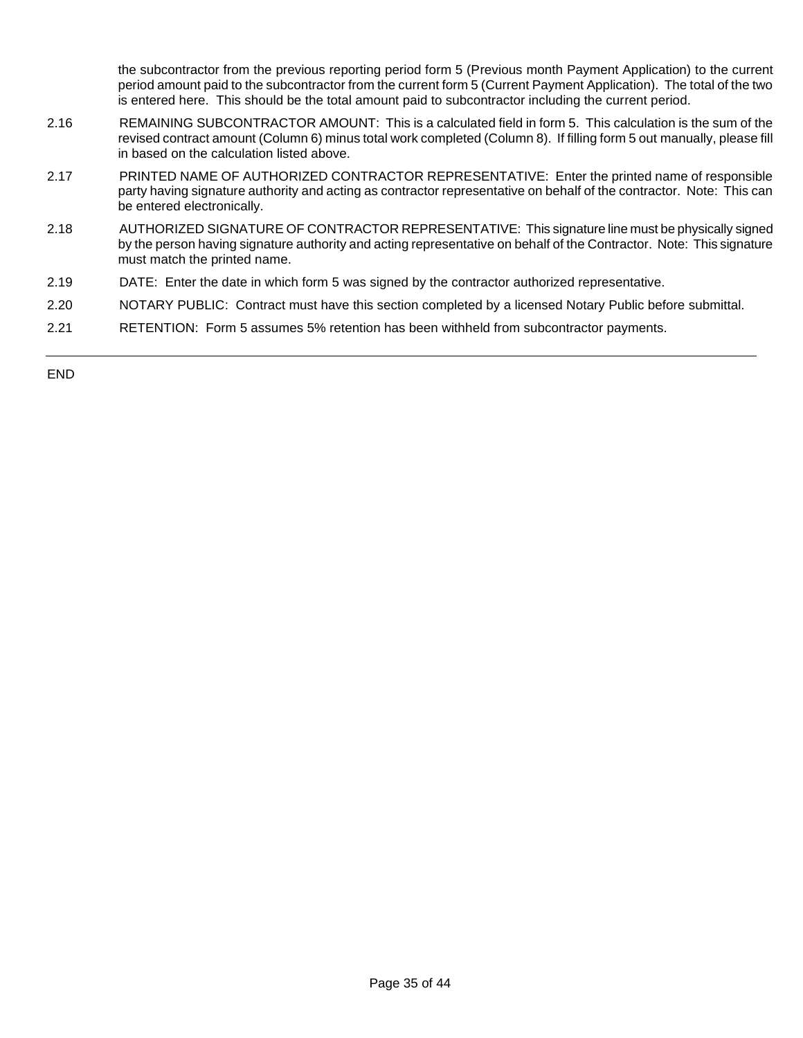the subcontractor from the previous reporting period form 5 (Previous month Payment Application) to the current period amount paid to the subcontractor from the current form 5 (Current Payment Application). The total of the two is entered here. This should be the total amount paid to subcontractor including the current period.

- 2.16 REMAINING SUBCONTRACTOR AMOUNT: This is a calculated field in form 5. This calculation is the sum of the revised contract amount (Column 6) minus total work completed (Column 8). If filling form 5 out manually, please fill in based on the calculation listed above.
- 2.17 PRINTED NAME OF AUTHORIZED CONTRACTOR REPRESENTATIVE: Enter the printed name of responsible party having signature authority and acting as contractor representative on behalf of the contractor. Note: This can be entered electronically.
- 2.18 AUTHORIZED SIGNATURE OF CONTRACTOR REPRESENTATIVE: This signature line must be physically signed by the person having signature authority and acting representative on behalf of the Contractor. Note: This signature must match the printed name.
- 2.19 DATE: Enter the date in which form 5 was signed by the contractor authorized representative.
- 2.20 NOTARY PUBLIC: Contract must have this section completed by a licensed Notary Public before submittal.
- 2.21 RETENTION: Form 5 assumes 5% retention has been withheld from subcontractor payments.

END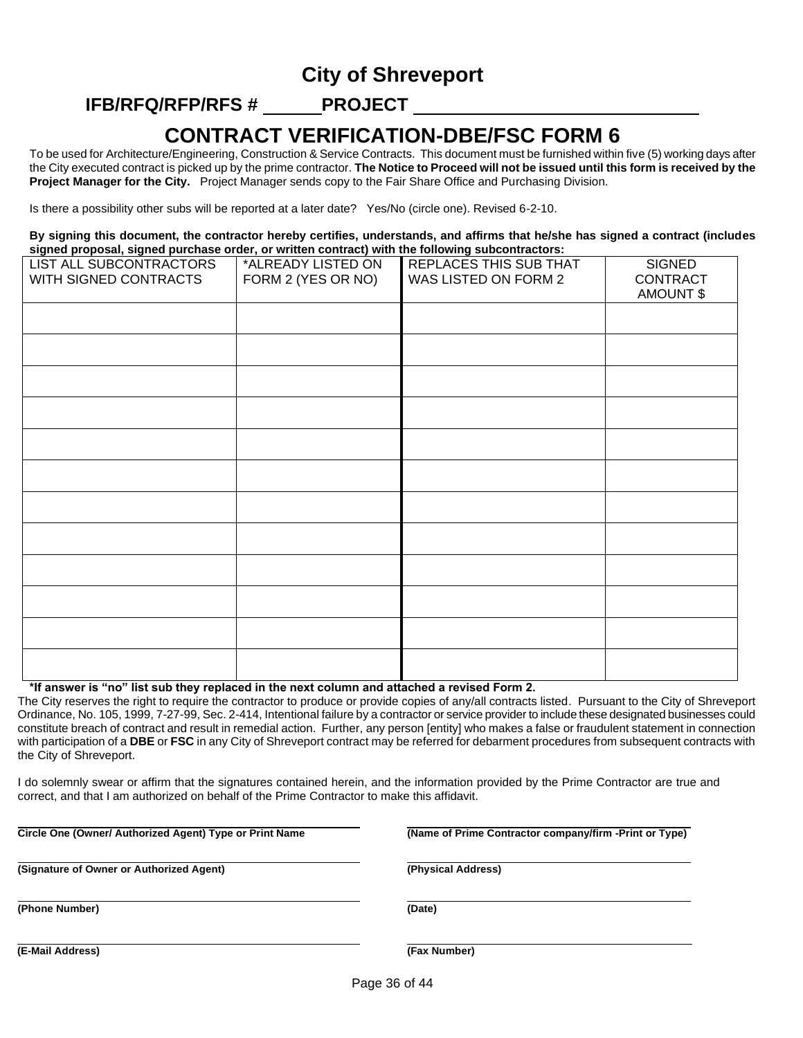## **City of Shreveport**

## **IFB/RFQ/RFP/RFS # PROJECT**

## **CONTRACT VERIFICATION-DBE/FSC FORM 6**

To be used for Architecture/Engineering, Construction & Service Contracts. This document must be furnished within five (5) working days after the City executed contract is picked up by the prime contractor. **The Notice to Proceed will not be issued until this form is received by the Project Manager for the City.** Project Manager sends copy to the Fair Share Office and Purchasing Division.

Is there a possibility other subs will be reported at a later date? Yes/No (circle one). Revised 6-2-10.

**By signing this document, the contractor hereby certifies, understands, and affirms that he/she has signed a contract (includes signed proposal, signed purchase order, or written contract) with the following subcontractors:**

| LIST ALL SUBCONTRACTORS<br>WITH SIGNED CONTRACTS | *ALREADY LISTED ON<br>FORM 2 (YES OR NO) | REPLACES THIS SUB THAT<br>WAS LISTED ON FORM 2 | <b>SIGNED</b><br>CONTRACT<br>AMOUNT \$ |
|--------------------------------------------------|------------------------------------------|------------------------------------------------|----------------------------------------|
|                                                  |                                          |                                                |                                        |
|                                                  |                                          |                                                |                                        |
|                                                  |                                          |                                                |                                        |
|                                                  |                                          |                                                |                                        |
|                                                  |                                          |                                                |                                        |
|                                                  |                                          |                                                |                                        |
|                                                  |                                          |                                                |                                        |
|                                                  |                                          |                                                |                                        |
|                                                  |                                          |                                                |                                        |
|                                                  |                                          |                                                |                                        |
|                                                  |                                          |                                                |                                        |
|                                                  |                                          |                                                |                                        |

**\*If answer is "no" list sub they replaced in the next column and attached a revised Form 2.**

The City reserves the right to require the contractor to produce or provide copies of any/all contracts listed. Pursuant to the City of Shreveport Ordinance, No. 105, 1999, 7-27-99, Sec. 2-414, Intentional failure by a contractor or service provider to include these designated businesses could constitute breach of contract and result in remedial action. Further, any person [entity] who makes a false or fraudulent statement in connection with participation of a **DBE** or **FSC** in any City of Shreveport contract may be referred for debarment procedures from subsequent contracts with the City of Shreveport.

I do solemnly swear or affirm that the signatures contained herein, and the information provided by the Prime Contractor are true and correct, and that I am authorized on behalf of the Prime Contractor to make this affidavit.

i<br>L

**Circle One (Owner/ Authorized Agent) Type or Print Name (Name of Prime Contractor company/firm -Print or Type)**

**(Signature of Owner or Authorized Agent) (Physical Address)**

**(Phone Number) (Date)**

**(E-Mail Address) (Fax Number)**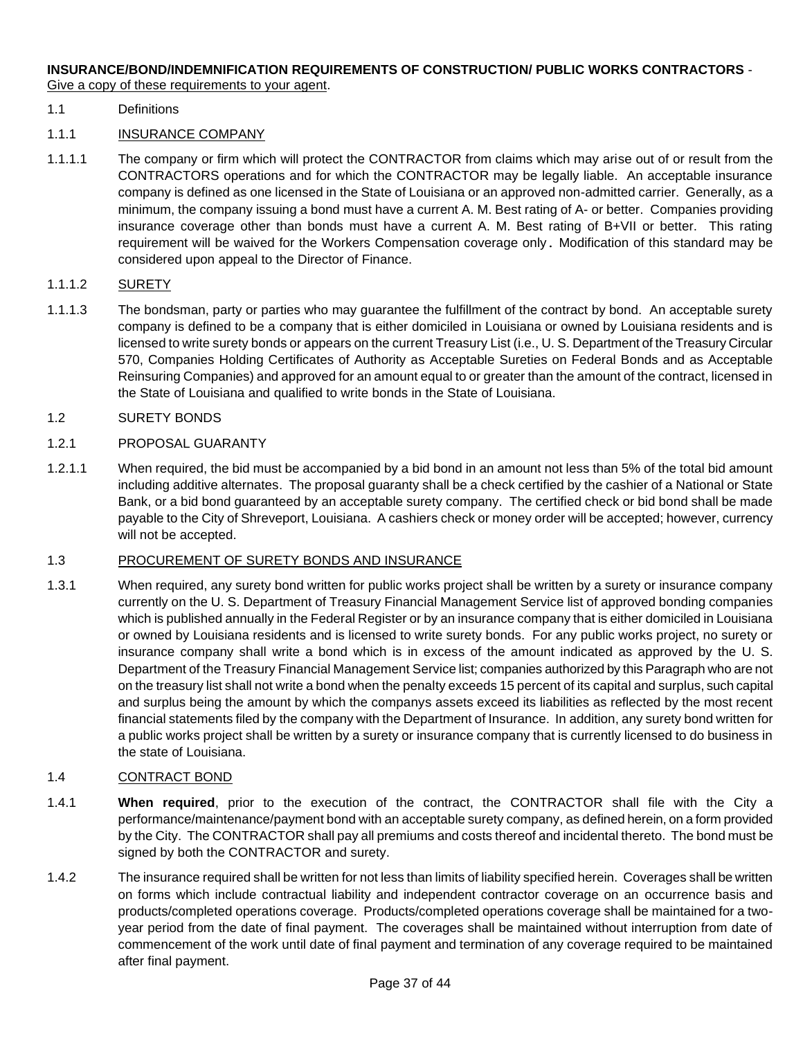#### **INSURANCE/BOND/INDEMNIFICATION REQUIREMENTS OF CONSTRUCTION/ PUBLIC WORKS CONTRACTORS** - Give a copy of these requirements to your agent.

#### 1.1 Definitions

#### 1.1.1 INSURANCE COMPANY

1.1.1.1 The company or firm which will protect the CONTRACTOR from claims which may arise out of or result from the CONTRACTORS operations and for which the CONTRACTOR may be legally liable. An acceptable insurance company is defined as one licensed in the State of Louisiana or an approved non-admitted carrier. Generally, as a minimum, the company issuing a bond must have a current A. M. Best rating of A- or better. Companies providing insurance coverage other than bonds must have a current A. M. Best rating of B+VII or better. This rating requirement will be waived for the Workers Compensation coverage only. Modification of this standard may be considered upon appeal to the Director of Finance.

#### 1.1.1.2 SURETY

1.1.1.3 The bondsman, party or parties who may guarantee the fulfillment of the contract by bond. An acceptable surety company is defined to be a company that is either domiciled in Louisiana or owned by Louisiana residents and is licensed to write surety bonds or appears on the current Treasury List (i.e., U. S. Department of the Treasury Circular 570, Companies Holding Certificates of Authority as Acceptable Sureties on Federal Bonds and as Acceptable Reinsuring Companies) and approved for an amount equal to or greater than the amount of the contract, licensed in the State of Louisiana and qualified to write bonds in the State of Louisiana.

#### 1.2 SURETY BONDS

#### 1.2.1 PROPOSAL GUARANTY

1.2.1.1 When required, the bid must be accompanied by a bid bond in an amount not less than 5% of the total bid amount including additive alternates. The proposal guaranty shall be a check certified by the cashier of a National or State Bank, or a bid bond guaranteed by an acceptable surety company. The certified check or bid bond shall be made payable to the City of Shreveport, Louisiana. A cashiers check or money order will be accepted; however, currency will not be accepted.

#### 1.3 PROCUREMENT OF SURETY BONDS AND INSURANCE

1.3.1 When required, any surety bond written for public works project shall be written by a surety or insurance company currently on the U. S. Department of Treasury Financial Management Service list of approved bonding companies which is published annually in the Federal Register or by an insurance company that is either domiciled in Louisiana or owned by Louisiana residents and is licensed to write surety bonds. For any public works project, no surety or insurance company shall write a bond which is in excess of the amount indicated as approved by the U. S. Department of the Treasury Financial Management Service list; companies authorized by this Paragraph who are not on the treasury list shall not write a bond when the penalty exceeds 15 percent of its capital and surplus, such capital and surplus being the amount by which the companys assets exceed its liabilities as reflected by the most recent financial statements filed by the company with the Department of Insurance. In addition, any surety bond written for a public works project shall be written by a surety or insurance company that is currently licensed to do business in the state of Louisiana.

#### 1.4 CONTRACT BOND

- 1.4.1 **When required**, prior to the execution of the contract, the CONTRACTOR shall file with the City a performance/maintenance/payment bond with an acceptable surety company, as defined herein, on a form provided by the City. The CONTRACTOR shall pay all premiums and costs thereof and incidental thereto. The bond must be signed by both the CONTRACTOR and surety.
- 1.4.2 The insurance required shall be written for not less than limits of liability specified herein. Coverages shall be written on forms which include contractual liability and independent contractor coverage on an occurrence basis and products/completed operations coverage. Products/completed operations coverage shall be maintained for a twoyear period from the date of final payment. The coverages shall be maintained without interruption from date of commencement of the work until date of final payment and termination of any coverage required to be maintained after final payment.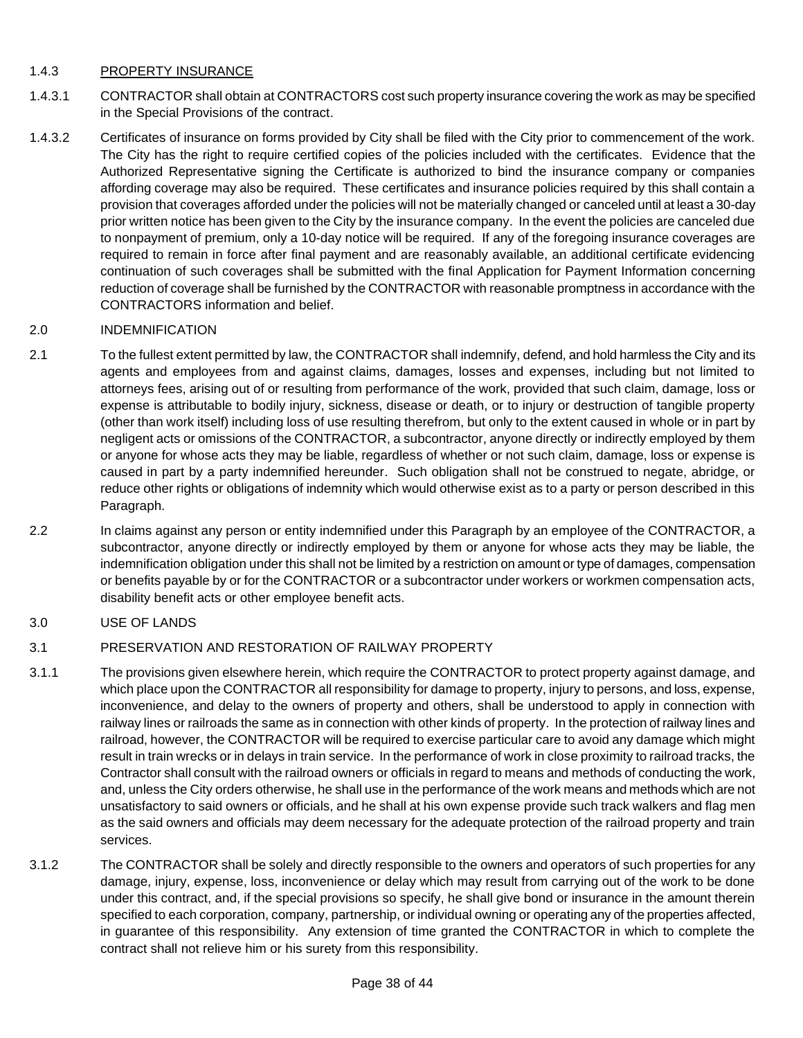#### 1.4.3 PROPERTY INSURANCE

- 1.4.3.1 CONTRACTOR shall obtain at CONTRACTORS cost such property insurance covering the work as may be specified in the Special Provisions of the contract.
- 1.4.3.2 Certificates of insurance on forms provided by City shall be filed with the City prior to commencement of the work. The City has the right to require certified copies of the policies included with the certificates. Evidence that the Authorized Representative signing the Certificate is authorized to bind the insurance company or companies affording coverage may also be required. These certificates and insurance policies required by this shall contain a provision that coverages afforded under the policies will not be materially changed or canceled until at least a 30-day prior written notice has been given to the City by the insurance company. In the event the policies are canceled due to nonpayment of premium, only a 10-day notice will be required. If any of the foregoing insurance coverages are required to remain in force after final payment and are reasonably available, an additional certificate evidencing continuation of such coverages shall be submitted with the final Application for Payment Information concerning reduction of coverage shall be furnished by the CONTRACTOR with reasonable promptness in accordance with the CONTRACTORS information and belief.

#### 2.0 INDEMNIFICATION

- 2.1 To the fullest extent permitted by law, the CONTRACTOR shall indemnify, defend, and hold harmless the City and its agents and employees from and against claims, damages, losses and expenses, including but not limited to attorneys fees, arising out of or resulting from performance of the work, provided that such claim, damage, loss or expense is attributable to bodily injury, sickness, disease or death, or to injury or destruction of tangible property (other than work itself) including loss of use resulting therefrom, but only to the extent caused in whole or in part by negligent acts or omissions of the CONTRACTOR, a subcontractor, anyone directly or indirectly employed by them or anyone for whose acts they may be liable, regardless of whether or not such claim, damage, loss or expense is caused in part by a party indemnified hereunder. Such obligation shall not be construed to negate, abridge, or reduce other rights or obligations of indemnity which would otherwise exist as to a party or person described in this Paragraph.
- 2.2 In claims against any person or entity indemnified under this Paragraph by an employee of the CONTRACTOR, a subcontractor, anyone directly or indirectly employed by them or anyone for whose acts they may be liable, the indemnification obligation under this shall not be limited by a restriction on amount or type of damages, compensation or benefits payable by or for the CONTRACTOR or a subcontractor under workers or workmen compensation acts, disability benefit acts or other employee benefit acts.
- 3.0 USE OF LANDS

#### 3.1 PRESERVATION AND RESTORATION OF RAILWAY PROPERTY

- 3.1.1 The provisions given elsewhere herein, which require the CONTRACTOR to protect property against damage, and which place upon the CONTRACTOR all responsibility for damage to property, injury to persons, and loss, expense, inconvenience, and delay to the owners of property and others, shall be understood to apply in connection with railway lines or railroads the same as in connection with other kinds of property. In the protection of railway lines and railroad, however, the CONTRACTOR will be required to exercise particular care to avoid any damage which might result in train wrecks or in delays in train service. In the performance of work in close proximity to railroad tracks, the Contractor shall consult with the railroad owners or officials in regard to means and methods of conducting the work, and, unless the City orders otherwise, he shall use in the performance of the work means and methods which are not unsatisfactory to said owners or officials, and he shall at his own expense provide such track walkers and flag men as the said owners and officials may deem necessary for the adequate protection of the railroad property and train services.
- 3.1.2 The CONTRACTOR shall be solely and directly responsible to the owners and operators of such properties for any damage, injury, expense, loss, inconvenience or delay which may result from carrying out of the work to be done under this contract, and, if the special provisions so specify, he shall give bond or insurance in the amount therein specified to each corporation, company, partnership, or individual owning or operating any of the properties affected, in guarantee of this responsibility. Any extension of time granted the CONTRACTOR in which to complete the contract shall not relieve him or his surety from this responsibility.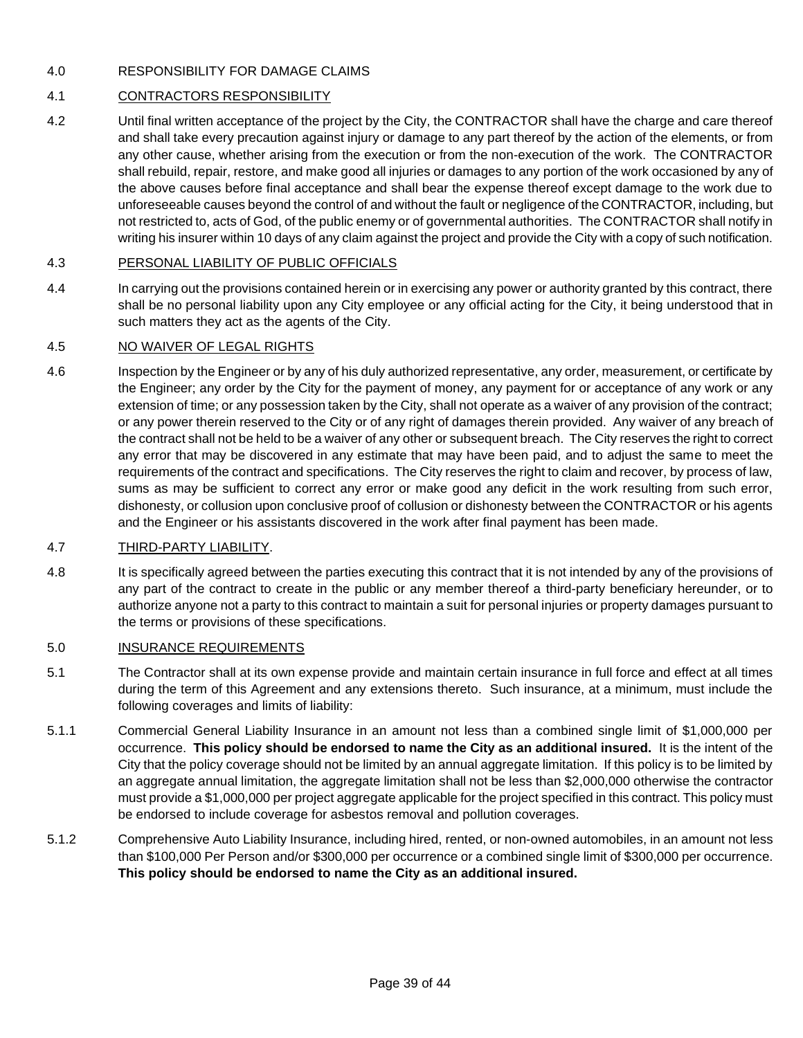#### 4.0 RESPONSIBILITY FOR DAMAGE CLAIMS

#### 4.1 CONTRACTORS RESPONSIBILITY

4.2 Until final written acceptance of the project by the City, the CONTRACTOR shall have the charge and care thereof and shall take every precaution against injury or damage to any part thereof by the action of the elements, or from any other cause, whether arising from the execution or from the non-execution of the work. The CONTRACTOR shall rebuild, repair, restore, and make good all injuries or damages to any portion of the work occasioned by any of the above causes before final acceptance and shall bear the expense thereof except damage to the work due to unforeseeable causes beyond the control of and without the fault or negligence of the CONTRACTOR, including, but not restricted to, acts of God, of the public enemy or of governmental authorities. The CONTRACTOR shall notify in writing his insurer within 10 days of any claim against the project and provide the City with a copy of such notification.

#### 4.3 PERSONAL LIABILITY OF PUBLIC OFFICIALS

4.4 In carrying out the provisions contained herein or in exercising any power or authority granted by this contract, there shall be no personal liability upon any City employee or any official acting for the City, it being understood that in such matters they act as the agents of the City.

#### 4.5 NO WAIVER OF LEGAL RIGHTS

4.6 Inspection by the Engineer or by any of his duly authorized representative, any order, measurement, or certificate by the Engineer; any order by the City for the payment of money, any payment for or acceptance of any work or any extension of time; or any possession taken by the City, shall not operate as a waiver of any provision of the contract; or any power therein reserved to the City or of any right of damages therein provided. Any waiver of any breach of the contract shall not be held to be a waiver of any other or subsequent breach. The City reserves the right to correct any error that may be discovered in any estimate that may have been paid, and to adjust the same to meet the requirements of the contract and specifications. The City reserves the right to claim and recover, by process of law, sums as may be sufficient to correct any error or make good any deficit in the work resulting from such error, dishonesty, or collusion upon conclusive proof of collusion or dishonesty between the CONTRACTOR or his agents and the Engineer or his assistants discovered in the work after final payment has been made.

#### 4.7 THIRD-PARTY LIABILITY.

4.8 It is specifically agreed between the parties executing this contract that it is not intended by any of the provisions of any part of the contract to create in the public or any member thereof a third-party beneficiary hereunder, or to authorize anyone not a party to this contract to maintain a suit for personal injuries or property damages pursuant to the terms or provisions of these specifications.

#### 5.0 INSURANCE REQUIREMENTS

- 5.1 The Contractor shall at its own expense provide and maintain certain insurance in full force and effect at all times during the term of this Agreement and any extensions thereto. Such insurance, at a minimum, must include the following coverages and limits of liability:
- 5.1.1 Commercial General Liability Insurance in an amount not less than a combined single limit of \$1,000,000 per occurrence. **This policy should be endorsed to name the City as an additional insured.** It is the intent of the City that the policy coverage should not be limited by an annual aggregate limitation. If this policy is to be limited by an aggregate annual limitation, the aggregate limitation shall not be less than \$2,000,000 otherwise the contractor must provide a \$1,000,000 per project aggregate applicable for the project specified in this contract. This policy must be endorsed to include coverage for asbestos removal and pollution coverages.
- 5.1.2 Comprehensive Auto Liability Insurance, including hired, rented, or non-owned automobiles, in an amount not less than \$100,000 Per Person and/or \$300,000 per occurrence or a combined single limit of \$300,000 per occurrence. **This policy should be endorsed to name the City as an additional insured.**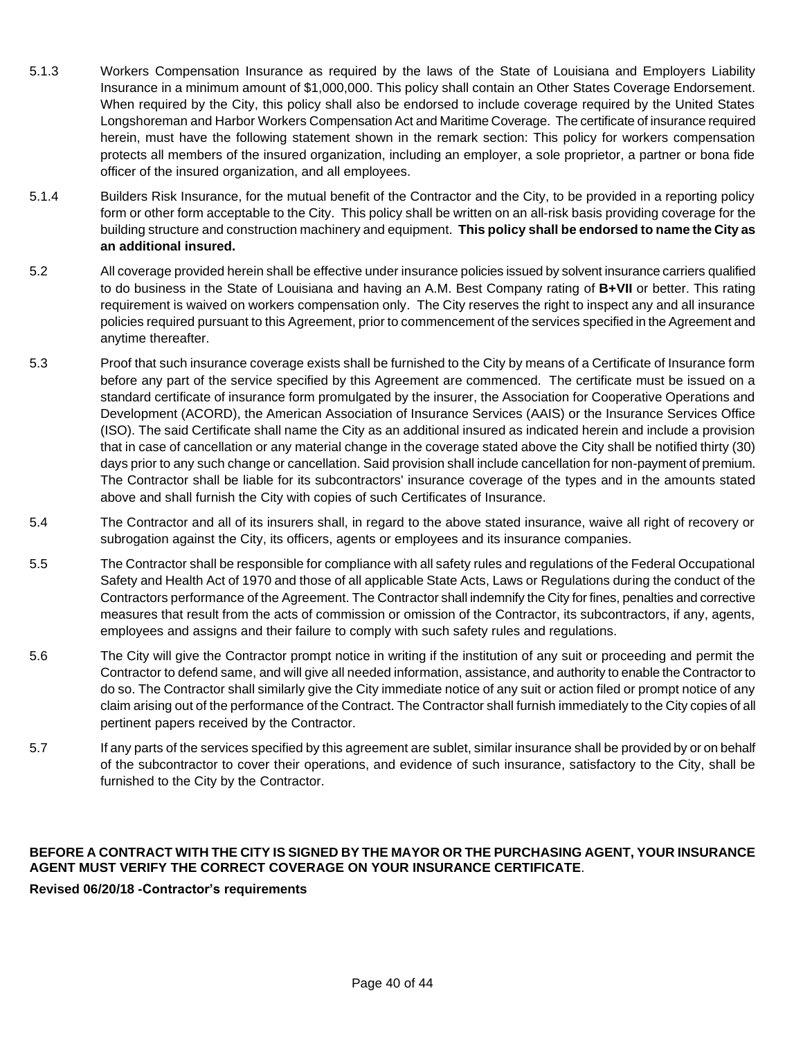- 5.1.3 Workers Compensation Insurance as required by the laws of the State of Louisiana and Employers Liability Insurance in a minimum amount of \$1,000,000. This policy shall contain an Other States Coverage Endorsement. When required by the City, this policy shall also be endorsed to include coverage required by the United States Longshoreman and Harbor Workers Compensation Act and Maritime Coverage. The certificate of insurance required herein, must have the following statement shown in the remark section: This policy for workers compensation protects all members of the insured organization, including an employer, a sole proprietor, a partner or bona fide officer of the insured organization, and all employees.
- 5.1.4 Builders Risk Insurance, for the mutual benefit of the Contractor and the City, to be provided in a reporting policy form or other form acceptable to the City. This policy shall be written on an all-risk basis providing coverage for the building structure and construction machinery and equipment. **This policy shall be endorsed to name the City as an additional insured.**
- 5.2 All coverage provided herein shall be effective under insurance policies issued by solvent insurance carriers qualified to do business in the State of Louisiana and having an A.M. Best Company rating of **B+VII** or better. This rating requirement is waived on workers compensation only. The City reserves the right to inspect any and all insurance policies required pursuant to this Agreement, prior to commencement of the services specified in the Agreement and anytime thereafter.
- 5.3 Proof that such insurance coverage exists shall be furnished to the City by means of a Certificate of Insurance form before any part of the service specified by this Agreement are commenced. The certificate must be issued on a standard certificate of insurance form promulgated by the insurer, the Association for Cooperative Operations and Development (ACORD), the American Association of Insurance Services (AAIS) or the Insurance Services Office (ISO). The said Certificate shall name the City as an additional insured as indicated herein and include a provision that in case of cancellation or any material change in the coverage stated above the City shall be notified thirty (30) days prior to any such change or cancellation. Said provision shall include cancellation for non-payment of premium. The Contractor shall be liable for its subcontractors' insurance coverage of the types and in the amounts stated above and shall furnish the City with copies of such Certificates of Insurance.
- 5.4 The Contractor and all of its insurers shall, in regard to the above stated insurance, waive all right of recovery or subrogation against the City, its officers, agents or employees and its insurance companies.
- 5.5 The Contractor shall be responsible for compliance with all safety rules and regulations of the Federal Occupational Safety and Health Act of 1970 and those of all applicable State Acts, Laws or Regulations during the conduct of the Contractors performance of the Agreement. The Contractor shall indemnify the City for fines, penalties and corrective measures that result from the acts of commission or omission of the Contractor, its subcontractors, if any, agents, employees and assigns and their failure to comply with such safety rules and regulations.
- 5.6 The City will give the Contractor prompt notice in writing if the institution of any suit or proceeding and permit the Contractor to defend same, and will give all needed information, assistance, and authority to enable the Contractor to do so. The Contractor shall similarly give the City immediate notice of any suit or action filed or prompt notice of any claim arising out of the performance of the Contract. The Contractor shall furnish immediately to the City copies of all pertinent papers received by the Contractor.
- 5.7 If any parts of the services specified by this agreement are sublet, similar insurance shall be provided by or on behalf of the subcontractor to cover their operations, and evidence of such insurance, satisfactory to the City, shall be furnished to the City by the Contractor.

#### **BEFORE A CONTRACT WITH THE CITY IS SIGNED BY THE MAYOR OR THE PURCHASING AGENT, YOUR INSURANCE AGENT MUST VERIFY THE CORRECT COVERAGE ON YOUR INSURANCE CERTIFICATE**.

#### **Revised 06/20/18 -Contractor's requirements**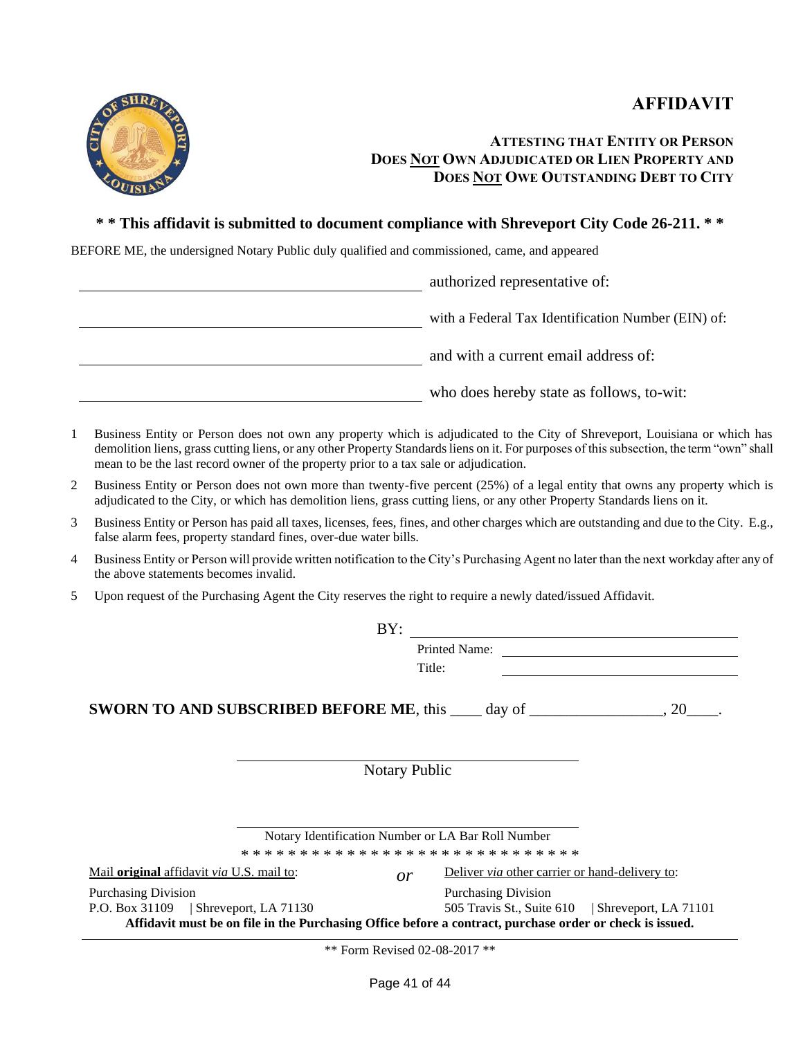



## **ATTESTING THAT ENTITY OR PERSON DOES NOT OWN ADJUDICATED OR LIEN PROPERTY AND DOES NOT OWE OUTSTANDING DEBT TO CITY**

#### **\* \* This affidavit is submitted to document compliance with Shreveport City Code 26-211. \* \***

BEFORE ME, the undersigned Notary Public duly qualified and commissioned, came, and appeared

authorized representative of: with a Federal Tax Identification Number (EIN) of: and with a current email address of: who does hereby state as follows, to-wit:

- 1 Business Entity or Person does not own any property which is adjudicated to the City of Shreveport, Louisiana or which has demolition liens, grass cutting liens, or any other Property Standards liens on it. For purposes of this subsection, the term "own" shall mean to be the last record owner of the property prior to a tax sale or adjudication.
- 2 Business Entity or Person does not own more than twenty-five percent (25%) of a legal entity that owns any property which is adjudicated to the City, or which has demolition liens, grass cutting liens, or any other Property Standards liens on it.
- 3 Business Entity or Person has paid all taxes, licenses, fees, fines, and other charges which are outstanding and due to the City. E.g., false alarm fees, property standard fines, over-due water bills.
- 4 Business Entity or Person will provide written notification to the City's Purchasing Agent no later than the next workday after any of the above statements becomes invalid.
- 5 Upon request of the Purchasing Agent the City reserves the right to require a newly dated/issued Affidavit.

| BY:                                                                                                                                                                             |                                                                                |
|---------------------------------------------------------------------------------------------------------------------------------------------------------------------------------|--------------------------------------------------------------------------------|
|                                                                                                                                                                                 | Printed Name:<br>Title:                                                        |
| <b>SWORN TO AND SUBSCRIBED BEFORE ME</b> , this $\_\_\_$ day of $\_\_\_\_$ , 20                                                                                                 |                                                                                |
| <b>Notary Public</b>                                                                                                                                                            |                                                                                |
| Notary Identification Number or LA Bar Roll Number                                                                                                                              |                                                                                |
| Mail <b>original</b> affidavit <i>via</i> U.S. mail to:<br>or                                                                                                                   | Deliver <i>via</i> other carrier or hand-delivery to:                          |
| <b>Purchasing Division</b><br>P.O. Box 31109   Shreveport, LA 71130<br>Affidavit must be on file in the Purchasing Office before a contract, purchase order or check is issued. | <b>Purchasing Division</b><br>505 Travis St., Suite 610   Shreveport, LA 71101 |

\*\* Form Revised 02-08-2017 \*\*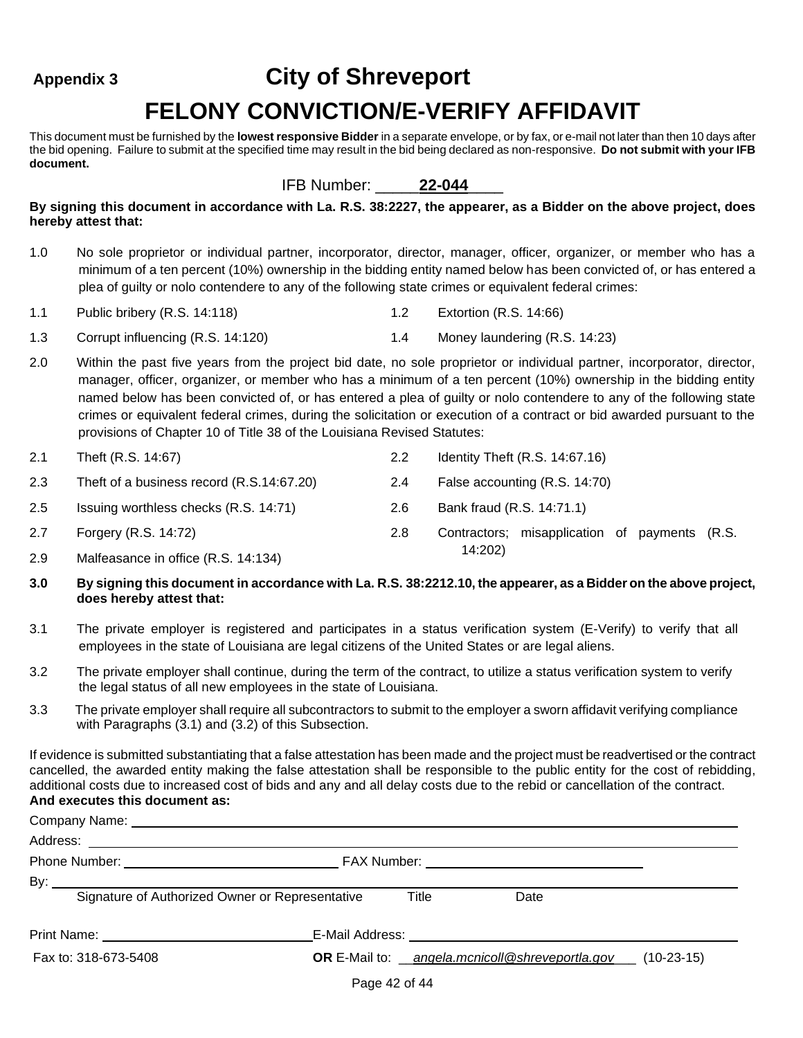## **Appendix 3 City of Shreveport**

## **FELONY CONVICTION/E-VERIFY AFFIDAVIT**

This document must be furnished by the **lowest responsive Bidder** in a separate envelope, or by fax, or e-mail not later than then 10 days after the bid opening. Failure to submit at the specified time may result in the bid being declared as non-responsive. **Do not submit with your IFB document.**

#### IFB Number: \_\_\_\_\_**22-044**\_\_\_\_

**By signing this document in accordance with La. R.S. 38:2227, the appearer, as a Bidder on the above project, does hereby attest that:**

- 1.0 No sole proprietor or individual partner, incorporator, director, manager, officer, organizer, or member who has a minimum of a ten percent (10%) ownership in the bidding entity named below has been convicted of, or has entered a plea of guilty or nolo contendere to any of the following state crimes or equivalent federal crimes:
- 1.1 Public bribery (R.S. 14:118) 1.2 Extortion (R.S. 14:66)
- 1.3 Corrupt influencing (R.S. 14:120) 1.4 Money laundering (R.S. 14:23)
- 2.0 Within the past five years from the project bid date, no sole proprietor or individual partner, incorporator, director, manager, officer, organizer, or member who has a minimum of a ten percent (10%) ownership in the bidding entity named below has been convicted of, or has entered a plea of guilty or nolo contendere to any of the following state crimes or equivalent federal crimes, during the solicitation or execution of a contract or bid awarded pursuant to the provisions of Chapter 10 of Title 38 of the Louisiana Revised Statutes:

| 2.1  | Theft (R.S. 14:67)                        | $2.2\phantom{0}$ | Identity Theft (R.S. 14:67.16)                |  |  |
|------|-------------------------------------------|------------------|-----------------------------------------------|--|--|
| 2.3  | Theft of a business record (R.S.14:67.20) | 2.4              | False accounting (R.S. 14:70)                 |  |  |
| 2.5  | Issuing worthless checks (R.S. 14:71)     | 2.6              | Bank fraud (R.S. 14:71.1)                     |  |  |
| 2.7  | Forgery (R.S. 14:72)                      | 2.8              | Contractors; misapplication of payments (R.S. |  |  |
| ົດ ດ | $Molfononos$ in office $(D, C, 11.121)$   |                  | 14:202)                                       |  |  |

2.9 Malfeasance in office (R.S. 14:134)

#### **3.0 By signing this document in accordance with La. R.S. 38:2212.10, the appearer, as a Bidder on the above project, does hereby attest that:**

- 3.1 The private employer is registered and participates in a status verification system (E-Verify) to verify that all employees in the state of Louisiana are legal citizens of the United States or are legal aliens.
- 3.2 The private employer shall continue, during the term of the contract, to utilize a status verification system to verify the legal status of all new employees in the state of Louisiana.
- 3.3 The private employer shall require all subcontractors to submit to the employer a sworn affidavit verifying compliance with Paragraphs (3.1) and (3.2) of this Subsection.

If evidence is submitted substantiating that a false attestation has been made and the project must be readvertised or the contract cancelled, the awarded entity making the false attestation shall be responsible to the public entity for the cost of rebidding, additional costs due to increased cost of bids and any and all delay costs due to the rebid or cancellation of the contract. **And executes this document as:**

| Company Name: University of the Company Name:   |                                                              |      |  |  |  |
|-------------------------------------------------|--------------------------------------------------------------|------|--|--|--|
|                                                 |                                                              |      |  |  |  |
|                                                 |                                                              |      |  |  |  |
|                                                 |                                                              |      |  |  |  |
| Signature of Authorized Owner or Representative | Title                                                        | Date |  |  |  |
|                                                 |                                                              |      |  |  |  |
| Fax to: 318-673-5408                            | OR E-Mail to: angela.mcnicoll@shreveportla.gov___ (10-23-15) |      |  |  |  |
|                                                 |                                                              |      |  |  |  |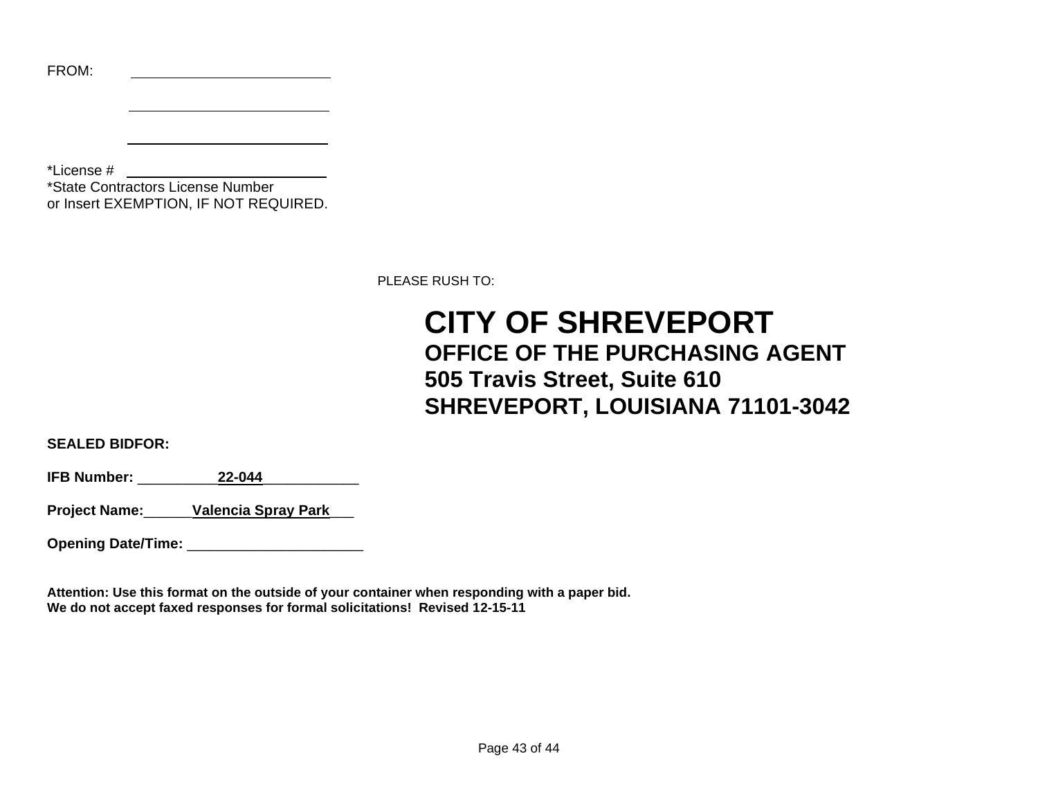|  | ١<br>u |  |
|--|--------|--|
|  |        |  |

\*License #

 $\overline{a}$ 

\*State Contractors License Number or Insert EXEMPTION, IF NOT REQUIRED.

PLEASE RUSH TO:

## **CITY OF SHREVEPORT OFFICE OF THE PURCHASING AGENT 505 Travis Street, Suite 610 SHREVEPORT, LOUISIANA 71101-3042**

**SEALED BIDFOR:**

**IFB Number:** \_\_\_\_\_\_\_\_\_\_**22-044**\_\_\_\_\_\_\_\_\_\_\_\_

**Project Name:**\_\_\_\_\_\_**Valencia Spray Park**\_\_\_

**Opening Date/Time:** \_\_\_\_\_\_\_\_\_\_\_\_\_\_\_\_\_\_\_\_\_\_

**Attention: Use this format on the outside of your container when responding with a paper bid. We do not accept faxed responses for formal solicitations! Revised 12-15-11**